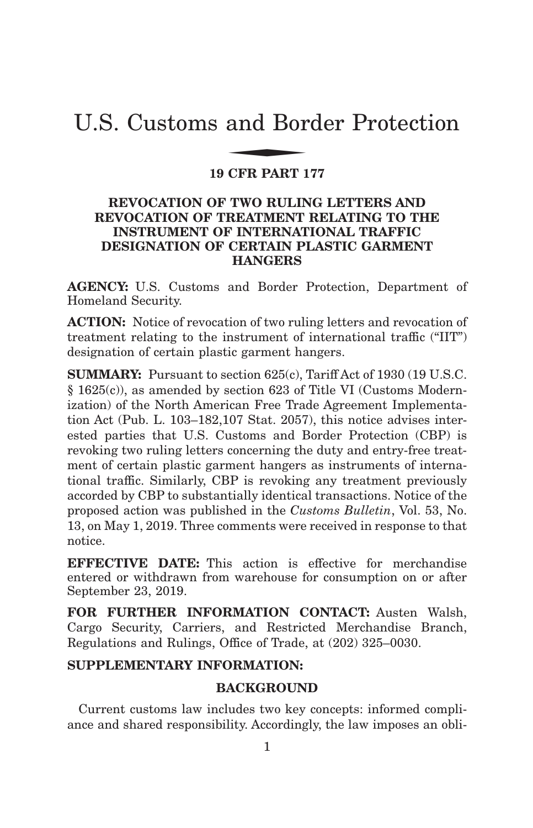# U.S. Customs and Border Protection and Bor

# **19 CFR PART 177**

# **REVOCATION OF TWO RULING LETTERS AND REVOCATION OF TREATMENT RELATING TO THE INSTRUMENT OF INTERNATIONAL TRAFFIC DESIGNATION OF CERTAIN PLASTIC GARMENT HANGERS**

**AGENCY:** U.S. Customs and Border Protection, Department of Homeland Security.

**ACTION:** Notice of revocation of two ruling letters and revocation of treatment relating to the instrument of international traffic ("IIT") designation of certain plastic garment hangers.

**SUMMARY:** Pursuant to section 625(c), Tariff Act of 1930 (19 U.S.C. § 1625(c)), as amended by section 623 of Title VI (Customs Modernization) of the North American Free Trade Agreement Implementation Act (Pub. L. 103–182,107 Stat. 2057), this notice advises interested parties that U.S. Customs and Border Protection (CBP) is revoking two ruling letters concerning the duty and entry-free treatment of certain plastic garment hangers as instruments of international traffic. Similarly, CBP is revoking any treatment previously accorded by CBP to substantially identical transactions. Notice of the proposed action was published in the *Customs Bulletin*, Vol. 53, No. 13, on May 1, 2019. Three comments were received in response to that notice.

**EFFECTIVE DATE:** This action is effective for merchandise entered or withdrawn from warehouse for consumption on or after September 23, 2019.

**FOR FURTHER INFORMATION CONTACT:** Austen Walsh, Cargo Security, Carriers, and Restricted Merchandise Branch, Regulations and Rulings, Office of Trade, at (202) 325–0030.

# **SUPPLEMENTARY INFORMATION:**

# **BACKGROUND**

Current customs law includes two key concepts: informed compliance and shared responsibility. Accordingly, the law imposes an obli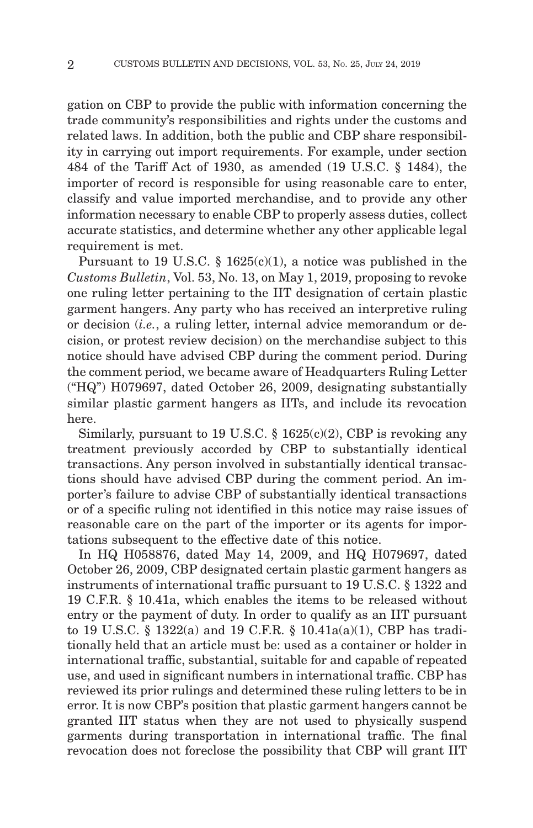gation on CBP to provide the public with information concerning the trade community's responsibilities and rights under the customs and related laws. In addition, both the public and CBP share responsibility in carrying out import requirements. For example, under section 484 of the Tariff Act of 1930, as amended (19 U.S.C. § 1484), the importer of record is responsible for using reasonable care to enter, classify and value imported merchandise, and to provide any other information necessary to enable CBP to properly assess duties, collect accurate statistics, and determine whether any other applicable legal requirement is met.

Pursuant to 19 U.S.C. § 1625(c)(1), a notice was published in the *Customs Bulletin*, Vol. 53, No. 13, on May 1, 2019, proposing to revoke one ruling letter pertaining to the IIT designation of certain plastic garment hangers. Any party who has received an interpretive ruling or decision (*i.e.*, a ruling letter, internal advice memorandum or decision, or protest review decision) on the merchandise subject to this notice should have advised CBP during the comment period. During the comment period, we became aware of Headquarters Ruling Letter ("HQ") H079697, dated October 26, 2009, designating substantially similar plastic garment hangers as IITs, and include its revocation here.

Similarly, pursuant to 19 U.S.C.  $\S$  1625(c)(2), CBP is revoking any treatment previously accorded by CBP to substantially identical transactions. Any person involved in substantially identical transactions should have advised CBP during the comment period. An importer's failure to advise CBP of substantially identical transactions or of a specific ruling not identified in this notice may raise issues of reasonable care on the part of the importer or its agents for importations subsequent to the effective date of this notice.

In HQ H058876, dated May 14, 2009, and HQ H079697, dated October 26, 2009, CBP designated certain plastic garment hangers as instruments of international traffic pursuant to 19 U.S.C. § 1322 and 19 C.F.R. § 10.41a, which enables the items to be released without entry or the payment of duty. In order to qualify as an IIT pursuant to 19 U.S.C. § 1322(a) and 19 C.F.R. § 10.41a(a)(1), CBP has traditionally held that an article must be: used as a container or holder in international traffic, substantial, suitable for and capable of repeated use, and used in significant numbers in international traffic. CBP has reviewed its prior rulings and determined these ruling letters to be in error. It is now CBP's position that plastic garment hangers cannot be granted IIT status when they are not used to physically suspend garments during transportation in international traffic. The final revocation does not foreclose the possibility that CBP will grant IIT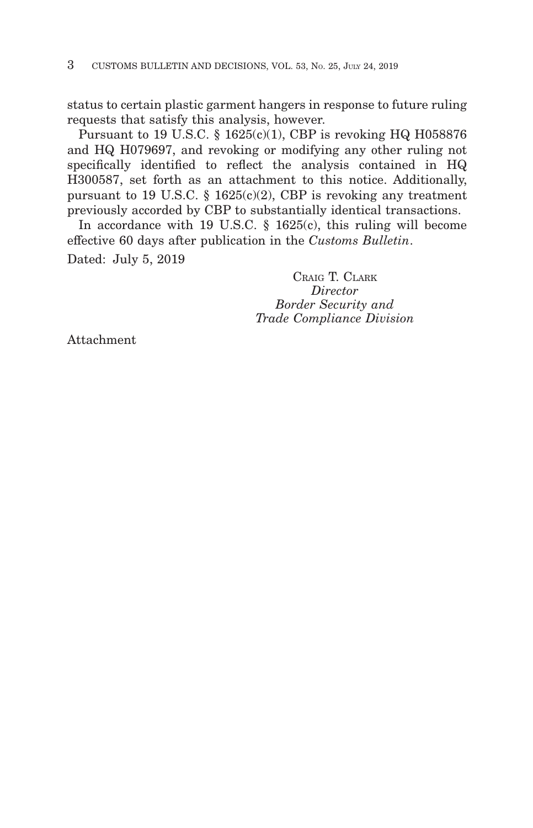status to certain plastic garment hangers in response to future ruling requests that satisfy this analysis, however.

Pursuant to 19 U.S.C. § 1625(c)(1), CBP is revoking HQ H058876 and HQ H079697, and revoking or modifying any other ruling not specifically identified to reflect the analysis contained in HQ H300587, set forth as an attachment to this notice. Additionally, pursuant to 19 U.S.C. § 1625(c)(2), CBP is revoking any treatment previously accorded by CBP to substantially identical transactions.

In accordance with 19 U.S.C. § 1625(c), this ruling will become effective 60 days after publication in the *Customs Bulletin*. Dated: July 5, 2019

> CRAIG T. CLARK *Director Border Security and Trade Compliance Division*

Attachment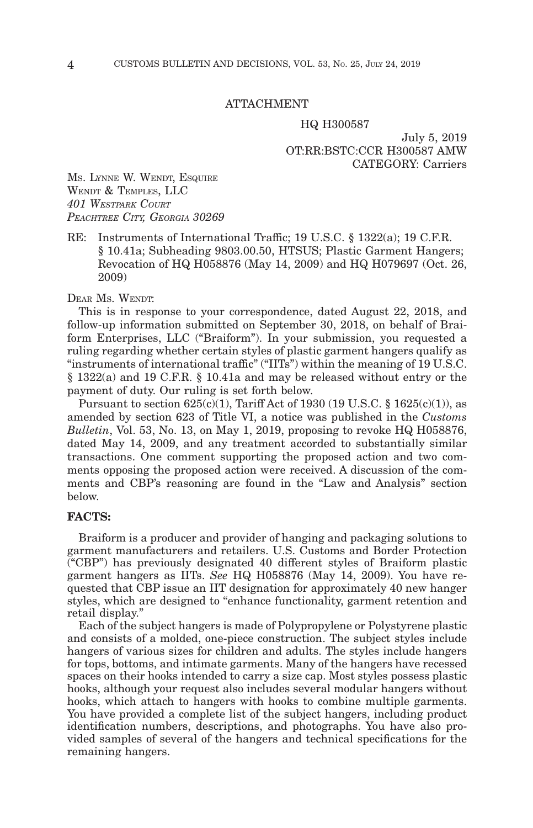#### ATTACHMENT

#### HQ H300587

July 5, 2019 OT:RR:BSTC:CCR H300587 AMW CATEGORY: Carriers

MS. LYNNE W. WENDT, ESQUIRE WENDT & TEMPLES, LLC *401 WESTPARK COURT PEACHTREE CITY, GEORGIA 30269*

RE: Instruments of International Traffic; 19 U.S.C. § 1322(a); 19 C.F.R. § 10.41a; Subheading 9803.00.50, HTSUS; Plastic Garment Hangers; Revocation of HQ H058876 (May 14, 2009) and HQ H079697 (Oct. 26, 2009)

## DEAR MS. WENDT:

This is in response to your correspondence, dated August 22, 2018, and follow-up information submitted on September 30, 2018, on behalf of Braiform Enterprises, LLC ("Braiform"). In your submission, you requested a ruling regarding whether certain styles of plastic garment hangers qualify as "instruments of international traffic" ("IITs") within the meaning of 19 U.S.C. § 1322(a) and 19 C.F.R. § 10.41a and may be released without entry or the payment of duty. Our ruling is set forth below.

Pursuant to section  $625(c)(1)$ , Tariff Act of 1930 (19 U.S.C. § 1625(c)(1)), as amended by section 623 of Title VI, a notice was published in the *Customs Bulletin*, Vol. 53, No. 13, on May 1, 2019, proposing to revoke HQ H058876, dated May 14, 2009, and any treatment accorded to substantially similar transactions. One comment supporting the proposed action and two comments opposing the proposed action were received. A discussion of the comments and CBP's reasoning are found in the "Law and Analysis" section below.

## **FACTS:**

Braiform is a producer and provider of hanging and packaging solutions to garment manufacturers and retailers. U.S. Customs and Border Protection ("CBP") has previously designated 40 different styles of Braiform plastic garment hangers as IITs. *See* HQ H058876 (May 14, 2009). You have requested that CBP issue an IIT designation for approximately 40 new hanger styles, which are designed to "enhance functionality, garment retention and retail display."

Each of the subject hangers is made of Polypropylene or Polystyrene plastic and consists of a molded, one-piece construction. The subject styles include hangers of various sizes for children and adults. The styles include hangers for tops, bottoms, and intimate garments. Many of the hangers have recessed spaces on their hooks intended to carry a size cap. Most styles possess plastic hooks, although your request also includes several modular hangers without hooks, which attach to hangers with hooks to combine multiple garments. You have provided a complete list of the subject hangers, including product identification numbers, descriptions, and photographs. You have also provided samples of several of the hangers and technical specifications for the remaining hangers.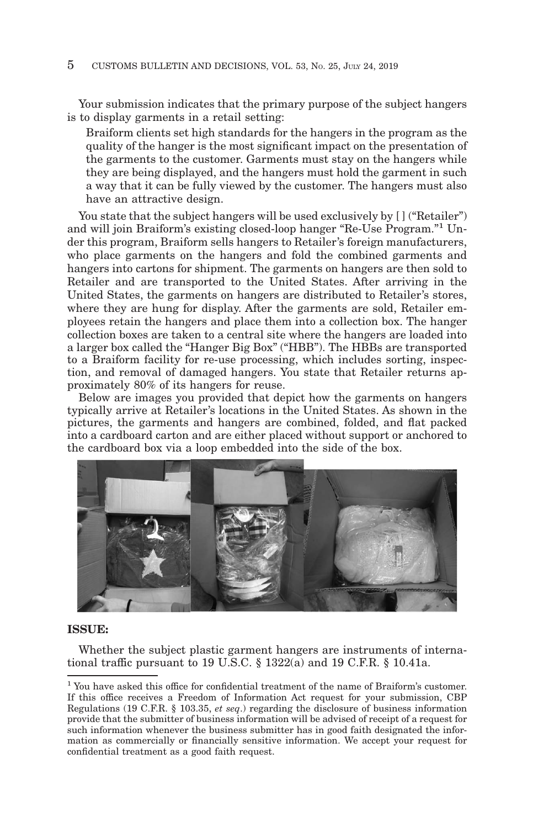## 5 CUSTOMS BULLETIN AND DECISIONS, VOL. 53, NO. 25, JULY 24, 2019

Your submission indicates that the primary purpose of the subject hangers is to display garments in a retail setting:

Braiform clients set high standards for the hangers in the program as the quality of the hanger is the most significant impact on the presentation of the garments to the customer. Garments must stay on the hangers while they are being displayed, and the hangers must hold the garment in such a way that it can be fully viewed by the customer. The hangers must also have an attractive design.

You state that the subject hangers will be used exclusively by  $[$  ] ("Retailer") and will join Braiform's existing closed-loop hanger "Re-Use Program."1 Under this program, Braiform sells hangers to Retailer's foreign manufacturers, who place garments on the hangers and fold the combined garments and hangers into cartons for shipment. The garments on hangers are then sold to Retailer and are transported to the United States. After arriving in the United States, the garments on hangers are distributed to Retailer's stores, where they are hung for display. After the garments are sold, Retailer employees retain the hangers and place them into a collection box. The hanger collection boxes are taken to a central site where the hangers are loaded into a larger box called the "Hanger Big Box" ("HBB"). The HBBs are transported to a Braiform facility for re-use processing, which includes sorting, inspection, and removal of damaged hangers. You state that Retailer returns approximately 80% of its hangers for reuse.

Below are images you provided that depict how the garments on hangers typically arrive at Retailer's locations in the United States. As shown in the pictures, the garments and hangers are combined, folded, and flat packed into a cardboard carton and are either placed without support or anchored to the cardboard box via a loop embedded into the side of the box.



## **ISSUE:**

Whether the subject plastic garment hangers are instruments of international traffic pursuant to 19 U.S.C. § 1322(a) and 19 C.F.R. § 10.41a.

<sup>&</sup>lt;sup>1</sup> You have asked this office for confidential treatment of the name of Braiform's customer. If this office receives a Freedom of Information Act request for your submission, CBP Regulations (19 C.F.R. § 103.35, *et seq*.) regarding the disclosure of business information provide that the submitter of business information will be advised of receipt of a request for such information whenever the business submitter has in good faith designated the information as commercially or financially sensitive information. We accept your request for confidential treatment as a good faith request.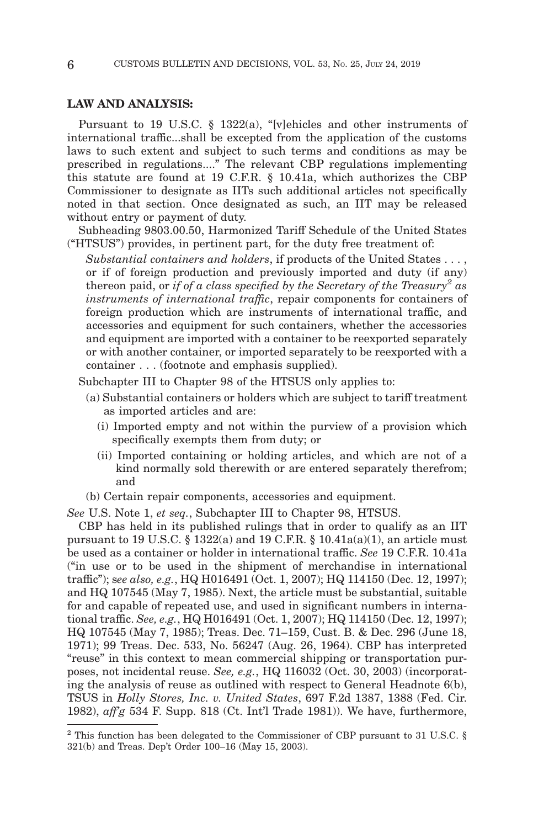## **LAW AND ANALYSIS:**

Pursuant to 19 U.S.C. § 1322(a), "[v]ehicles and other instruments of international traffic...shall be excepted from the application of the customs laws to such extent and subject to such terms and conditions as may be prescribed in regulations...." The relevant CBP regulations implementing this statute are found at 19 C.F.R. § 10.41a, which authorizes the CBP Commissioner to designate as IITs such additional articles not specifically noted in that section. Once designated as such, an IIT may be released without entry or payment of duty.

Subheading 9803.00.50, Harmonized Tariff Schedule of the United States ("HTSUS") provides, in pertinent part, for the duty free treatment of:

*Substantial containers and holders*, if products of the United States . . . , or if of foreign production and previously imported and duty (if any) thereon paid, or *if of a class specified by the Secretary of the Treasury2 as instruments of international traffic*, repair components for containers of foreign production which are instruments of international traffic, and accessories and equipment for such containers, whether the accessories and equipment are imported with a container to be reexported separately or with another container, or imported separately to be reexported with a container . . . (footnote and emphasis supplied).

Subchapter III to Chapter 98 of the HTSUS only applies to:

- (a) Substantial containers or holders which are subject to tariff treatment as imported articles and are:
	- (i) Imported empty and not within the purview of a provision which specifically exempts them from duty; or
	- (ii) Imported containing or holding articles, and which are not of a kind normally sold therewith or are entered separately therefrom; and
- (b) Certain repair components, accessories and equipment.

*See* U.S. Note 1, *et seq.*, Subchapter III to Chapter 98, HTSUS.

CBP has held in its published rulings that in order to qualify as an IIT pursuant to 19 U.S.C.  $\S$  1322(a) and 19 C.F.R.  $\S$  10.41a(a)(1), an article must be used as a container or holder in international traffic. *See* 19 C.F.R. 10.41a ("in use or to be used in the shipment of merchandise in international traffic"); s*ee also, e.g.*, HQ H016491 (Oct. 1, 2007); HQ 114150 (Dec. 12, 1997); and HQ 107545 (May 7, 1985). Next, the article must be substantial, suitable for and capable of repeated use, and used in significant numbers in international traffic. *See, e.g.*, HQ H016491 (Oct. 1, 2007); HQ 114150 (Dec. 12, 1997); HQ 107545 (May 7, 1985); Treas. Dec. 71–159, Cust. B. & Dec. 296 (June 18, 1971); 99 Treas. Dec. 533, No. 56247 (Aug. 26, 1964). CBP has interpreted "reuse" in this context to mean commercial shipping or transportation purposes, not incidental reuse. *See, e.g.*, HQ 116032 (Oct. 30, 2003) (incorporating the analysis of reuse as outlined with respect to General Headnote 6(b), TSUS in *Holly Stores, Inc. v. United States*, 697 F.2d 1387, 1388 (Fed. Cir. 1982), *aff'g* 534 F. Supp. 818 (Ct. Int'l Trade 1981)). We have, furthermore,

 $^2$  This function has been delegated to the Commissioner of CBP pursuant to 31 U.S.C.  $\S$ 321(b) and Treas. Dep't Order 100–16 (May 15, 2003).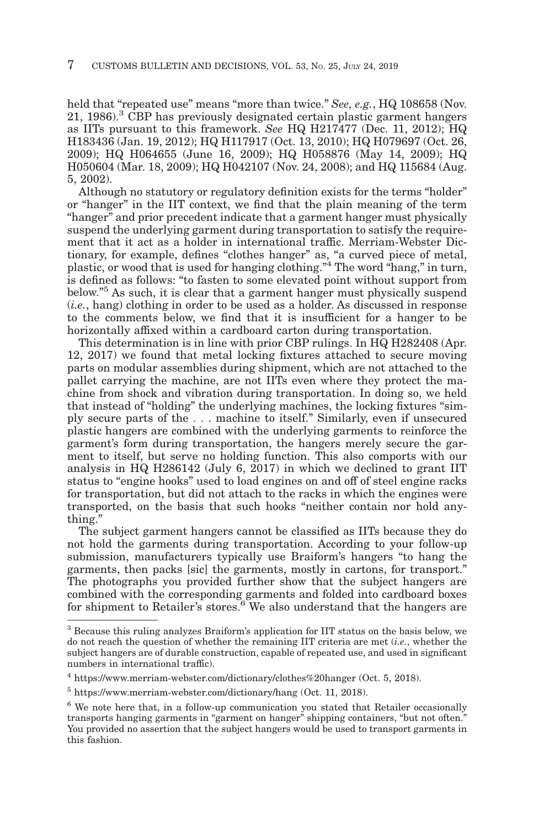held that "repeated use" means "more than twice." *See, e.g.*, HQ 108658 (Nov. 21, 1986).3 CBP has previously designated certain plastic garment hangers as IITs pursuant to this framework. *See* HQ H217477 (Dec. 11, 2012); HQ H183436 (Jan. 19, 2012); HQ H117917 (Oct. 13, 2010); HQ H079697 (Oct. 26, 2009); HQ H064655 (June 16, 2009); HQ H058876 (May 14, 2009); HQ H050604 (Mar. 18, 2009); HQ H042107 (Nov. 24, 2008); and HQ 115684 (Aug. 5, 2002).

Although no statutory or regulatory definition exists for the terms "holder" or "hanger" in the IIT context, we find that the plain meaning of the term "hanger" and prior precedent indicate that a garment hanger must physically suspend the underlying garment during transportation to satisfy the requirement that it act as a holder in international traffic. Merriam-Webster Dictionary, for example, defines "clothes hanger" as, "a curved piece of metal, plastic, or wood that is used for hanging clothing."4 The word "hang," in turn, is defined as follows: "to fasten to some elevated point without support from below."5 As such, it is clear that a garment hanger must physically suspend (*i.e.*, hang) clothing in order to be used as a holder. As discussed in response to the comments below, we find that it is insufficient for a hanger to be horizontally affixed within a cardboard carton during transportation.

This determination is in line with prior CBP rulings. In HQ H282408 (Apr. 12, 2017) we found that metal locking fixtures attached to secure moving parts on modular assemblies during shipment, which are not attached to the pallet carrying the machine, are not IITs even where they protect the machine from shock and vibration during transportation. In doing so, we held that instead of "holding" the underlying machines, the locking fixtures "simply secure parts of the . . . machine to itself." Similarly, even if unsecured plastic hangers are combined with the underlying garments to reinforce the garment's form during transportation, the hangers merely secure the garment to itself, but serve no holding function. This also comports with our analysis in HQ H286142 (July 6, 2017) in which we declined to grant IIT status to "engine hooks" used to load engines on and off of steel engine racks for transportation, but did not attach to the racks in which the engines were transported, on the basis that such hooks "neither contain nor hold anything."

The subject garment hangers cannot be classified as IITs because they do not hold the garments during transportation. According to your follow-up submission, manufacturers typically use Braiform's hangers "to hang the garments, then packs [sic] the garments, mostly in cartons, for transport." The photographs you provided further show that the subject hangers are combined with the corresponding garments and folded into cardboard boxes for shipment to Retailer's stores.<sup>6</sup> We also understand that the hangers are

<sup>3</sup> Because this ruling analyzes Braiform's application for IIT status on the basis below, we do not reach the question of whether the remaining IIT criteria are met (*i.e.*, whether the subject hangers are of durable construction, capable of repeated use, and used in significant numbers in international traffic).

<sup>4</sup> https://www.merriam-webster.com/dictionary/clothes%20hanger (Oct. 5, 2018).

<sup>5</sup> https://www.merriam-webster.com/dictionary/hang (Oct. 11, 2018).

<sup>&</sup>lt;sup>6</sup> We note here that, in a follow-up communication you stated that Retailer occasionally transports hanging garments in "garment on hanger" shipping containers, "but not often." You provided no assertion that the subject hangers would be used to transport garments in this fashion.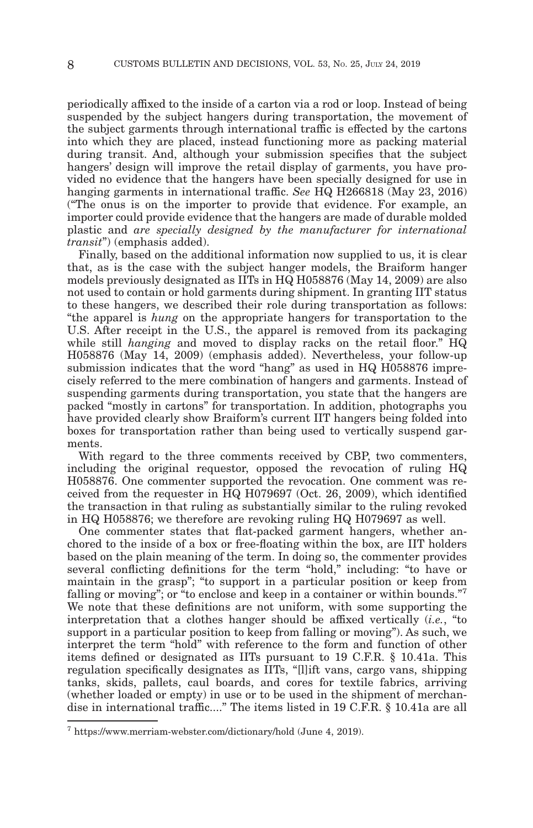periodically affixed to the inside of a carton via a rod or loop. Instead of being suspended by the subject hangers during transportation, the movement of the subject garments through international traffic is effected by the cartons into which they are placed, instead functioning more as packing material during transit. And, although your submission specifies that the subject hangers' design will improve the retail display of garments, you have provided no evidence that the hangers have been specially designed for use in hanging garments in international traffic. *See* HQ H266818 (May 23, 2016) ("The onus is on the importer to provide that evidence. For example, an importer could provide evidence that the hangers are made of durable molded plastic and *are specially designed by the manufacturer for international transit*") (emphasis added).

Finally, based on the additional information now supplied to us, it is clear that, as is the case with the subject hanger models, the Braiform hanger models previously designated as IITs in HQ H058876 (May 14, 2009) are also not used to contain or hold garments during shipment. In granting IIT status to these hangers, we described their role during transportation as follows: "the apparel is *hung* on the appropriate hangers for transportation to the U.S. After receipt in the U.S., the apparel is removed from its packaging while still *hanging* and moved to display racks on the retail floor." HQ H058876 (May 14, 2009) (emphasis added). Nevertheless, your follow-up submission indicates that the word "hang" as used in HQ H058876 imprecisely referred to the mere combination of hangers and garments. Instead of suspending garments during transportation, you state that the hangers are packed "mostly in cartons" for transportation. In addition, photographs you have provided clearly show Braiform's current IIT hangers being folded into boxes for transportation rather than being used to vertically suspend garments.

With regard to the three comments received by CBP, two commenters, including the original requestor, opposed the revocation of ruling HQ H058876. One commenter supported the revocation. One comment was received from the requester in HQ H079697 (Oct. 26, 2009), which identified the transaction in that ruling as substantially similar to the ruling revoked in HQ H058876; we therefore are revoking ruling HQ H079697 as well.

One commenter states that flat-packed garment hangers, whether anchored to the inside of a box or free-floating within the box, are IIT holders based on the plain meaning of the term. In doing so, the commenter provides several conflicting definitions for the term "hold," including: "to have or maintain in the grasp"; "to support in a particular position or keep from falling or moving"; or "to enclose and keep in a container or within bounds."7 We note that these definitions are not uniform, with some supporting the interpretation that a clothes hanger should be affixed vertically (*i.e.*, "to support in a particular position to keep from falling or moving"). As such, we interpret the term "hold" with reference to the form and function of other items defined or designated as IITs pursuant to 19 C.F.R. § 10.41a. This regulation specifically designates as IITs, "[l]ift vans, cargo vans, shipping tanks, skids, pallets, caul boards, and cores for textile fabrics, arriving (whether loaded or empty) in use or to be used in the shipment of merchandise in international traffic...." The items listed in 19 C.F.R. § 10.41a are all

 $7$  https://www.merriam-webster.com/dictionary/hold (June 4, 2019).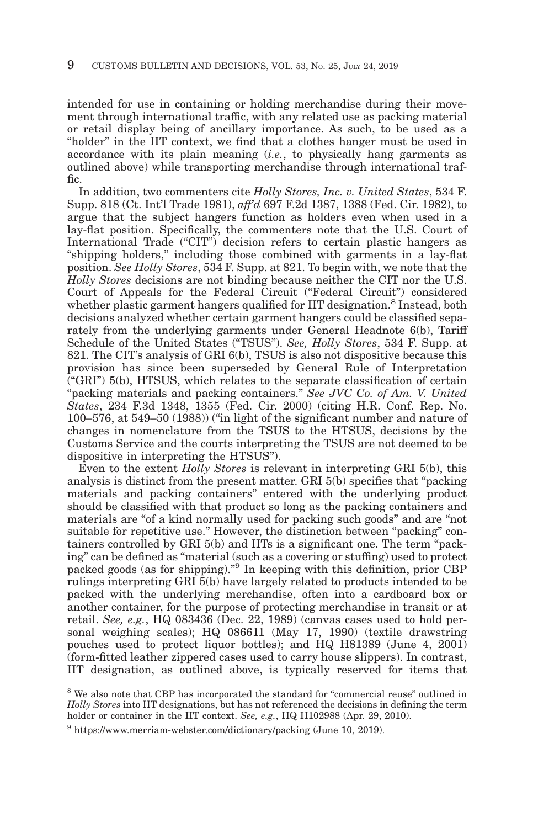intended for use in containing or holding merchandise during their movement through international traffic, with any related use as packing material or retail display being of ancillary importance. As such, to be used as a "holder" in the IIT context, we find that a clothes hanger must be used in accordance with its plain meaning (*i.e.*, to physically hang garments as outlined above) while transporting merchandise through international traffic.

In addition, two commenters cite *Holly Stores, Inc. v. United States*, 534 F. Supp. 818 (Ct. Int'l Trade 1981), *aff'd* 697 F.2d 1387, 1388 (Fed. Cir. 1982), to argue that the subject hangers function as holders even when used in a lay-flat position. Specifically, the commenters note that the U.S. Court of International Trade ("CIT") decision refers to certain plastic hangers as "shipping holders," including those combined with garments in a lay-flat position. *See Holly Stores*, 534 F. Supp. at 821. To begin with, we note that the *Holly Stores* decisions are not binding because neither the CIT nor the U.S. Court of Appeals for the Federal Circuit ("Federal Circuit") considered whether plastic garment hangers qualified for IIT designation.<sup>8</sup> Instead, both decisions analyzed whether certain garment hangers could be classified separately from the underlying garments under General Headnote 6(b), Tariff Schedule of the United States ("TSUS"). *See, Holly Stores*, 534 F. Supp. at 821. The CIT's analysis of GRI 6(b), TSUS is also not dispositive because this provision has since been superseded by General Rule of Interpretation  $(GRI")$  5(b), HTSUS, which relates to the separate classification of certain "packing materials and packing containers." *See JVC Co. of Am. V. United States*, 234 F.3d 1348, 1355 (Fed. Cir. 2000) (citing H.R. Conf. Rep. No. 100–576, at 549–50 (1988)) ("in light of the significant number and nature of changes in nomenclature from the TSUS to the HTSUS, decisions by the Customs Service and the courts interpreting the TSUS are not deemed to be dispositive in interpreting the HTSUS").

Even to the extent *Holly Stores* is relevant in interpreting GRI 5(b), this analysis is distinct from the present matter. GRI 5(b) specifies that "packing materials and packing containers" entered with the underlying product should be classified with that product so long as the packing containers and materials are "of a kind normally used for packing such goods" and are "not suitable for repetitive use." However, the distinction between "packing" containers controlled by GRI 5(b) and IITs is a significant one. The term "packing" can be defined as "material (such as a covering or stuffing) used to protect packed goods (as for shipping)."9 In keeping with this definition, prior CBP rulings interpreting GRI 5(b) have largely related to products intended to be packed with the underlying merchandise, often into a cardboard box or another container, for the purpose of protecting merchandise in transit or at retail. *See, e.g.*, HQ 083436 (Dec. 22, 1989) (canvas cases used to hold personal weighing scales); HQ 086611 (May 17, 1990) (textile drawstring pouches used to protect liquor bottles); and HQ H81389 (June 4, 2001) (form-fitted leather zippered cases used to carry house slippers). In contrast, IIT designation, as outlined above, is typically reserved for items that

 $8$  We also note that CBP has incorporated the standard for "commercial reuse" outlined in *Holly Stores* into IIT designations, but has not referenced the decisions in defining the term holder or container in the IIT context. *See, e.g.*, HQ H102988 (Apr. 29, 2010).

<sup>9</sup> https://www.merriam-webster.com/dictionary/packing (June 10, 2019).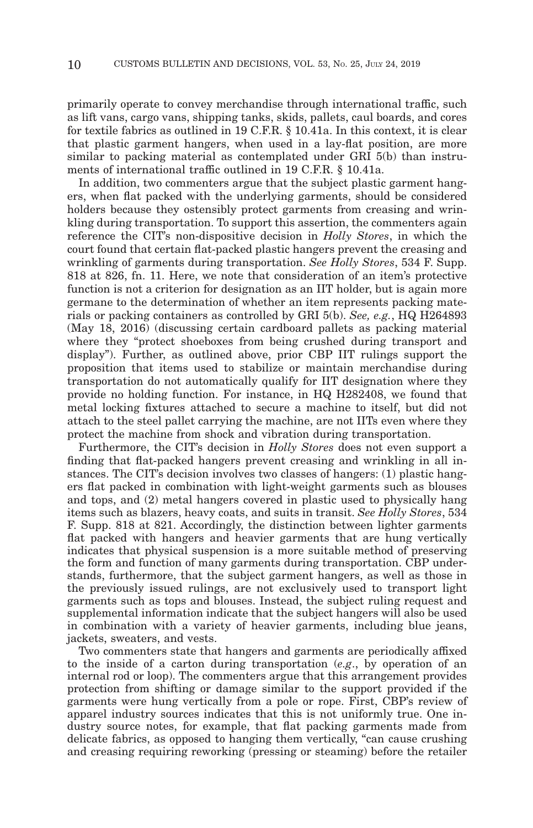primarily operate to convey merchandise through international traffic, such as lift vans, cargo vans, shipping tanks, skids, pallets, caul boards, and cores for textile fabrics as outlined in 19 C.F.R. § 10.41a. In this context, it is clear that plastic garment hangers, when used in a lay-flat position, are more similar to packing material as contemplated under GRI 5(b) than instruments of international traffic outlined in 19 C.F.R. § 10.41a.

In addition, two commenters argue that the subject plastic garment hangers, when flat packed with the underlying garments, should be considered holders because they ostensibly protect garments from creasing and wrinkling during transportation. To support this assertion, the commenters again reference the CIT's non-dispositive decision in *Holly Stores*, in which the court found that certain flat-packed plastic hangers prevent the creasing and wrinkling of garments during transportation. *See Holly Stores*, 534 F. Supp. 818 at 826, fn. 11. Here, we note that consideration of an item's protective function is not a criterion for designation as an IIT holder, but is again more germane to the determination of whether an item represents packing materials or packing containers as controlled by GRI 5(b). *See, e.g.*, HQ H264893 (May 18, 2016) (discussing certain cardboard pallets as packing material where they "protect shoeboxes from being crushed during transport and display"). Further, as outlined above, prior CBP IIT rulings support the proposition that items used to stabilize or maintain merchandise during transportation do not automatically qualify for IIT designation where they provide no holding function. For instance, in HQ H282408, we found that metal locking fixtures attached to secure a machine to itself, but did not attach to the steel pallet carrying the machine, are not IITs even where they protect the machine from shock and vibration during transportation.

Furthermore, the CIT's decision in *Holly Stores* does not even support a finding that flat-packed hangers prevent creasing and wrinkling in all instances. The CIT's decision involves two classes of hangers: (1) plastic hangers flat packed in combination with light-weight garments such as blouses and tops, and (2) metal hangers covered in plastic used to physically hang items such as blazers, heavy coats, and suits in transit. *See Holly Stores*, 534 F. Supp. 818 at 821. Accordingly, the distinction between lighter garments flat packed with hangers and heavier garments that are hung vertically indicates that physical suspension is a more suitable method of preserving the form and function of many garments during transportation. CBP understands, furthermore, that the subject garment hangers, as well as those in the previously issued rulings, are not exclusively used to transport light garments such as tops and blouses. Instead, the subject ruling request and supplemental information indicate that the subject hangers will also be used in combination with a variety of heavier garments, including blue jeans, jackets, sweaters, and vests.

Two commenters state that hangers and garments are periodically affixed to the inside of a carton during transportation (*e.g*., by operation of an internal rod or loop). The commenters argue that this arrangement provides protection from shifting or damage similar to the support provided if the garments were hung vertically from a pole or rope. First, CBP's review of apparel industry sources indicates that this is not uniformly true. One industry source notes, for example, that flat packing garments made from delicate fabrics, as opposed to hanging them vertically, "can cause crushing and creasing requiring reworking (pressing or steaming) before the retailer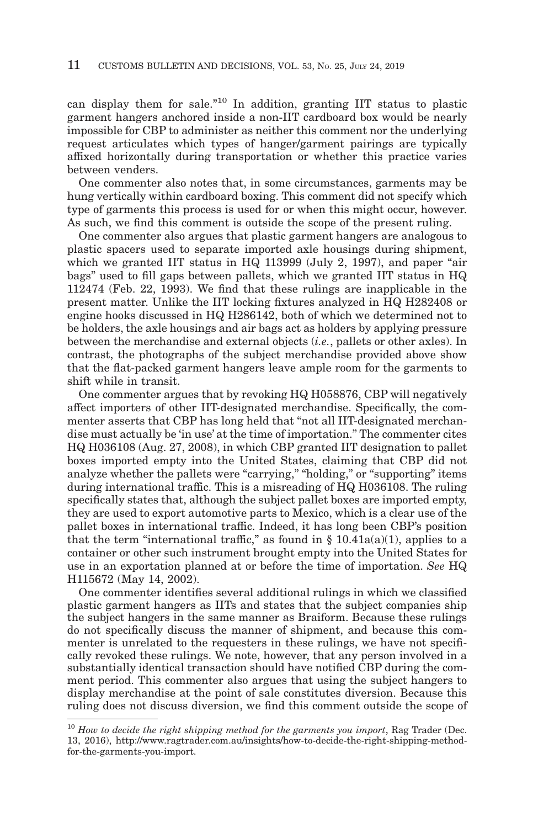can display them for sale."10 In addition, granting IIT status to plastic garment hangers anchored inside a non-IIT cardboard box would be nearly impossible for CBP to administer as neither this comment nor the underlying request articulates which types of hanger/garment pairings are typically affixed horizontally during transportation or whether this practice varies between venders.

One commenter also notes that, in some circumstances, garments may be hung vertically within cardboard boxing. This comment did not specify which type of garments this process is used for or when this might occur, however. As such, we find this comment is outside the scope of the present ruling.

One commenter also argues that plastic garment hangers are analogous to plastic spacers used to separate imported axle housings during shipment, which we granted IIT status in HQ 113999 (July 2, 1997), and paper "air bags" used to fill gaps between pallets, which we granted IIT status in HQ 112474 (Feb. 22, 1993). We find that these rulings are inapplicable in the present matter. Unlike the IIT locking fixtures analyzed in HQ H282408 or engine hooks discussed in HQ H286142, both of which we determined not to be holders, the axle housings and air bags act as holders by applying pressure between the merchandise and external objects (*i.e.*, pallets or other axles). In contrast, the photographs of the subject merchandise provided above show that the flat-packed garment hangers leave ample room for the garments to shift while in transit.

One commenter argues that by revoking HQ H058876, CBP will negatively affect importers of other IIT-designated merchandise. Specifically, the commenter asserts that CBP has long held that "not all IIT-designated merchandise must actually be 'in use' at the time of importation." The commenter cites HQ H036108 (Aug. 27, 2008), in which CBP granted IIT designation to pallet boxes imported empty into the United States, claiming that CBP did not analyze whether the pallets were "carrying," "holding," or "supporting" items during international traffic. This is a misreading of HQ H036108. The ruling specifically states that, although the subject pallet boxes are imported empty, they are used to export automotive parts to Mexico, which is a clear use of the pallet boxes in international traffic. Indeed, it has long been CBP's position that the term "international traffic," as found in  $\S$  10.41a(a)(1), applies to a container or other such instrument brought empty into the United States for use in an exportation planned at or before the time of importation. *See* HQ H115672 (May 14, 2002).

One commenter identifies several additional rulings in which we classified plastic garment hangers as IITs and states that the subject companies ship the subject hangers in the same manner as Braiform. Because these rulings do not specifically discuss the manner of shipment, and because this commenter is unrelated to the requesters in these rulings, we have not specifically revoked these rulings. We note, however, that any person involved in a substantially identical transaction should have notified CBP during the comment period. This commenter also argues that using the subject hangers to display merchandise at the point of sale constitutes diversion. Because this ruling does not discuss diversion, we find this comment outside the scope of

<sup>10</sup>*How to decide the right shipping method for the garments you import*, Rag Trader (Dec. 13, 2016), http://www.ragtrader.com.au/insights/how-to-decide-the-right-shipping-methodfor-the-garments-you-import.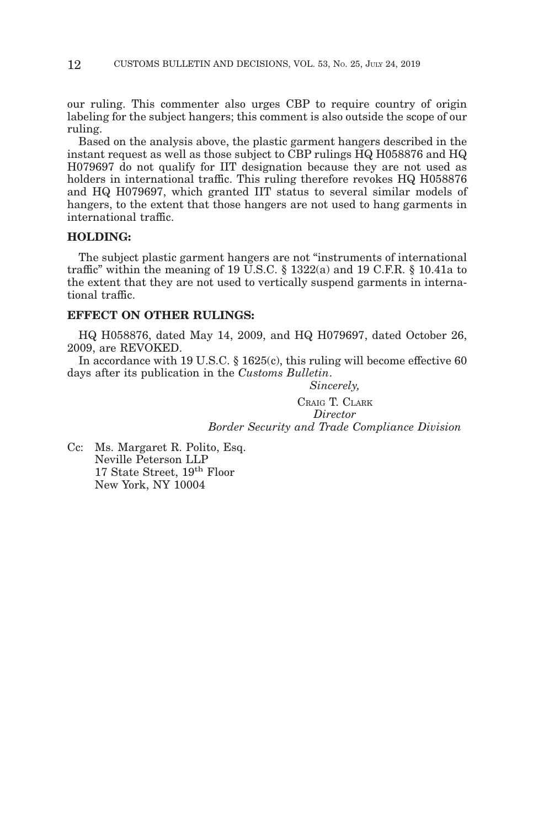our ruling. This commenter also urges CBP to require country of origin labeling for the subject hangers; this comment is also outside the scope of our ruling.

Based on the analysis above, the plastic garment hangers described in the instant request as well as those subject to CBP rulings HQ H058876 and HQ H079697 do not qualify for IIT designation because they are not used as holders in international traffic. This ruling therefore revokes HQ H058876 and HQ H079697, which granted IIT status to several similar models of hangers, to the extent that those hangers are not used to hang garments in international traffic.

## **HOLDING:**

The subject plastic garment hangers are not "instruments of international traffic" within the meaning of 19 U.S.C.  $\S$  1322(a) and 19 C.F.R.  $\S$  10.41a to the extent that they are not used to vertically suspend garments in international traffic.

## **EFFECT ON OTHER RULINGS:**

HQ H058876, dated May 14, 2009, and HQ H079697, dated October 26, 2009, are REVOKED.

In accordance with 19 U.S.C. § 1625(c), this ruling will become effective 60 days after its publication in the *Customs Bulletin*.

> *Sincerely,* CRAIG T. CLARK *Director Border Security and Trade Compliance Division*

Cc: Ms. Margaret R. Polito, Esq. Neville Peterson LLP 17 State Street, 19<sup>th</sup> Floor New York, NY 10004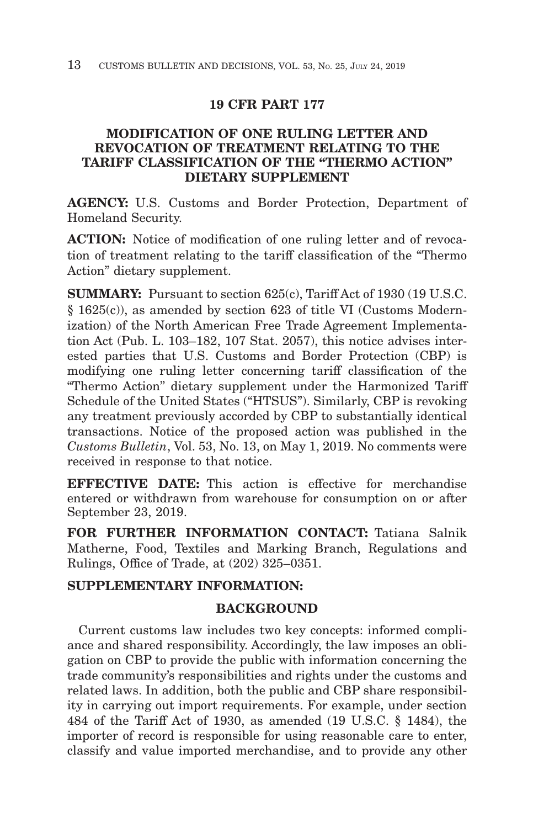# **19 CFR PART 177**

# **MODIFICATION OF ONE RULING LETTER AND REVOCATION OF TREATMENT RELATING TO THE TARIFF CLASSIFICATION OF THE "THERMO ACTION" DIETARY SUPPLEMENT**

**AGENCY:** U.S. Customs and Border Protection, Department of Homeland Security.

**ACTION:** Notice of modification of one ruling letter and of revocation of treatment relating to the tariff classification of the "Thermo Action" dietary supplement.

**SUMMARY:** Pursuant to section 625(c), Tariff Act of 1930 (19 U.S.C. § 1625(c)), as amended by section 623 of title VI (Customs Modernization) of the North American Free Trade Agreement Implementation Act (Pub. L. 103–182, 107 Stat. 2057), this notice advises interested parties that U.S. Customs and Border Protection (CBP) is modifying one ruling letter concerning tariff classification of the "Thermo Action" dietary supplement under the Harmonized Tariff Schedule of the United States ("HTSUS"). Similarly, CBP is revoking any treatment previously accorded by CBP to substantially identical transactions. Notice of the proposed action was published in the *Customs Bulletin*, Vol. 53, No. 13, on May 1, 2019. No comments were received in response to that notice.

**EFFECTIVE DATE:** This action is effective for merchandise entered or withdrawn from warehouse for consumption on or after September 23, 2019.

**FOR FURTHER INFORMATION CONTACT:** Tatiana Salnik Matherne, Food, Textiles and Marking Branch, Regulations and Rulings, Office of Trade, at (202) 325–0351.

# **SUPPLEMENTARY INFORMATION:**

# **BACKGROUND**

Current customs law includes two key concepts: informed compliance and shared responsibility. Accordingly, the law imposes an obligation on CBP to provide the public with information concerning the trade community's responsibilities and rights under the customs and related laws. In addition, both the public and CBP share responsibility in carrying out import requirements. For example, under section 484 of the Tariff Act of 1930, as amended (19 U.S.C. § 1484), the importer of record is responsible for using reasonable care to enter, classify and value imported merchandise, and to provide any other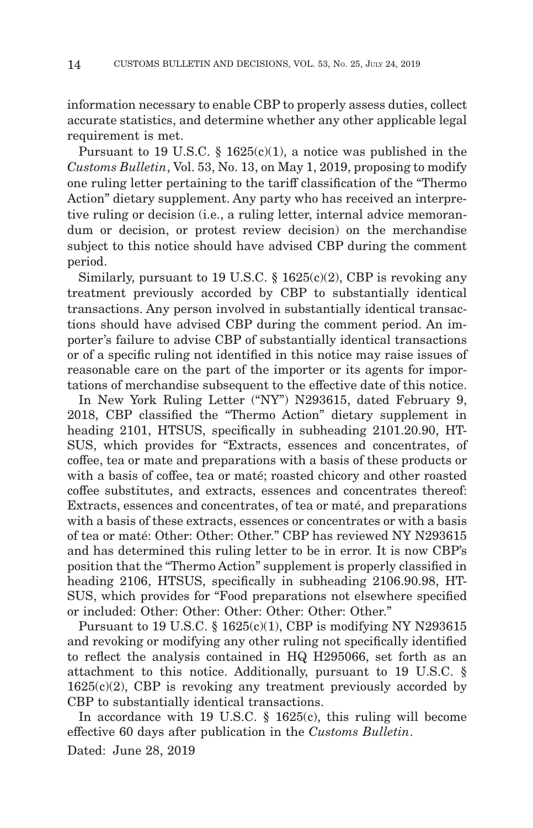information necessary to enable CBP to properly assess duties, collect accurate statistics, and determine whether any other applicable legal requirement is met.

Pursuant to 19 U.S.C. § 1625(c)(1), a notice was published in the *Customs Bulletin*, Vol. 53, No. 13, on May 1, 2019, proposing to modify one ruling letter pertaining to the tariff classification of the "Thermo Action" dietary supplement. Any party who has received an interpretive ruling or decision (i.e., a ruling letter, internal advice memorandum or decision, or protest review decision) on the merchandise subject to this notice should have advised CBP during the comment period.

Similarly, pursuant to 19 U.S.C.  $\S$  1625(c)(2), CBP is revoking any treatment previously accorded by CBP to substantially identical transactions. Any person involved in substantially identical transactions should have advised CBP during the comment period. An importer's failure to advise CBP of substantially identical transactions or of a specific ruling not identified in this notice may raise issues of reasonable care on the part of the importer or its agents for importations of merchandise subsequent to the effective date of this notice.

In New York Ruling Letter ("NY") N293615, dated February 9, 2018, CBP classified the "Thermo Action" dietary supplement in heading 2101, HTSUS, specifically in subheading 2101.20.90, HT-SUS, which provides for "Extracts, essences and concentrates, of coffee, tea or mate and preparations with a basis of these products or with a basis of coffee, tea or maté; roasted chicory and other roasted coffee substitutes, and extracts, essences and concentrates thereof: Extracts, essences and concentrates, of tea or maté, and preparations with a basis of these extracts, essences or concentrates or with a basis of tea or maté: Other: Other: Other." CBP has reviewed NY N293615 and has determined this ruling letter to be in error. It is now CBP's position that the "Thermo Action" supplement is properly classified in heading 2106, HTSUS, specifically in subheading 2106.90.98, HT-SUS, which provides for "Food preparations not elsewhere specified or included: Other: Other: Other: Other: Other: Other."

Pursuant to 19 U.S.C.  $\S$  1625(c)(1), CBP is modifying NY N293615 and revoking or modifying any other ruling not specifically identified to reflect the analysis contained in HQ H295066, set forth as an attachment to this notice. Additionally, pursuant to 19 U.S.C. §  $1625(c)(2)$ , CBP is revoking any treatment previously accorded by CBP to substantially identical transactions.

In accordance with 19 U.S.C. § 1625(c), this ruling will become effective 60 days after publication in the *Customs Bulletin*. Dated: June 28, 2019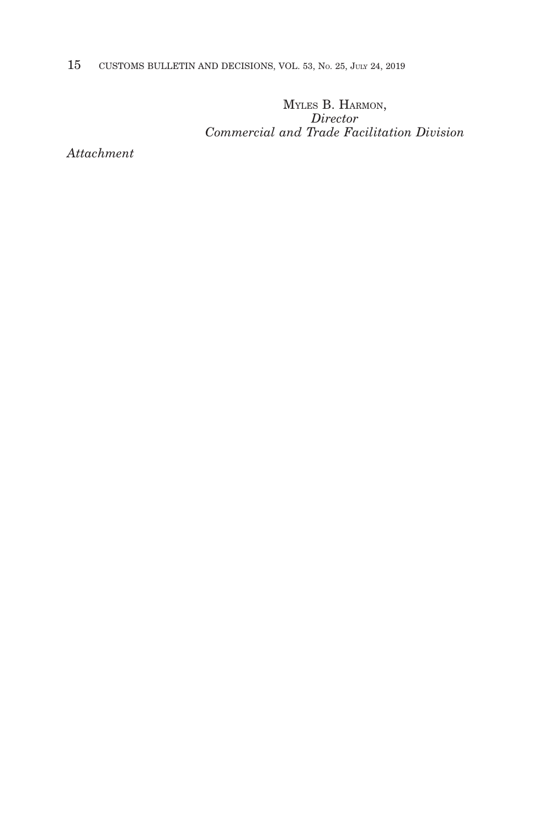15 CUSTOMS BULLETIN AND DECISIONS, VOL. 53, NO. 25, JULY 24, 2019

MYLES B. HARMON, *Director Commercial and Trade Facilitation Division*

*Attachment*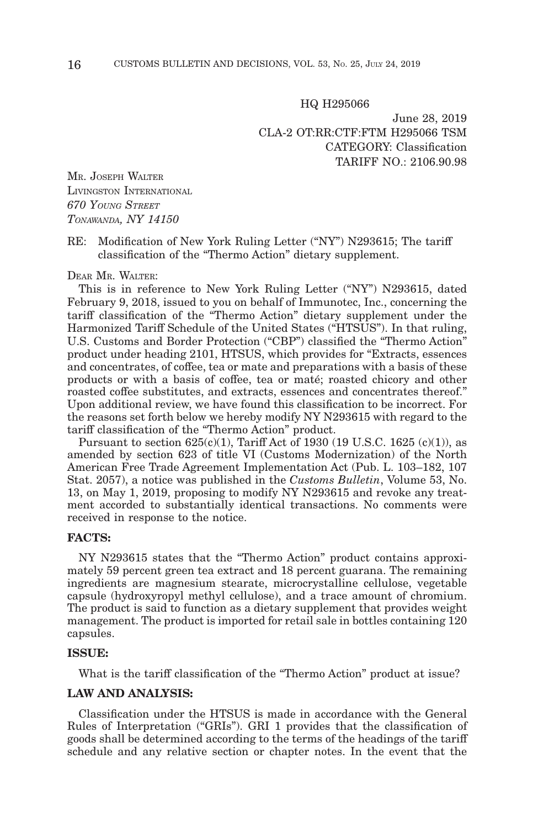#### HQ H295066

June 28, 2019 CLA-2 OT:RR:CTF:FTM H295066 TSM CATEGORY: Classification TARIFF NO.: 2106.90.98

MR. JOSEPH WALTER LIVINGSTON INTERNATIONAL *670 YOUNG STREET TONAWANDA, NY 14150*

#### RE: Modification of New York Ruling Letter ("NY") N293615; The tariff classification of the "Thermo Action" dietary supplement.

#### DEAR MR. WALTER:

This is in reference to New York Ruling Letter ("NY") N293615, dated February 9, 2018, issued to you on behalf of Immunotec, Inc., concerning the tariff classification of the "Thermo Action" dietary supplement under the Harmonized Tariff Schedule of the United States ("HTSUS"). In that ruling, U.S. Customs and Border Protection ("CBP") classified the "Thermo Action" product under heading 2101, HTSUS, which provides for "Extracts, essences and concentrates, of coffee, tea or mate and preparations with a basis of these products or with a basis of coffee, tea or maté; roasted chicory and other roasted coffee substitutes, and extracts, essences and concentrates thereof." Upon additional review, we have found this classification to be incorrect. For the reasons set forth below we hereby modify NY N293615 with regard to the tariff classification of the "Thermo Action" product.

Pursuant to section  $625(c)(1)$ , Tariff Act of 1930 (19 U.S.C. 1625 (c)(1)), as amended by section 623 of title VI (Customs Modernization) of the North American Free Trade Agreement Implementation Act (Pub. L. 103–182, 107 Stat. 2057), a notice was published in the *Customs Bulletin*, Volume 53, No. 13, on May 1, 2019, proposing to modify NY N293615 and revoke any treatment accorded to substantially identical transactions. No comments were received in response to the notice.

## **FACTS:**

NY N293615 states that the "Thermo Action" product contains approximately 59 percent green tea extract and 18 percent guarana. The remaining ingredients are magnesium stearate, microcrystalline cellulose, vegetable capsule (hydroxyropyl methyl cellulose), and a trace amount of chromium. The product is said to function as a dietary supplement that provides weight management. The product is imported for retail sale in bottles containing 120 capsules.

#### **ISSUE:**

What is the tariff classification of the "Thermo Action" product at issue?

## **LAW AND ANALYSIS:**

Classification under the HTSUS is made in accordance with the General Rules of Interpretation ("GRIs"). GRI 1 provides that the classification of goods shall be determined according to the terms of the headings of the tariff schedule and any relative section or chapter notes. In the event that the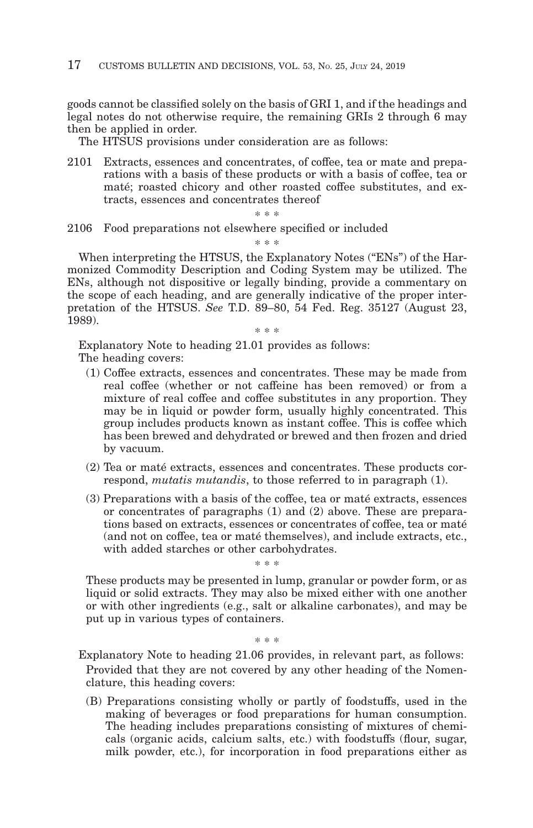goods cannot be classified solely on the basis of GRI 1, and if the headings and legal notes do not otherwise require, the remaining GRIs 2 through 6 may then be applied in order.

The HTSUS provisions under consideration are as follows:

2101 Extracts, essences and concentrates, of coffee, tea or mate and preparations with a basis of these products or with a basis of coffee, tea or maté; roasted chicory and other roasted coffee substitutes, and extracts, essences and concentrates thereof

\* \* \*

2106 Food preparations not elsewhere specified or included

\* \* \*

When interpreting the HTSUS, the Explanatory Notes ("ENs") of the Harmonized Commodity Description and Coding System may be utilized. The ENs, although not dispositive or legally binding, provide a commentary on the scope of each heading, and are generally indicative of the proper interpretation of the HTSUS. *See* T.D. 89–80, 54 Fed. Reg. 35127 (August 23, 1989).

\* \* \*

Explanatory Note to heading 21.01 provides as follows: The heading covers:

- (1) Coffee extracts, essences and concentrates. These may be made from real coffee (whether or not caffeine has been removed) or from a mixture of real coffee and coffee substitutes in any proportion. They may be in liquid or powder form, usually highly concentrated. This group includes products known as instant coffee. This is coffee which has been brewed and dehydrated or brewed and then frozen and dried by vacuum.
- (2) Tea or maté extracts, essences and concentrates. These products correspond, *mutatis mutandis*, to those referred to in paragraph (1).
- (3) Preparations with a basis of the coffee, tea or maté extracts, essences or concentrates of paragraphs (1) and (2) above. These are preparations based on extracts, essences or concentrates of coffee, tea or maté (and not on coffee, tea or maté themselves), and include extracts, etc., with added starches or other carbohydrates.

These products may be presented in lump, granular or powder form, or as liquid or solid extracts. They may also be mixed either with one another or with other ingredients (e.g., salt or alkaline carbonates), and may be put up in various types of containers.

\* \* \*

\* \* \*

Explanatory Note to heading 21.06 provides, in relevant part, as follows: Provided that they are not covered by any other heading of the Nomenclature, this heading covers:

(B) Preparations consisting wholly or partly of foodstuffs, used in the making of beverages or food preparations for human consumption. The heading includes preparations consisting of mixtures of chemicals (organic acids, calcium salts, etc.) with foodstuffs (flour, sugar, milk powder, etc.), for incorporation in food preparations either as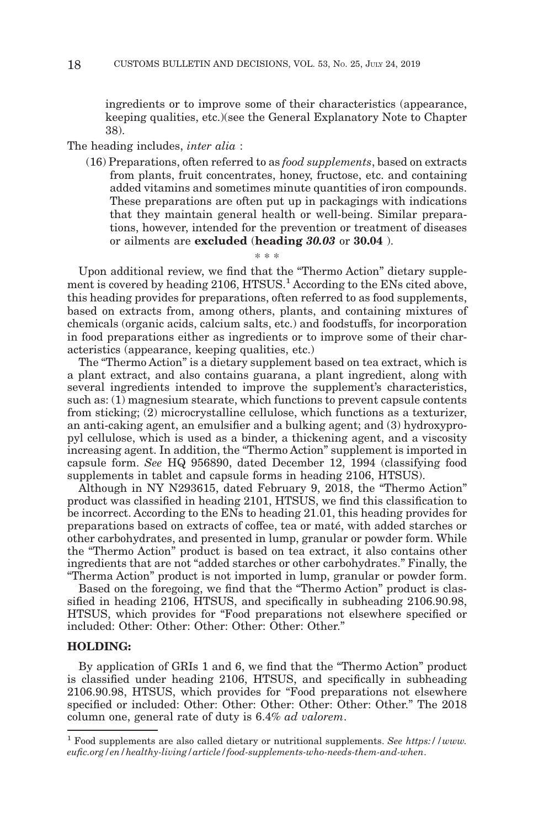ingredients or to improve some of their characteristics (appearance, keeping qualities, etc.)(see the General Explanatory Note to Chapter 38).

#### The heading includes, *inter alia* :

(16) Preparations, often referred to as *food supplements*, based on extracts from plants, fruit concentrates, honey, fructose, etc. and containing added vitamins and sometimes minute quantities of iron compounds. These preparations are often put up in packagings with indications that they maintain general health or well-being. Similar preparations, however, intended for the prevention or treatment of diseases or ailments are **excluded** (**heading** *30.03* or **30.04** ).

\* \* \* Upon additional review, we find that the "Thermo Action" dietary supplement is covered by heading 2106, HTSUS.<sup>1</sup> According to the ENs cited above, this heading provides for preparations, often referred to as food supplements, based on extracts from, among others, plants, and containing mixtures of chemicals (organic acids, calcium salts, etc.) and foodstuffs, for incorporation in food preparations either as ingredients or to improve some of their characteristics (appearance, keeping qualities, etc.)

The "Thermo Action" is a dietary supplement based on tea extract, which is a plant extract, and also contains guarana, a plant ingredient, along with several ingredients intended to improve the supplement's characteristics, such as: (1) magnesium stearate, which functions to prevent capsule contents from sticking; (2) microcrystalline cellulose, which functions as a texturizer, an anti-caking agent, an emulsifier and a bulking agent; and (3) hydroxypropyl cellulose, which is used as a binder, a thickening agent, and a viscosity increasing agent. In addition, the "Thermo Action" supplement is imported in capsule form. *See* HQ 956890, dated December 12, 1994 (classifying food supplements in tablet and capsule forms in heading 2106, HTSUS).

Although in NY N293615, dated February 9, 2018, the "Thermo Action" product was classified in heading 2101, HTSUS, we find this classification to be incorrect. According to the ENs to heading 21.01, this heading provides for preparations based on extracts of coffee, tea or maté, with added starches or other carbohydrates, and presented in lump, granular or powder form. While the "Thermo Action" product is based on tea extract, it also contains other ingredients that are not "added starches or other carbohydrates." Finally, the "Therma Action" product is not imported in lump, granular or powder form.

Based on the foregoing, we find that the "Thermo Action" product is classified in heading 2106, HTSUS, and specifically in subheading 2106.90.98, HTSUS, which provides for "Food preparations not elsewhere specified or included: Other: Other: Other: Other: Other: Other."

## **HOLDING:**

By application of GRIs 1 and 6, we find that the "Thermo Action" product is classified under heading 2106, HTSUS, and specifically in subheading 2106.90.98, HTSUS, which provides for "Food preparations not elsewhere specified or included: Other: Other: Other: Other: Other: Other." The 2018 column one, general rate of duty is 6.4% *ad valorem*.

<sup>1</sup> Food supplements are also called dietary or nutritional supplements. *See https://www. eufic.org/en/healthy-living/article/food-supplements-who-needs-them-and-when*.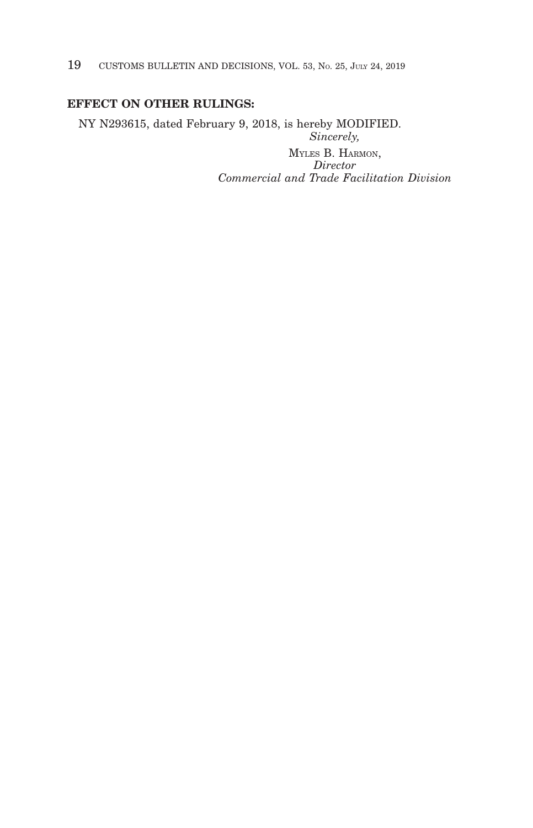19 CUSTOMS BULLETIN AND DECISIONS, VOL. 53, NO. 25, JULY 24, 2019

# **EFFECT ON OTHER RULINGS:**

NY N293615, dated February 9, 2018, is hereby MODIFIED. *Sincerely,*

> MYLES B. HARMON, *Director Commercial and Trade Facilitation Division*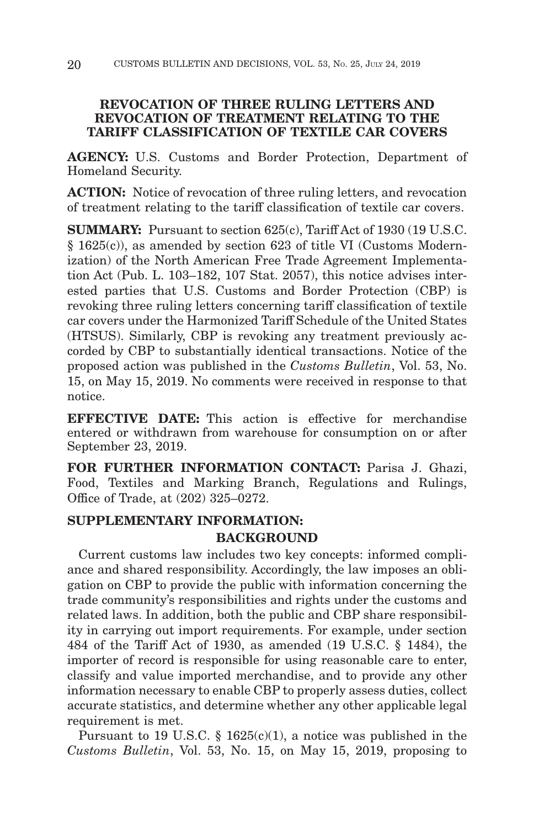# **REVOCATION OF THREE RULING LETTERS AND REVOCATION OF TREATMENT RELATING TO THE TARIFF CLASSIFICATION OF TEXTILE CAR COVERS**

**AGENCY:** U.S. Customs and Border Protection, Department of Homeland Security.

**ACTION:** Notice of revocation of three ruling letters, and revocation of treatment relating to the tariff classification of textile car covers.

**SUMMARY:** Pursuant to section 625(c), Tariff Act of 1930 (19 U.S.C. § 1625(c)), as amended by section 623 of title VI (Customs Modernization) of the North American Free Trade Agreement Implementation Act (Pub. L. 103–182, 107 Stat. 2057), this notice advises interested parties that U.S. Customs and Border Protection (CBP) is revoking three ruling letters concerning tariff classification of textile car covers under the Harmonized Tariff Schedule of the United States (HTSUS). Similarly, CBP is revoking any treatment previously accorded by CBP to substantially identical transactions. Notice of the proposed action was published in the *Customs Bulletin*, Vol. 53, No. 15, on May 15, 2019. No comments were received in response to that notice.

**EFFECTIVE DATE:** This action is effective for merchandise entered or withdrawn from warehouse for consumption on or after September 23, 2019.

FOR FURTHER INFORMATION CONTACT: Parisa J. Ghazi, Food, Textiles and Marking Branch, Regulations and Rulings, Office of Trade, at (202) 325–0272.

# **SUPPLEMENTARY INFORMATION: BACKGROUND**

Current customs law includes two key concepts: informed compliance and shared responsibility. Accordingly, the law imposes an obligation on CBP to provide the public with information concerning the trade community's responsibilities and rights under the customs and related laws. In addition, both the public and CBP share responsibility in carrying out import requirements. For example, under section 484 of the Tariff Act of 1930, as amended (19 U.S.C. § 1484), the importer of record is responsible for using reasonable care to enter, classify and value imported merchandise, and to provide any other information necessary to enable CBP to properly assess duties, collect accurate statistics, and determine whether any other applicable legal requirement is met.

Pursuant to 19 U.S.C.  $\S$  1625(c)(1), a notice was published in the *Customs Bulletin*, Vol. 53, No. 15, on May 15, 2019, proposing to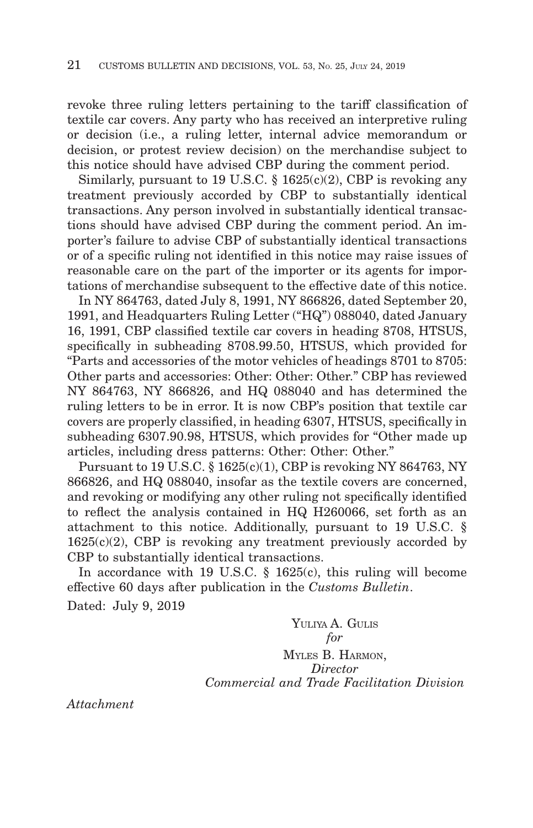revoke three ruling letters pertaining to the tariff classification of textile car covers. Any party who has received an interpretive ruling or decision (i.e., a ruling letter, internal advice memorandum or decision, or protest review decision) on the merchandise subject to this notice should have advised CBP during the comment period.

Similarly, pursuant to 19 U.S.C. § 1625(c)(2), CBP is revoking any treatment previously accorded by CBP to substantially identical transactions. Any person involved in substantially identical transactions should have advised CBP during the comment period. An importer's failure to advise CBP of substantially identical transactions or of a specific ruling not identified in this notice may raise issues of reasonable care on the part of the importer or its agents for importations of merchandise subsequent to the effective date of this notice.

In NY 864763, dated July 8, 1991, NY 866826, dated September 20, 1991, and Headquarters Ruling Letter ("HQ") 088040, dated January 16, 1991, CBP classified textile car covers in heading 8708, HTSUS, specifically in subheading 8708.99.50, HTSUS, which provided for "Parts and accessories of the motor vehicles of headings 8701 to 8705: Other parts and accessories: Other: Other: Other." CBP has reviewed NY 864763, NY 866826, and HQ 088040 and has determined the ruling letters to be in error. It is now CBP's position that textile car covers are properly classified, in heading 6307, HTSUS, specifically in subheading 6307.90.98, HTSUS, which provides for "Other made up articles, including dress patterns: Other: Other: Other."

Pursuant to 19 U.S.C. § 1625(c)(1), CBP is revoking NY 864763, NY 866826, and HQ 088040, insofar as the textile covers are concerned, and revoking or modifying any other ruling not specifically identified to reflect the analysis contained in HQ H260066, set forth as an attachment to this notice. Additionally, pursuant to 19 U.S.C. §  $1625(c)(2)$ , CBP is revoking any treatment previously accorded by CBP to substantially identical transactions.

In accordance with 19 U.S.C. § 1625(c), this ruling will become effective 60 days after publication in the *Customs Bulletin*. Dated: July 9, 2019

> YULIYA A. GULIS *for* MYLES B. HARMON, *Director Commercial and Trade Facilitation Division*

*Attachment*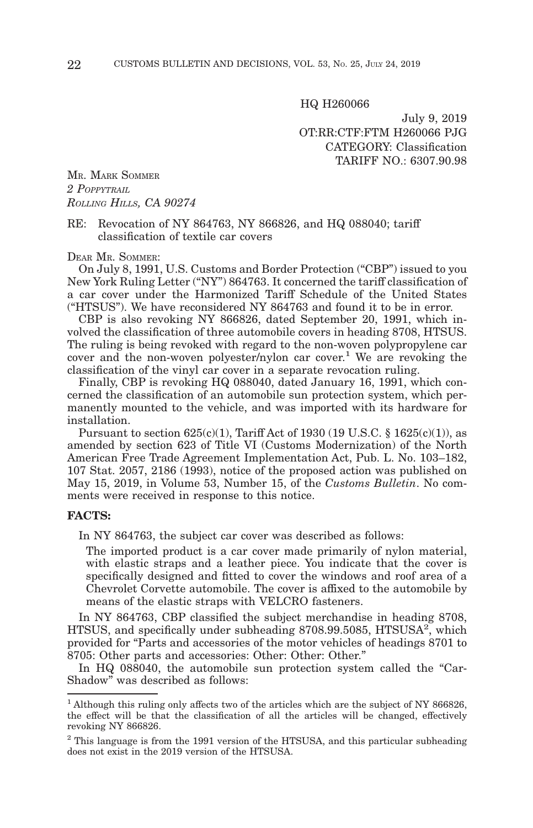HQ H260066

July 9, 2019 OT:RR:CTF:FTM H260066 PJG CATEGORY: Classification TARIFF NO.: 6307.90.98

MR. MARK SOMMER *2 POPPYTRAIL ROLLING HILLS, CA 90274*

RE: Revocation of NY 864763, NY 866826, and HQ 088040; tariff classification of textile car covers

DEAR MR. SOMMER:

On July 8, 1991, U.S. Customs and Border Protection ("CBP") issued to you New York Ruling Letter ("NY") 864763. It concerned the tariff classification of a car cover under the Harmonized Tariff Schedule of the United States ("HTSUS"). We have reconsidered NY 864763 and found it to be in error.

CBP is also revoking NY 866826, dated September 20, 1991, which involved the classification of three automobile covers in heading 8708, HTSUS. The ruling is being revoked with regard to the non-woven polypropylene car cover and the non-woven polyester/nylon car cover.<sup>1</sup> We are revoking the classification of the vinyl car cover in a separate revocation ruling.

Finally, CBP is revoking HQ 088040, dated January 16, 1991, which concerned the classification of an automobile sun protection system, which permanently mounted to the vehicle, and was imported with its hardware for installation.

Pursuant to section  $625(c)(1)$ , Tariff Act of 1930 (19 U.S.C. § 1625(c)(1)), as amended by section 623 of Title VI (Customs Modernization) of the North American Free Trade Agreement Implementation Act, Pub. L. No. 103–182, 107 Stat. 2057, 2186 (1993), notice of the proposed action was published on May 15, 2019, in Volume 53, Number 15, of the *Customs Bulletin*. No comments were received in response to this notice.

## **FACTS:**

In NY 864763, the subject car cover was described as follows:

The imported product is a car cover made primarily of nylon material, with elastic straps and a leather piece. You indicate that the cover is specifically designed and fitted to cover the windows and roof area of a Chevrolet Corvette automobile. The cover is affixed to the automobile by means of the elastic straps with VELCRO fasteners.

In NY 864763, CBP classified the subject merchandise in heading 8708, HTSUS, and specifically under subheading 8708.99.5085, HTSUSA<sup>2</sup>, which provided for "Parts and accessories of the motor vehicles of headings 8701 to 8705: Other parts and accessories: Other: Other: Other."

In HQ 088040, the automobile sun protection system called the "Car-Shadow" was described as follows:

 $1$  Although this ruling only affects two of the articles which are the subject of NY 866826, the effect will be that the classification of all the articles will be changed, effectively revoking NY 866826.

<sup>&</sup>lt;sup>2</sup> This language is from the 1991 version of the HTSUSA, and this particular subheading does not exist in the 2019 version of the HTSUSA.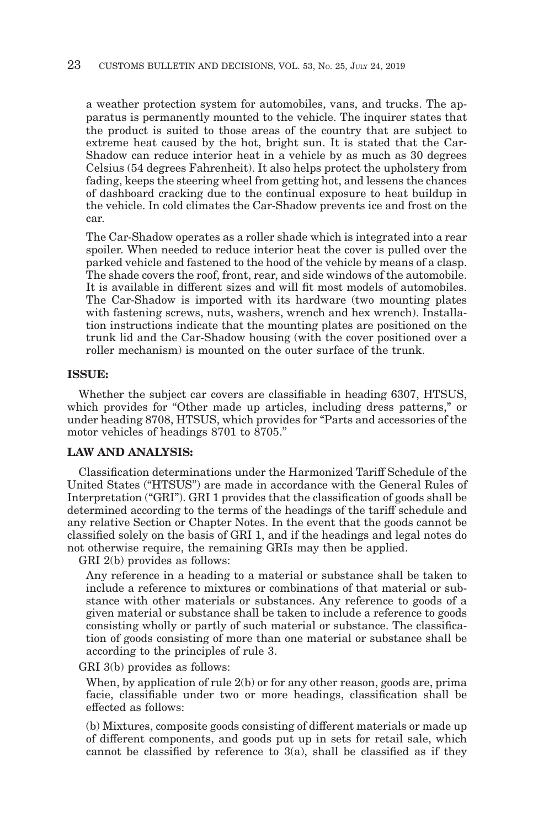a weather protection system for automobiles, vans, and trucks. The apparatus is permanently mounted to the vehicle. The inquirer states that the product is suited to those areas of the country that are subject to extreme heat caused by the hot, bright sun. It is stated that the Car-Shadow can reduce interior heat in a vehicle by as much as 30 degrees Celsius (54 degrees Fahrenheit). It also helps protect the upholstery from fading, keeps the steering wheel from getting hot, and lessens the chances of dashboard cracking due to the continual exposure to heat buildup in the vehicle. In cold climates the Car-Shadow prevents ice and frost on the car.

The Car-Shadow operates as a roller shade which is integrated into a rear spoiler. When needed to reduce interior heat the cover is pulled over the parked vehicle and fastened to the hood of the vehicle by means of a clasp. The shade covers the roof, front, rear, and side windows of the automobile. It is available in different sizes and will fit most models of automobiles. The Car-Shadow is imported with its hardware (two mounting plates with fastening screws, nuts, washers, wrench and hex wrench). Installation instructions indicate that the mounting plates are positioned on the trunk lid and the Car-Shadow housing (with the cover positioned over a roller mechanism) is mounted on the outer surface of the trunk.

## **ISSUE:**

Whether the subject car covers are classifiable in heading 6307, HTSUS, which provides for "Other made up articles, including dress patterns," or under heading 8708, HTSUS, which provides for "Parts and accessories of the motor vehicles of headings 8701 to 8705."

# **LAW AND ANALYSIS:**

Classification determinations under the Harmonized Tariff Schedule of the United States ("HTSUS") are made in accordance with the General Rules of Interpretation ("GRI"). GRI 1 provides that the classification of goods shall be determined according to the terms of the headings of the tariff schedule and any relative Section or Chapter Notes. In the event that the goods cannot be classified solely on the basis of GRI 1, and if the headings and legal notes do not otherwise require, the remaining GRIs may then be applied.

GRI 2(b) provides as follows:

Any reference in a heading to a material or substance shall be taken to include a reference to mixtures or combinations of that material or substance with other materials or substances. Any reference to goods of a given material or substance shall be taken to include a reference to goods consisting wholly or partly of such material or substance. The classification of goods consisting of more than one material or substance shall be according to the principles of rule 3.

GRI 3(b) provides as follows:

When, by application of rule 2(b) or for any other reason, goods are, prima facie, classifiable under two or more headings, classification shall be effected as follows:

(b) Mixtures, composite goods consisting of different materials or made up of different components, and goods put up in sets for retail sale, which cannot be classified by reference to  $3(a)$ , shall be classified as if they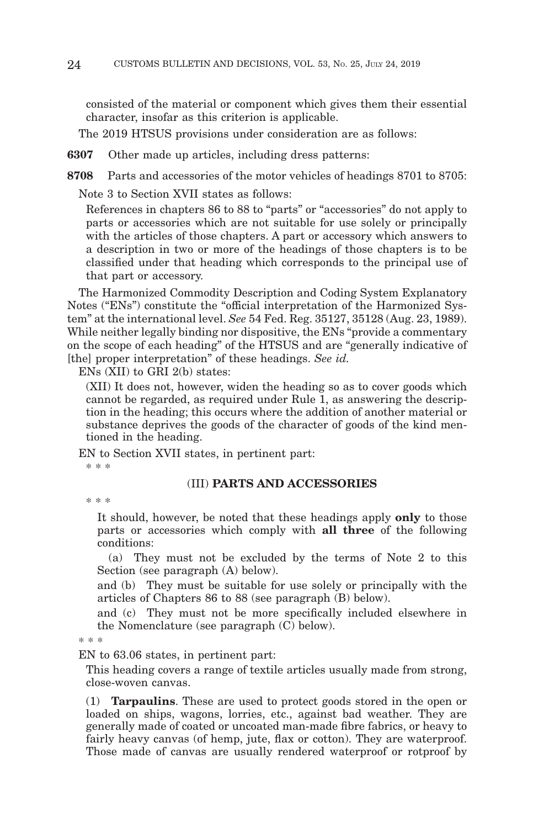consisted of the material or component which gives them their essential character, insofar as this criterion is applicable.

The 2019 HTSUS provisions under consideration are as follows:

**6307** Other made up articles, including dress patterns:

**8708** Parts and accessories of the motor vehicles of headings 8701 to 8705:

Note 3 to Section XVII states as follows:

References in chapters 86 to 88 to "parts" or "accessories" do not apply to parts or accessories which are not suitable for use solely or principally with the articles of those chapters. A part or accessory which answers to a description in two or more of the headings of those chapters is to be classified under that heading which corresponds to the principal use of that part or accessory.

The Harmonized Commodity Description and Coding System Explanatory Notes ("ENs") constitute the "official interpretation of the Harmonized System" at the international level. *See* 54 Fed. Reg. 35127, 35128 (Aug. 23, 1989). While neither legally binding nor dispositive, the ENs "provide a commentary on the scope of each heading" of the HTSUS and are "generally indicative of [the] proper interpretation" of these headings. *See id.*

ENs (XII) to GRI 2(b) states:

(XII) It does not, however, widen the heading so as to cover goods which cannot be regarded, as required under Rule 1, as answering the description in the heading; this occurs where the addition of another material or substance deprives the goods of the character of goods of the kind mentioned in the heading.

EN to Section XVII states, in pertinent part:

\* \* \*

#### (III) **PARTS AND ACCESSORIES**

\* \* \*

It should, however, be noted that these headings apply **only** to those parts or accessories which comply with **all three** of the following conditions:

 (a) They must not be excluded by the terms of Note 2 to this Section (see paragraph (A) below).

and (b) They must be suitable for use solely or principally with the articles of Chapters 86 to 88 (see paragraph (B) below).

and (c) They must not be more specifically included elsewhere in the Nomenclature (see paragraph (C) below).

\* \* \*

EN to 63.06 states, in pertinent part:

This heading covers a range of textile articles usually made from strong, close-woven canvas.

(1) **Tarpaulins**. These are used to protect goods stored in the open or loaded on ships, wagons, lorries, etc., against bad weather. They are generally made of coated or uncoated man-made fibre fabrics, or heavy to fairly heavy canvas (of hemp, jute, flax or cotton). They are waterproof. Those made of canvas are usually rendered waterproof or rotproof by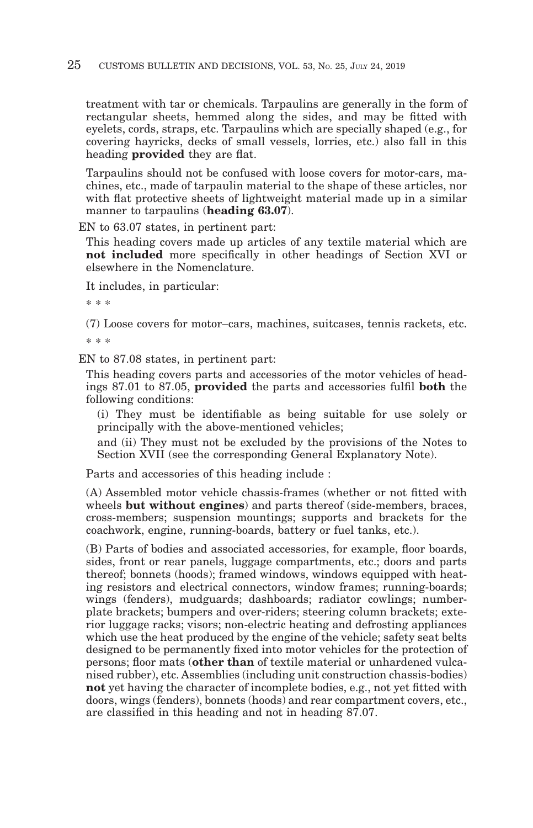treatment with tar or chemicals. Tarpaulins are generally in the form of rectangular sheets, hemmed along the sides, and may be fitted with eyelets, cords, straps, etc. Tarpaulins which are specially shaped (e.g., for covering hayricks, decks of small vessels, lorries, etc.) also fall in this heading **provided** they are flat.

Tarpaulins should not be confused with loose covers for motor-cars, machines, etc., made of tarpaulin material to the shape of these articles, nor with flat protective sheets of lightweight material made up in a similar manner to tarpaulins (**heading 63.07**).

EN to 63.07 states, in pertinent part:

This heading covers made up articles of any textile material which are **not included** more specifically in other headings of Section XVI or elsewhere in the Nomenclature.

It includes, in particular:

\* \* \*

(7) Loose covers for motor–cars, machines, suitcases, tennis rackets, etc. \* \* \*

EN to 87.08 states, in pertinent part:

This heading covers parts and accessories of the motor vehicles of headings 87.01 to 87.05, **provided** the parts and accessories fulfil **both** the following conditions:

(i) They must be identifiable as being suitable for use solely or principally with the above-mentioned vehicles;

and (ii) They must not be excluded by the provisions of the Notes to Section XVII (see the corresponding General Explanatory Note).

Parts and accessories of this heading include :

(A) Assembled motor vehicle chassis-frames (whether or not fitted with wheels **but without engines**) and parts thereof (side-members, braces, cross-members; suspension mountings; supports and brackets for the coachwork, engine, running-boards, battery or fuel tanks, etc.).

(B) Parts of bodies and associated accessories, for example, floor boards, sides, front or rear panels, luggage compartments, etc.; doors and parts thereof; bonnets (hoods); framed windows, windows equipped with heating resistors and electrical connectors, window frames; running-boards; wings (fenders), mudguards; dashboards; radiator cowlings; numberplate brackets; bumpers and over-riders; steering column brackets; exterior luggage racks; visors; non-electric heating and defrosting appliances which use the heat produced by the engine of the vehicle; safety seat belts designed to be permanently fixed into motor vehicles for the protection of persons; floor mats (**other than** of textile material or unhardened vulcanised rubber), etc. Assemblies (including unit construction chassis-bodies) **not** yet having the character of incomplete bodies, e.g., not yet fitted with doors, wings (fenders), bonnets (hoods) and rear compartment covers, etc., are classified in this heading and not in heading 87.07.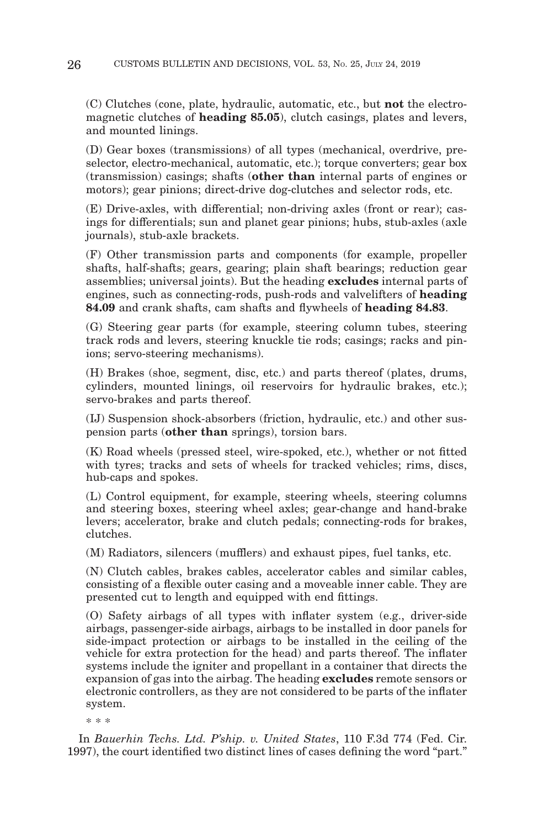(C) Clutches (cone, plate, hydraulic, automatic, etc., but **not** the electromagnetic clutches of **heading 85.05**), clutch casings, plates and levers, and mounted linings.

(D) Gear boxes (transmissions) of all types (mechanical, overdrive, preselector, electro-mechanical, automatic, etc.); torque converters; gear box (transmission) casings; shafts (**other than** internal parts of engines or motors); gear pinions; direct-drive dog-clutches and selector rods, etc.

(E) Drive-axles, with differential; non-driving axles (front or rear); casings for differentials; sun and planet gear pinions; hubs, stub-axles (axle journals), stub-axle brackets.

(F) Other transmission parts and components (for example, propeller shafts, half-shafts; gears, gearing; plain shaft bearings; reduction gear assemblies; universal joints). But the heading **excludes** internal parts of engines, such as connecting-rods, push-rods and valvelifters of **heading 84.09** and crank shafts, cam shafts and flywheels of **heading 84.83**.

(G) Steering gear parts (for example, steering column tubes, steering track rods and levers, steering knuckle tie rods; casings; racks and pinions; servo-steering mechanisms).

(H) Brakes (shoe, segment, disc, etc.) and parts thereof (plates, drums, cylinders, mounted linings, oil reservoirs for hydraulic brakes, etc.); servo-brakes and parts thereof.

(IJ) Suspension shock-absorbers (friction, hydraulic, etc.) and other suspension parts (**other than** springs), torsion bars.

(K) Road wheels (pressed steel, wire-spoked, etc.), whether or not fitted with tyres; tracks and sets of wheels for tracked vehicles; rims, discs, hub-caps and spokes.

(L) Control equipment, for example, steering wheels, steering columns and steering boxes, steering wheel axles; gear-change and hand-brake levers; accelerator, brake and clutch pedals; connecting-rods for brakes, clutches.

(M) Radiators, silencers (mufflers) and exhaust pipes, fuel tanks, etc.

(N) Clutch cables, brakes cables, accelerator cables and similar cables, consisting of a flexible outer casing and a moveable inner cable. They are presented cut to length and equipped with end fittings.

(O) Safety airbags of all types with inflater system (e.g., driver-side airbags, passenger-side airbags, airbags to be installed in door panels for side-impact protection or airbags to be installed in the ceiling of the vehicle for extra protection for the head) and parts thereof. The inflater systems include the igniter and propellant in a container that directs the expansion of gas into the airbag. The heading **excludes** remote sensors or electronic controllers, as they are not considered to be parts of the inflater system.

\* \* \*

In *Bauerhin Techs. Ltd. P'ship. v. United States*, 110 F.3d 774 (Fed. Cir. 1997), the court identified two distinct lines of cases defining the word "part."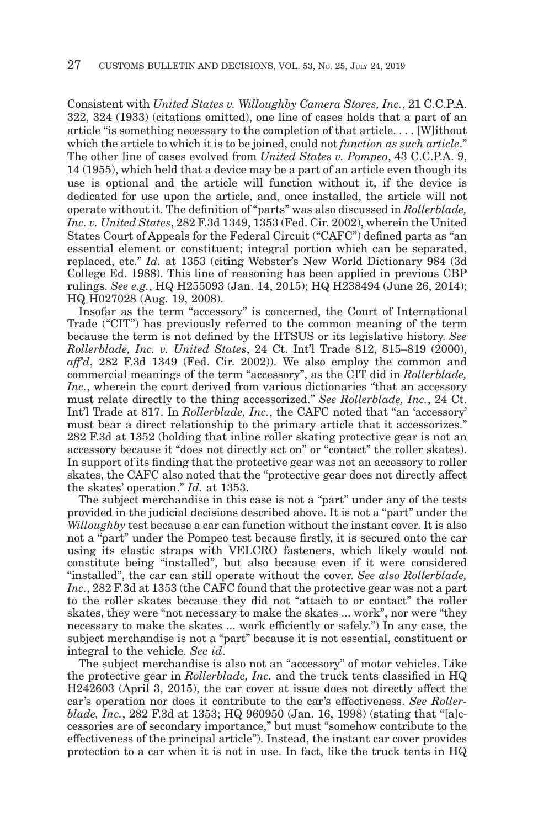Consistent with *United States v. Willoughby Camera Stores, Inc.*, 21 C.C.P.A. 322, 324 (1933) (citations omitted), one line of cases holds that a part of an article "is something necessary to the completion of that article. . . . [W]ithout which the article to which it is to be joined, could not *function as such article*." The other line of cases evolved from *United States v. Pompeo*, 43 C.C.P.A. 9, 14 (1955), which held that a device may be a part of an article even though its use is optional and the article will function without it, if the device is dedicated for use upon the article, and, once installed, the article will not operate without it. The definition of "parts" was also discussed in *Rollerblade, Inc. v. United States*, 282 F.3d 1349, 1353 (Fed. Cir. 2002), wherein the United States Court of Appeals for the Federal Circuit ("CAFC") defined parts as "an essential element or constituent; integral portion which can be separated, replaced, etc." *Id.* at 1353 (citing Webster's New World Dictionary 984 (3d College Ed. 1988). This line of reasoning has been applied in previous CBP rulings. *See e.g.*, HQ H255093 (Jan. 14, 2015); HQ H238494 (June 26, 2014); HQ H027028 (Aug. 19, 2008).

Insofar as the term "accessory" is concerned, the Court of International Trade ("CIT") has previously referred to the common meaning of the term because the term is not defined by the HTSUS or its legislative history. *See Rollerblade, Inc. v. United States*, 24 Ct. Int'l Trade 812, 815–819 (2000), *aff'd*, 282 F.3d 1349 (Fed. Cir. 2002)). We also employ the common and commercial meanings of the term "accessory", as the CIT did in *Rollerblade, Inc.*, wherein the court derived from various dictionaries "that an accessory must relate directly to the thing accessorized." *See Rollerblade, Inc.*, 24 Ct. Int'l Trade at 817. In *Rollerblade, Inc.*, the CAFC noted that "an 'accessory' must bear a direct relationship to the primary article that it accessorizes." 282 F.3d at 1352 (holding that inline roller skating protective gear is not an accessory because it "does not directly act on" or "contact" the roller skates). In support of its finding that the protective gear was not an accessory to roller skates, the CAFC also noted that the "protective gear does not directly affect the skates' operation." *Id.* at 1353.

The subject merchandise in this case is not a "part" under any of the tests provided in the judicial decisions described above. It is not a "part" under the *Willoughby* test because a car can function without the instant cover. It is also not a "part" under the Pompeo test because firstly, it is secured onto the car using its elastic straps with VELCRO fasteners, which likely would not constitute being "installed", but also because even if it were considered "installed", the car can still operate without the cover. *See also Rollerblade, Inc.*, 282 F.3d at 1353 (the CAFC found that the protective gear was not a part to the roller skates because they did not "attach to or contact" the roller skates, they were "not necessary to make the skates ... work", nor were "they necessary to make the skates ... work efficiently or safely.") In any case, the subject merchandise is not a "part" because it is not essential, constituent or integral to the vehicle. *See id*.

The subject merchandise is also not an "accessory" of motor vehicles. Like the protective gear in *Rollerblade, Inc.* and the truck tents classified in HQ H242603 (April 3, 2015), the car cover at issue does not directly affect the car's operation nor does it contribute to the car's effectiveness. *See Rollerblade, Inc.*, 282 F.3d at 1353; HQ 960950 (Jan. 16, 1998) (stating that "[a]ccessories are of secondary importance," but must "somehow contribute to the effectiveness of the principal article"). Instead, the instant car cover provides protection to a car when it is not in use. In fact, like the truck tents in HQ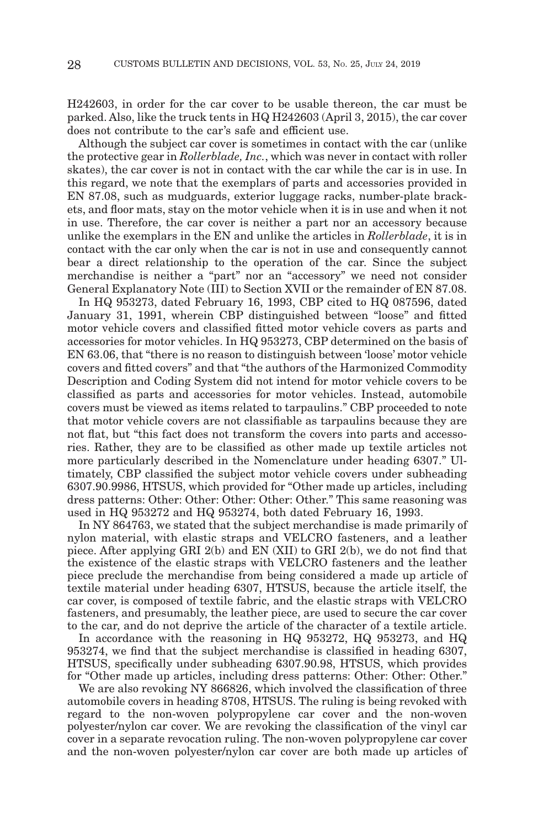H242603, in order for the car cover to be usable thereon, the car must be parked. Also, like the truck tents in HQ H242603 (April 3, 2015), the car cover does not contribute to the car's safe and efficient use.

Although the subject car cover is sometimes in contact with the car (unlike the protective gear in *Rollerblade, Inc.*, which was never in contact with roller skates), the car cover is not in contact with the car while the car is in use. In this regard, we note that the exemplars of parts and accessories provided in EN 87.08, such as mudguards, exterior luggage racks, number-plate brackets, and floor mats, stay on the motor vehicle when it is in use and when it not in use. Therefore, the car cover is neither a part nor an accessory because unlike the exemplars in the EN and unlike the articles in *Rollerblade*, it is in contact with the car only when the car is not in use and consequently cannot bear a direct relationship to the operation of the car. Since the subject merchandise is neither a "part" nor an "accessory" we need not consider General Explanatory Note (III) to Section XVII or the remainder of EN 87.08.

In HQ 953273, dated February 16, 1993, CBP cited to HQ 087596, dated January 31, 1991, wherein CBP distinguished between "loose" and fitted motor vehicle covers and classified fitted motor vehicle covers as parts and accessories for motor vehicles. In HQ 953273, CBP determined on the basis of EN 63.06, that "there is no reason to distinguish between 'loose' motor vehicle covers and fitted covers" and that "the authors of the Harmonized Commodity Description and Coding System did not intend for motor vehicle covers to be classified as parts and accessories for motor vehicles. Instead, automobile covers must be viewed as items related to tarpaulins." CBP proceeded to note that motor vehicle covers are not classifiable as tarpaulins because they are not flat, but "this fact does not transform the covers into parts and accessories. Rather, they are to be classified as other made up textile articles not more particularly described in the Nomenclature under heading 6307." Ultimately, CBP classified the subject motor vehicle covers under subheading 6307.90.9986, HTSUS, which provided for "Other made up articles, including dress patterns: Other: Other: Other: Other: Other." This same reasoning was used in HQ 953272 and HQ 953274, both dated February 16, 1993.

In NY 864763, we stated that the subject merchandise is made primarily of nylon material, with elastic straps and VELCRO fasteners, and a leather piece. After applying GRI 2(b) and EN (XII) to GRI 2(b), we do not find that the existence of the elastic straps with VELCRO fasteners and the leather piece preclude the merchandise from being considered a made up article of textile material under heading 6307, HTSUS, because the article itself, the car cover, is composed of textile fabric, and the elastic straps with VELCRO fasteners, and presumably, the leather piece, are used to secure the car cover to the car, and do not deprive the article of the character of a textile article.

In accordance with the reasoning in HQ 953272, HQ 953273, and HQ 953274, we find that the subject merchandise is classified in heading 6307, HTSUS, specifically under subheading 6307.90.98, HTSUS, which provides for "Other made up articles, including dress patterns: Other: Other: Other."

We are also revoking NY 866826, which involved the classification of three automobile covers in heading 8708, HTSUS. The ruling is being revoked with regard to the non-woven polypropylene car cover and the non-woven polyester/nylon car cover. We are revoking the classification of the vinyl car cover in a separate revocation ruling. The non-woven polypropylene car cover and the non-woven polyester/nylon car cover are both made up articles of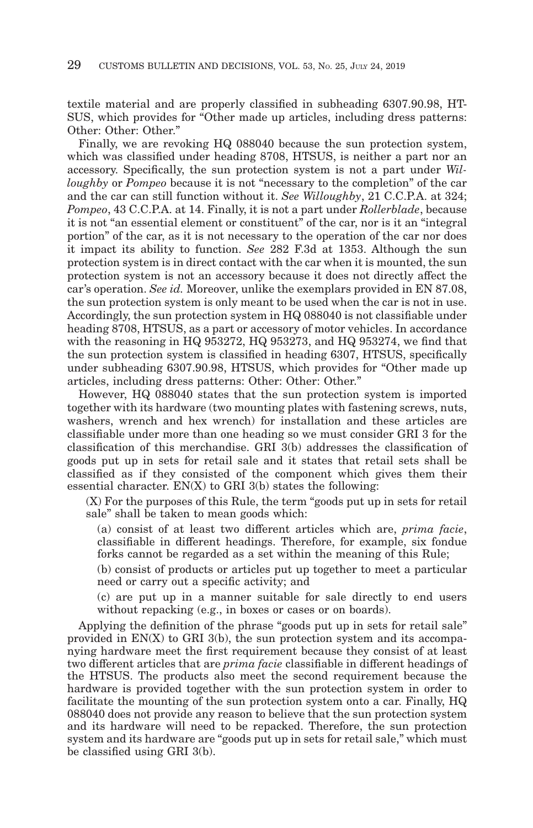textile material and are properly classified in subheading 6307.90.98, HT-SUS, which provides for "Other made up articles, including dress patterns: Other: Other: Other."

Finally, we are revoking HQ 088040 because the sun protection system, which was classified under heading 8708, HTSUS, is neither a part nor an accessory. Specifically, the sun protection system is not a part under *Willoughby* or *Pompeo* because it is not "necessary to the completion" of the car and the car can still function without it. *See Willoughby*, 21 C.C.P.A. at 324; *Pompeo*, 43 C.C.P.A. at 14. Finally, it is not a part under *Rollerblade*, because it is not "an essential element or constituent" of the car, nor is it an "integral portion" of the car, as it is not necessary to the operation of the car nor does it impact its ability to function. *See* 282 F.3d at 1353. Although the sun protection system is in direct contact with the car when it is mounted, the sun protection system is not an accessory because it does not directly affect the car's operation. *See id.* Moreover, unlike the exemplars provided in EN 87.08, the sun protection system is only meant to be used when the car is not in use. Accordingly, the sun protection system in HQ 088040 is not classifiable under heading 8708, HTSUS, as a part or accessory of motor vehicles. In accordance with the reasoning in HQ 953272, HQ 953273, and HQ 953274, we find that the sun protection system is classified in heading 6307, HTSUS, specifically under subheading 6307.90.98, HTSUS, which provides for "Other made up articles, including dress patterns: Other: Other: Other."

However, HQ 088040 states that the sun protection system is imported together with its hardware (two mounting plates with fastening screws, nuts, washers, wrench and hex wrench) for installation and these articles are classifiable under more than one heading so we must consider GRI 3 for the classification of this merchandise. GRI 3(b) addresses the classification of goods put up in sets for retail sale and it states that retail sets shall be classified as if they consisted of the component which gives them their essential character. EN(X) to GRI 3(b) states the following:

(X) For the purposes of this Rule, the term "goods put up in sets for retail sale" shall be taken to mean goods which:

(a) consist of at least two different articles which are, *prima facie*, classifiable in different headings. Therefore, for example, six fondue forks cannot be regarded as a set within the meaning of this Rule;

(b) consist of products or articles put up together to meet a particular need or carry out a specific activity; and

(c) are put up in a manner suitable for sale directly to end users without repacking (e.g., in boxes or cases or on boards).

Applying the definition of the phrase "goods put up in sets for retail sale" provided in EN(X) to GRI 3(b), the sun protection system and its accompanying hardware meet the first requirement because they consist of at least two different articles that are *prima facie* classifiable in different headings of the HTSUS. The products also meet the second requirement because the hardware is provided together with the sun protection system in order to facilitate the mounting of the sun protection system onto a car. Finally, HQ 088040 does not provide any reason to believe that the sun protection system and its hardware will need to be repacked. Therefore, the sun protection system and its hardware are "goods put up in sets for retail sale," which must be classified using GRI 3(b).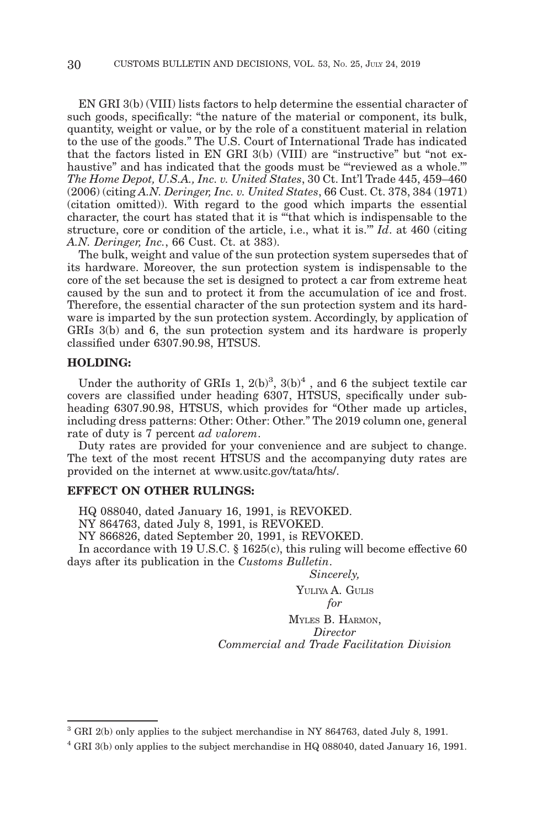EN GRI 3(b) (VIII) lists factors to help determine the essential character of such goods, specifically: "the nature of the material or component, its bulk, quantity, weight or value, or by the role of a constituent material in relation to the use of the goods." The U.S. Court of International Trade has indicated that the factors listed in EN GRI 3(b) (VIII) are "instructive" but "not exhaustive" and has indicated that the goods must be "reviewed as a whole." *The Home Depot, U.S.A., Inc. v. United States*, 30 Ct. Int'l Trade 445, 459–460 (2006) (citing *A.N. Deringer, Inc. v. United States*, 66 Cust. Ct. 378, 384 (1971) (citation omitted)). With regard to the good which imparts the essential character, the court has stated that it is "'that which is indispensable to the structure, core or condition of the article, i.e., what it is.'" *Id*. at 460 (citing *A.N. Deringer, Inc.*, 66 Cust. Ct. at 383).

The bulk, weight and value of the sun protection system supersedes that of its hardware. Moreover, the sun protection system is indispensable to the core of the set because the set is designed to protect a car from extreme heat caused by the sun and to protect it from the accumulation of ice and frost. Therefore, the essential character of the sun protection system and its hardware is imparted by the sun protection system. Accordingly, by application of GRIs 3(b) and 6, the sun protection system and its hardware is properly classified under 6307.90.98, HTSUS.

## **HOLDING:**

Under the authority of GRIs 1,  $2(b)^3$ ,  $3(b)^4$ , and 6 the subject textile car covers are classified under heading 6307, HTSUS, specifically under subheading 6307.90.98, HTSUS, which provides for "Other made up articles, including dress patterns: Other: Other: Other." The 2019 column one, general rate of duty is 7 percent *ad valorem*.

Duty rates are provided for your convenience and are subject to change. The text of the most recent HTSUS and the accompanying duty rates are provided on the internet at www.usitc.gov/tata/hts/.

## **EFFECT ON OTHER RULINGS:**

HQ 088040, dated January 16, 1991, is REVOKED.

NY 864763, dated July 8, 1991, is REVOKED.

NY 866826, dated September 20, 1991, is REVOKED.

In accordance with 19 U.S.C. § 1625(c), this ruling will become effective 60 days after its publication in the *Customs Bulletin*.

*Sincerely,*

YULIYA A. GULIS

*for*

MYLES B. HARMON, *Director Commercial and Trade Facilitation Division*

<sup>3</sup> GRI 2(b) only applies to the subject merchandise in NY 864763, dated July 8, 1991.

<sup>4</sup> GRI 3(b) only applies to the subject merchandise in HQ 088040, dated January 16, 1991.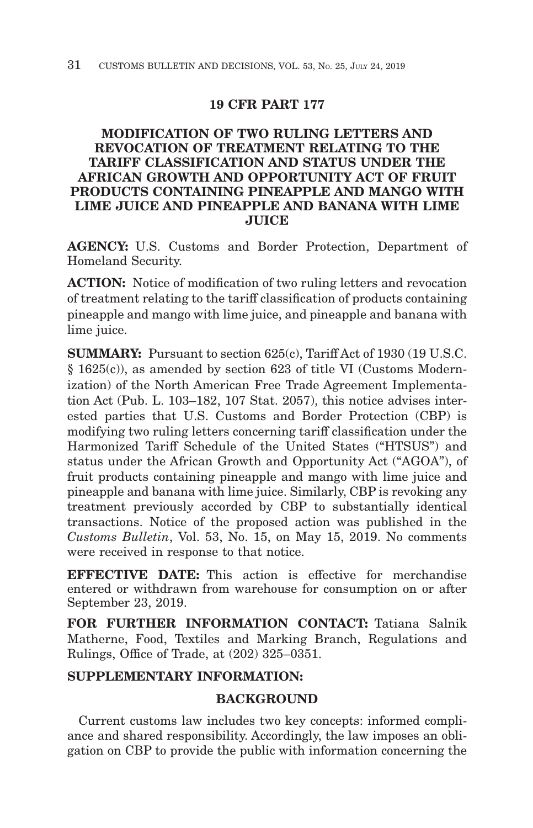# **19 CFR PART 177**

# **MODIFICATION OF TWO RULING LETTERS AND REVOCATION OF TREATMENT RELATING TO THE TARIFF CLASSIFICATION AND STATUS UNDER THE AFRICAN GROWTH AND OPPORTUNITY ACT OF FRUIT PRODUCTS CONTAINING PINEAPPLE AND MANGO WITH LIME JUICE AND PINEAPPLE AND BANANA WITH LIME JUICE**

**AGENCY:** U.S. Customs and Border Protection, Department of Homeland Security.

**ACTION:** Notice of modification of two ruling letters and revocation of treatment relating to the tariff classification of products containing pineapple and mango with lime juice, and pineapple and banana with lime juice.

**SUMMARY:** Pursuant to section 625(c), Tariff Act of 1930 (19 U.S.C. § 1625(c)), as amended by section 623 of title VI (Customs Modernization) of the North American Free Trade Agreement Implementation Act (Pub. L. 103–182, 107 Stat. 2057), this notice advises interested parties that U.S. Customs and Border Protection (CBP) is modifying two ruling letters concerning tariff classification under the Harmonized Tariff Schedule of the United States ("HTSUS") and status under the African Growth and Opportunity Act ("AGOA"), of fruit products containing pineapple and mango with lime juice and pineapple and banana with lime juice. Similarly, CBP is revoking any treatment previously accorded by CBP to substantially identical transactions. Notice of the proposed action was published in the *Customs Bulletin*, Vol. 53, No. 15, on May 15, 2019. No comments were received in response to that notice.

**EFFECTIVE DATE:** This action is effective for merchandise entered or withdrawn from warehouse for consumption on or after September 23, 2019.

**FOR FURTHER INFORMATION CONTACT:** Tatiana Salnik Matherne, Food, Textiles and Marking Branch, Regulations and Rulings, Office of Trade, at (202) 325–0351.

# **SUPPLEMENTARY INFORMATION:**

# **BACKGROUND**

Current customs law includes two key concepts: informed compliance and shared responsibility. Accordingly, the law imposes an obligation on CBP to provide the public with information concerning the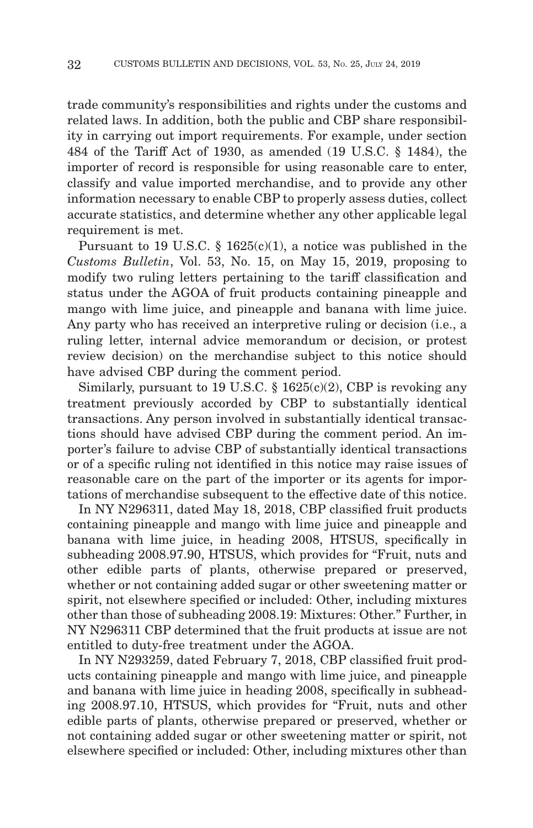trade community's responsibilities and rights under the customs and related laws. In addition, both the public and CBP share responsibility in carrying out import requirements. For example, under section 484 of the Tariff Act of 1930, as amended (19 U.S.C. § 1484), the importer of record is responsible for using reasonable care to enter, classify and value imported merchandise, and to provide any other information necessary to enable CBP to properly assess duties, collect accurate statistics, and determine whether any other applicable legal requirement is met.

Pursuant to 19 U.S.C. § 1625(c)(1), a notice was published in the *Customs Bulletin*, Vol. 53, No. 15, on May 15, 2019, proposing to modify two ruling letters pertaining to the tariff classification and status under the AGOA of fruit products containing pineapple and mango with lime juice, and pineapple and banana with lime juice. Any party who has received an interpretive ruling or decision (i.e., a ruling letter, internal advice memorandum or decision, or protest review decision) on the merchandise subject to this notice should have advised CBP during the comment period.

Similarly, pursuant to 19 U.S.C.  $\S$  1625(c)(2), CBP is revoking any treatment previously accorded by CBP to substantially identical transactions. Any person involved in substantially identical transactions should have advised CBP during the comment period. An importer's failure to advise CBP of substantially identical transactions or of a specific ruling not identified in this notice may raise issues of reasonable care on the part of the importer or its agents for importations of merchandise subsequent to the effective date of this notice.

In NY N296311, dated May 18, 2018, CBP classified fruit products containing pineapple and mango with lime juice and pineapple and banana with lime juice, in heading 2008, HTSUS, specifically in subheading 2008.97.90, HTSUS, which provides for "Fruit, nuts and other edible parts of plants, otherwise prepared or preserved, whether or not containing added sugar or other sweetening matter or spirit, not elsewhere specified or included: Other, including mixtures other than those of subheading 2008.19: Mixtures: Other." Further, in NY N296311 CBP determined that the fruit products at issue are not entitled to duty-free treatment under the AGOA.

In NY N293259, dated February 7, 2018, CBP classified fruit products containing pineapple and mango with lime juice, and pineapple and banana with lime juice in heading 2008, specifically in subheading 2008.97.10, HTSUS, which provides for "Fruit, nuts and other edible parts of plants, otherwise prepared or preserved, whether or not containing added sugar or other sweetening matter or spirit, not elsewhere specified or included: Other, including mixtures other than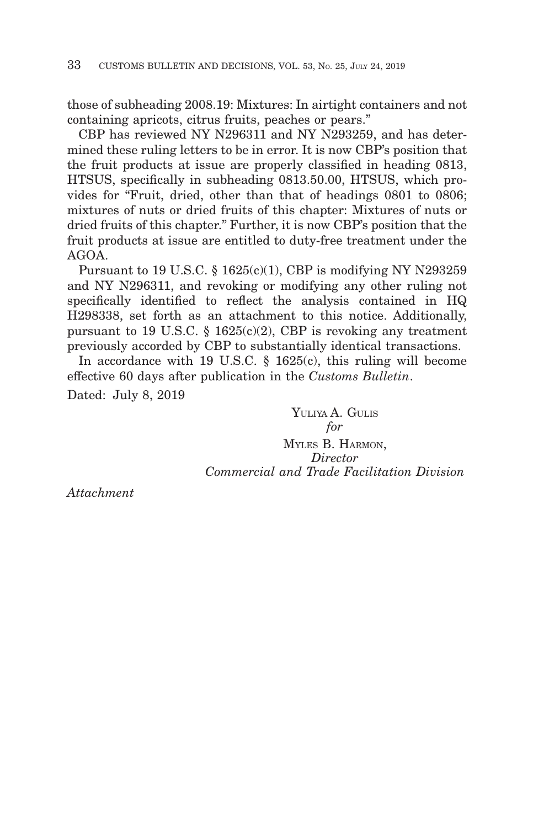those of subheading 2008.19: Mixtures: In airtight containers and not containing apricots, citrus fruits, peaches or pears."

CBP has reviewed NY N296311 and NY N293259, and has determined these ruling letters to be in error. It is now CBP's position that the fruit products at issue are properly classified in heading 0813, HTSUS, specifically in subheading 0813.50.00, HTSUS, which provides for "Fruit, dried, other than that of headings 0801 to 0806; mixtures of nuts or dried fruits of this chapter: Mixtures of nuts or dried fruits of this chapter." Further, it is now CBP's position that the fruit products at issue are entitled to duty-free treatment under the AGOA.

Pursuant to 19 U.S.C. § 1625(c)(1), CBP is modifying NY N293259 and NY N296311, and revoking or modifying any other ruling not specifically identified to reflect the analysis contained in HQ H298338, set forth as an attachment to this notice. Additionally, pursuant to 19 U.S.C.  $\S$  1625(c)(2), CBP is revoking any treatment previously accorded by CBP to substantially identical transactions.

In accordance with 19 U.S.C. § 1625(c), this ruling will become effective 60 days after publication in the *Customs Bulletin*. Dated: July 8, 2019

> YULIYA A. GULIS *for* MYLES B. HARMON, *Director Commercial and Trade Facilitation Division*

*Attachment*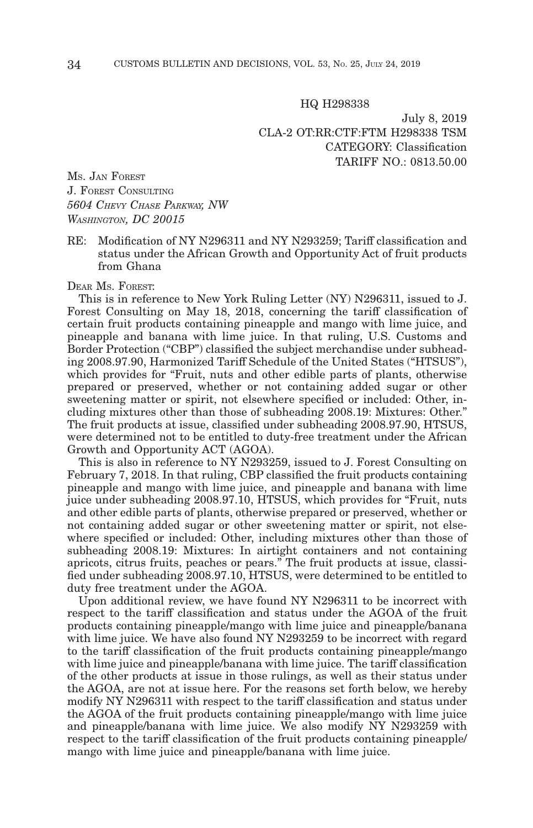HQ H298338

July 8, 2019 CLA-2 OT:RR:CTF:FTM H298338 TSM CATEGORY: Classification TARIFF NO.: 0813.50.00

MS. JAN FOREST J. FOREST CONSULTING *5604 CHEVY CHASE PARKWAY, NW WASHINGTON, DC 20015*

RE: Modification of NY N296311 and NY N293259; Tariff classification and status under the African Growth and Opportunity Act of fruit products from Ghana

## DEAR MS. FOREST:

This is in reference to New York Ruling Letter (NY) N296311, issued to J. Forest Consulting on May 18, 2018, concerning the tariff classification of certain fruit products containing pineapple and mango with lime juice, and pineapple and banana with lime juice. In that ruling, U.S. Customs and Border Protection ("CBP") classified the subject merchandise under subheading 2008.97.90, Harmonized Tariff Schedule of the United States ("HTSUS"), which provides for "Fruit, nuts and other edible parts of plants, otherwise prepared or preserved, whether or not containing added sugar or other sweetening matter or spirit, not elsewhere specified or included: Other, including mixtures other than those of subheading 2008.19: Mixtures: Other." The fruit products at issue, classified under subheading 2008.97.90, HTSUS, were determined not to be entitled to duty-free treatment under the African Growth and Opportunity ACT (AGOA).

This is also in reference to NY N293259, issued to J. Forest Consulting on February 7, 2018. In that ruling, CBP classified the fruit products containing pineapple and mango with lime juice, and pineapple and banana with lime juice under subheading 2008.97.10, HTSUS, which provides for "Fruit, nuts and other edible parts of plants, otherwise prepared or preserved, whether or not containing added sugar or other sweetening matter or spirit, not elsewhere specified or included: Other, including mixtures other than those of subheading 2008.19: Mixtures: In airtight containers and not containing apricots, citrus fruits, peaches or pears." The fruit products at issue, classified under subheading 2008.97.10, HTSUS, were determined to be entitled to duty free treatment under the AGOA.

Upon additional review, we have found NY N296311 to be incorrect with respect to the tariff classification and status under the AGOA of the fruit products containing pineapple/mango with lime juice and pineapple/banana with lime juice. We have also found NY N293259 to be incorrect with regard to the tariff classification of the fruit products containing pineapple/mango with lime juice and pineapple/banana with lime juice. The tariff classification of the other products at issue in those rulings, as well as their status under the AGOA, are not at issue here. For the reasons set forth below, we hereby modify NY N296311 with respect to the tariff classification and status under the AGOA of the fruit products containing pineapple/mango with lime juice and pineapple/banana with lime juice. We also modify NY N293259 with respect to the tariff classification of the fruit products containing pineapple/ mango with lime juice and pineapple/banana with lime juice.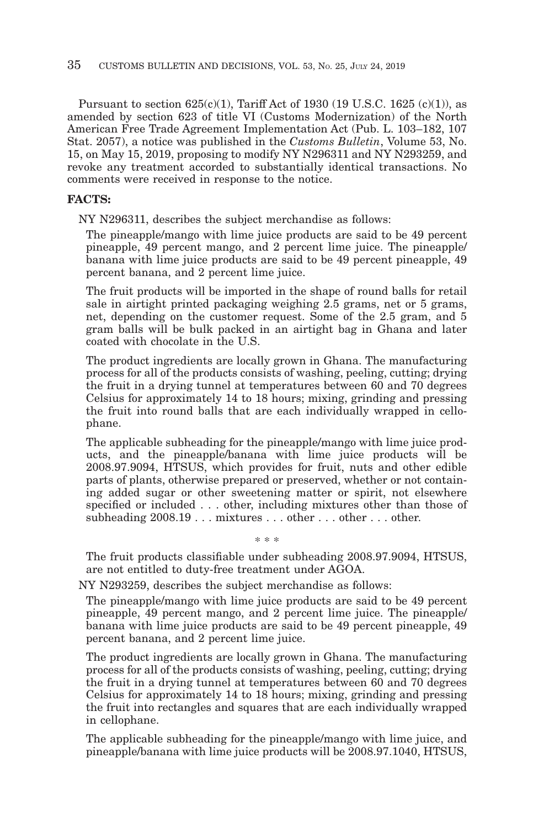Pursuant to section  $625(c)(1)$ , Tariff Act of 1930 (19 U.S.C. 1625 (c)(1)), as amended by section 623 of title VI (Customs Modernization) of the North American Free Trade Agreement Implementation Act (Pub. L. 103–182, 107 Stat. 2057), a notice was published in the *Customs Bulletin*, Volume 53, No. 15, on May 15, 2019, proposing to modify NY N296311 and NY N293259, and revoke any treatment accorded to substantially identical transactions. No comments were received in response to the notice.

#### **FACTS:**

NY N296311, describes the subject merchandise as follows:

The pineapple/mango with lime juice products are said to be 49 percent pineapple, 49 percent mango, and 2 percent lime juice. The pineapple/ banana with lime juice products are said to be 49 percent pineapple, 49 percent banana, and 2 percent lime juice.

The fruit products will be imported in the shape of round balls for retail sale in airtight printed packaging weighing 2.5 grams, net or 5 grams, net, depending on the customer request. Some of the 2.5 gram, and 5 gram balls will be bulk packed in an airtight bag in Ghana and later coated with chocolate in the U.S.

The product ingredients are locally grown in Ghana. The manufacturing process for all of the products consists of washing, peeling, cutting; drying the fruit in a drying tunnel at temperatures between 60 and 70 degrees Celsius for approximately 14 to 18 hours; mixing, grinding and pressing the fruit into round balls that are each individually wrapped in cellophane.

The applicable subheading for the pineapple/mango with lime juice products, and the pineapple/banana with lime juice products will be 2008.97.9094, HTSUS, which provides for fruit, nuts and other edible parts of plants, otherwise prepared or preserved, whether or not containing added sugar or other sweetening matter or spirit, not elsewhere specified or included . . . other, including mixtures other than those of subheading 2008.19 . . . mixtures . . . other . . . other . . . other.

The fruit products classifiable under subheading 2008.97.9094, HTSUS, are not entitled to duty-free treatment under AGOA.

\* \* \*

NY N293259, describes the subject merchandise as follows:

The pineapple/mango with lime juice products are said to be 49 percent pineapple, 49 percent mango, and 2 percent lime juice. The pineapple/ banana with lime juice products are said to be 49 percent pineapple, 49 percent banana, and 2 percent lime juice.

The product ingredients are locally grown in Ghana. The manufacturing process for all of the products consists of washing, peeling, cutting; drying the fruit in a drying tunnel at temperatures between 60 and 70 degrees Celsius for approximately 14 to 18 hours; mixing, grinding and pressing the fruit into rectangles and squares that are each individually wrapped in cellophane.

The applicable subheading for the pineapple/mango with lime juice, and pineapple/banana with lime juice products will be 2008.97.1040, HTSUS,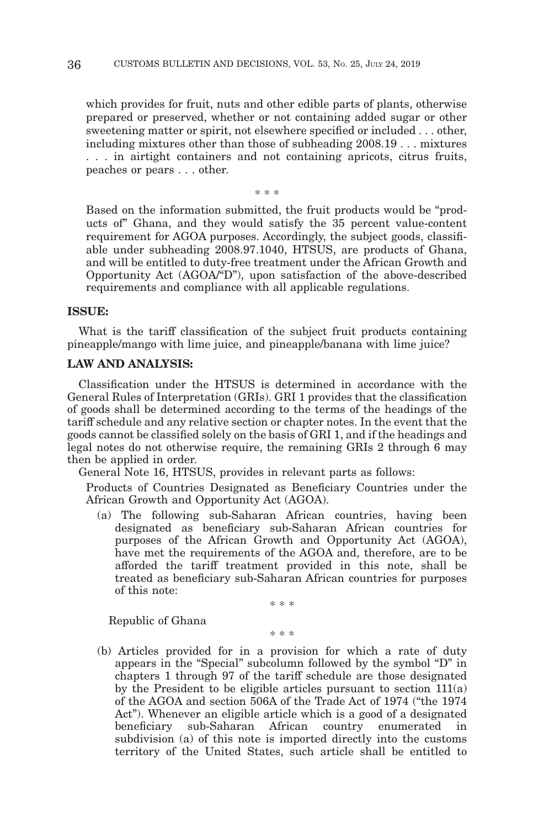which provides for fruit, nuts and other edible parts of plants, otherwise prepared or preserved, whether or not containing added sugar or other sweetening matter or spirit, not elsewhere specified or included . . . other, including mixtures other than those of subheading 2008.19 . . . mixtures . . . in airtight containers and not containing apricots, citrus fruits, peaches or pears . . . other.

\* \* \*

Based on the information submitted, the fruit products would be "products of" Ghana, and they would satisfy the 35 percent value-content requirement for AGOA purposes. Accordingly, the subject goods, classifiable under subheading 2008.97.1040, HTSUS, are products of Ghana, and will be entitled to duty-free treatment under the African Growth and Opportunity Act (AGOA/"D"), upon satisfaction of the above-described requirements and compliance with all applicable regulations.

#### **ISSUE:**

What is the tariff classification of the subject fruit products containing pineapple/mango with lime juice, and pineapple/banana with lime juice?

## **LAW AND ANALYSIS:**

Classification under the HTSUS is determined in accordance with the General Rules of Interpretation (GRIs). GRI 1 provides that the classification of goods shall be determined according to the terms of the headings of the tariff schedule and any relative section or chapter notes. In the event that the goods cannot be classified solely on the basis of GRI 1, and if the headings and legal notes do not otherwise require, the remaining GRIs 2 through 6 may then be applied in order.

General Note 16, HTSUS, provides in relevant parts as follows:

Products of Countries Designated as Beneficiary Countries under the African Growth and Opportunity Act (AGOA).

(a) The following sub-Saharan African countries, having been designated as beneficiary sub-Saharan African countries for purposes of the African Growth and Opportunity Act (AGOA), have met the requirements of the AGOA and, therefore, are to be afforded the tariff treatment provided in this note, shall be treated as beneficiary sub-Saharan African countries for purposes of this note:

\* \* \*

Republic of Ghana

\* \* \*

(b) Articles provided for in a provision for which a rate of duty appears in the "Special" subcolumn followed by the symbol "D" in chapters 1 through 97 of the tariff schedule are those designated by the President to be eligible articles pursuant to section 111(a) of the AGOA and section 506A of the Trade Act of 1974 ("the 1974 Act"). Whenever an eligible article which is a good of a designated beneficiary sub-Saharan African country enumerated in subdivision (a) of this note is imported directly into the customs territory of the United States, such article shall be entitled to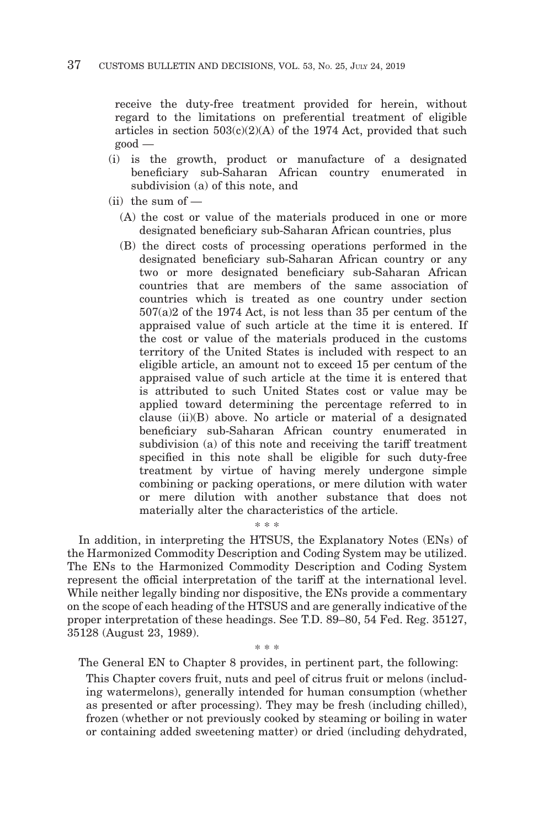receive the duty-free treatment provided for herein, without regard to the limitations on preferential treatment of eligible articles in section  $503(c)(2)(A)$  of the 1974 Act, provided that such good —

- (i) is the growth, product or manufacture of a designated beneficiary sub-Saharan African country enumerated in subdivision (a) of this note, and
- $(iii)$  the sum of  $-$ 
	- (A) the cost or value of the materials produced in one or more designated beneficiary sub-Saharan African countries, plus
	- (B) the direct costs of processing operations performed in the designated beneficiary sub-Saharan African country or any two or more designated beneficiary sub-Saharan African countries that are members of the same association of countries which is treated as one country under section 507(a)2 of the 1974 Act, is not less than 35 per centum of the appraised value of such article at the time it is entered. If the cost or value of the materials produced in the customs territory of the United States is included with respect to an eligible article, an amount not to exceed 15 per centum of the appraised value of such article at the time it is entered that is attributed to such United States cost or value may be applied toward determining the percentage referred to in clause (ii)(B) above. No article or material of a designated beneficiary sub-Saharan African country enumerated in subdivision (a) of this note and receiving the tariff treatment specified in this note shall be eligible for such duty-free treatment by virtue of having merely undergone simple combining or packing operations, or mere dilution with water or mere dilution with another substance that does not materially alter the characteristics of the article.

In addition, in interpreting the HTSUS, the Explanatory Notes (ENs) of the Harmonized Commodity Description and Coding System may be utilized. The ENs to the Harmonized Commodity Description and Coding System represent the official interpretation of the tariff at the international level. While neither legally binding nor dispositive, the ENs provide a commentary on the scope of each heading of the HTSUS and are generally indicative of the proper interpretation of these headings. See T.D. 89–80, 54 Fed. Reg. 35127, 35128 (August 23, 1989).

\* \* \*

\* \* \* The General EN to Chapter 8 provides, in pertinent part, the following:

This Chapter covers fruit, nuts and peel of citrus fruit or melons (including watermelons), generally intended for human consumption (whether as presented or after processing). They may be fresh (including chilled), frozen (whether or not previously cooked by steaming or boiling in water or containing added sweetening matter) or dried (including dehydrated,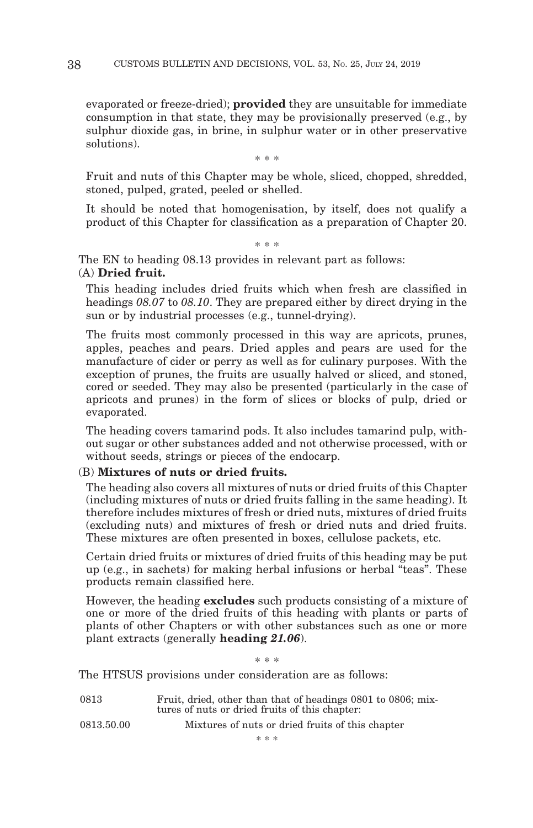evaporated or freeze-dried); **provided** they are unsuitable for immediate consumption in that state, they may be provisionally preserved (e.g., by sulphur dioxide gas, in brine, in sulphur water or in other preservative solutions).

\* \* \*

Fruit and nuts of this Chapter may be whole, sliced, chopped, shredded, stoned, pulped, grated, peeled or shelled.

It should be noted that homogenisation, by itself, does not qualify a product of this Chapter for classification as a preparation of Chapter 20.

\* \* \*

The EN to heading 08.13 provides in relevant part as follows:

# (A) **Dried fruit.**

This heading includes dried fruits which when fresh are classified in headings *08.07* to *08.10*. They are prepared either by direct drying in the sun or by industrial processes (e.g., tunnel-drying).

The fruits most commonly processed in this way are apricots, prunes, apples, peaches and pears. Dried apples and pears are used for the manufacture of cider or perry as well as for culinary purposes. With the exception of prunes, the fruits are usually halved or sliced, and stoned, cored or seeded. They may also be presented (particularly in the case of apricots and prunes) in the form of slices or blocks of pulp, dried or evaporated.

The heading covers tamarind pods. It also includes tamarind pulp, without sugar or other substances added and not otherwise processed, with or without seeds, strings or pieces of the endocarp.

## (B) **Mixtures of nuts or dried fruits.**

The heading also covers all mixtures of nuts or dried fruits of this Chapter (including mixtures of nuts or dried fruits falling in the same heading). It therefore includes mixtures of fresh or dried nuts, mixtures of dried fruits (excluding nuts) and mixtures of fresh or dried nuts and dried fruits. These mixtures are often presented in boxes, cellulose packets, etc.

Certain dried fruits or mixtures of dried fruits of this heading may be put up (e.g., in sachets) for making herbal infusions or herbal "teas". These products remain classified here.

However, the heading **excludes** such products consisting of a mixture of one or more of the dried fruits of this heading with plants or parts of plants of other Chapters or with other substances such as one or more plant extracts (generally **heading** *21.06*).

\* \* \*

The HTSUS provisions under consideration are as follows:

| 0813       | Fruit, dried, other than that of headings 0801 to 0806; mix-<br>tures of nuts or dried fruits of this chapter: |
|------------|----------------------------------------------------------------------------------------------------------------|
| 0813.50.00 | Mixtures of nuts or dried fruits of this chapter                                                               |
|            | * * *                                                                                                          |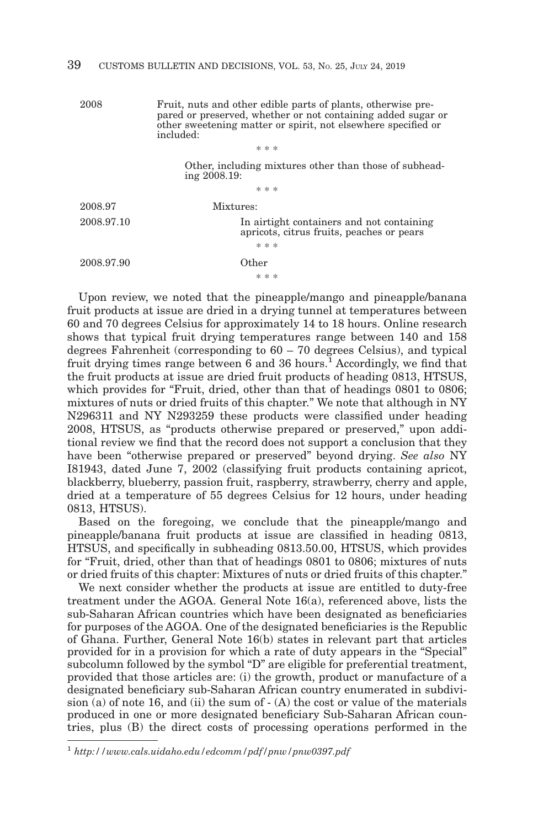2008 Fruit, nuts and other edible parts of plants, otherwise prepared or preserved, whether or not containing added sugar or other sweetening matter or spirit, not elsewhere specified or included:

\* \* \* Other, including mixtures other than those of subheading 2008.19: \* \* \* 2008.97 Mixtures: 2008.97.10 In airtight containers and not containing apricots, citrus fruits, peaches or pears \* \* \* 2008.97.90 Other \* \* \*

Upon review, we noted that the pineapple/mango and pineapple/banana fruit products at issue are dried in a drying tunnel at temperatures between 60 and 70 degrees Celsius for approximately 14 to 18 hours. Online research shows that typical fruit drying temperatures range between 140 and 158 degrees Fahrenheit (corresponding to 60 – 70 degrees Celsius), and typical fruit drying times range between 6 and 36 hours.<sup>1</sup> Accordingly, we find that the fruit products at issue are dried fruit products of heading 0813, HTSUS, which provides for "Fruit, dried, other than that of headings 0801 to 0806; mixtures of nuts or dried fruits of this chapter." We note that although in NY N296311 and NY N293259 these products were classified under heading 2008, HTSUS, as "products otherwise prepared or preserved," upon additional review we find that the record does not support a conclusion that they have been "otherwise prepared or preserved" beyond drying. *See also* NY I81943, dated June 7, 2002 (classifying fruit products containing apricot, blackberry, blueberry, passion fruit, raspberry, strawberry, cherry and apple, dried at a temperature of 55 degrees Celsius for 12 hours, under heading 0813, HTSUS).

Based on the foregoing, we conclude that the pineapple/mango and pineapple/banana fruit products at issue are classified in heading 0813, HTSUS, and specifically in subheading 0813.50.00, HTSUS, which provides for "Fruit, dried, other than that of headings 0801 to 0806; mixtures of nuts or dried fruits of this chapter: Mixtures of nuts or dried fruits of this chapter."

We next consider whether the products at issue are entitled to duty-free treatment under the AGOA. General Note 16(a), referenced above, lists the sub-Saharan African countries which have been designated as beneficiaries for purposes of the AGOA. One of the designated beneficiaries is the Republic of Ghana. Further, General Note 16(b) states in relevant part that articles provided for in a provision for which a rate of duty appears in the "Special" subcolumn followed by the symbol "D" are eligible for preferential treatment, provided that those articles are: (i) the growth, product or manufacture of a designated beneficiary sub-Saharan African country enumerated in subdivision (a) of note 16, and (ii) the sum of - (A) the cost or value of the materials produced in one or more designated beneficiary Sub-Saharan African countries, plus (B) the direct costs of processing operations performed in the

<sup>1</sup>*http://www.cals.uidaho.edu/edcomm/pdf/pnw/pnw0397.pdf*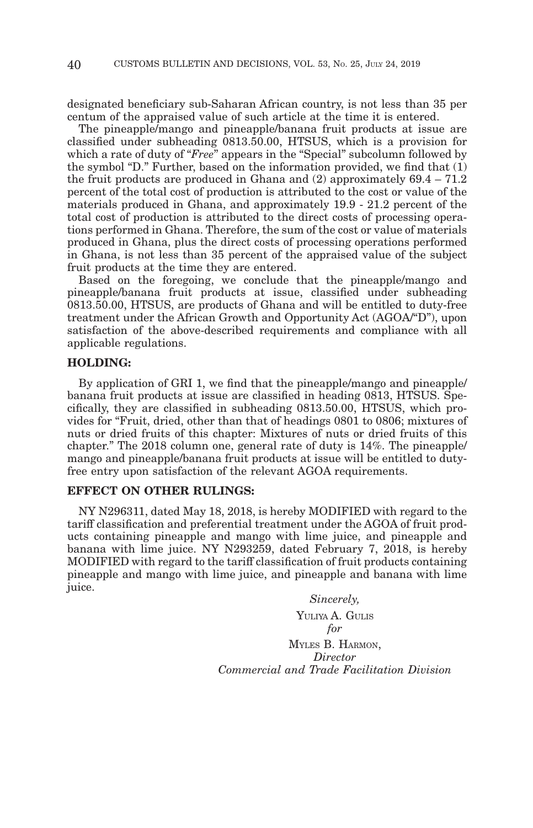designated beneficiary sub-Saharan African country, is not less than 35 per centum of the appraised value of such article at the time it is entered.

The pineapple/mango and pineapple/banana fruit products at issue are classified under subheading 0813.50.00, HTSUS, which is a provision for which a rate of duty of "*Free*" appears in the "Special" subcolumn followed by the symbol "D." Further, based on the information provided, we find that  $(1)$ the fruit products are produced in Ghana and  $(2)$  approximately  $69.4 - 71.2$ percent of the total cost of production is attributed to the cost or value of the materials produced in Ghana, and approximately 19.9 - 21.2 percent of the total cost of production is attributed to the direct costs of processing operations performed in Ghana. Therefore, the sum of the cost or value of materials produced in Ghana, plus the direct costs of processing operations performed in Ghana, is not less than 35 percent of the appraised value of the subject fruit products at the time they are entered.

Based on the foregoing, we conclude that the pineapple/mango and pineapple/banana fruit products at issue, classified under subheading 0813.50.00, HTSUS, are products of Ghana and will be entitled to duty-free treatment under the African Growth and Opportunity Act (AGOA/"D"), upon satisfaction of the above-described requirements and compliance with all applicable regulations.

## **HOLDING:**

By application of GRI 1, we find that the pineapple/mango and pineapple/ banana fruit products at issue are classified in heading 0813, HTSUS. Specifically, they are classified in subheading 0813.50.00, HTSUS, which provides for "Fruit, dried, other than that of headings 0801 to 0806; mixtures of nuts or dried fruits of this chapter: Mixtures of nuts or dried fruits of this chapter." The 2018 column one, general rate of duty is 14%. The pineapple/ mango and pineapple/banana fruit products at issue will be entitled to dutyfree entry upon satisfaction of the relevant AGOA requirements.

## **EFFECT ON OTHER RULINGS:**

NY N296311, dated May 18, 2018, is hereby MODIFIED with regard to the tariff classification and preferential treatment under the AGOA of fruit products containing pineapple and mango with lime juice, and pineapple and banana with lime juice. NY N293259, dated February 7, 2018, is hereby MODIFIED with regard to the tariff classification of fruit products containing pineapple and mango with lime juice, and pineapple and banana with lime juice.

> *Sincerely,* YULIYA A. GULIS *for* MYLES B. HARMON, *Director Commercial and Trade Facilitation Division*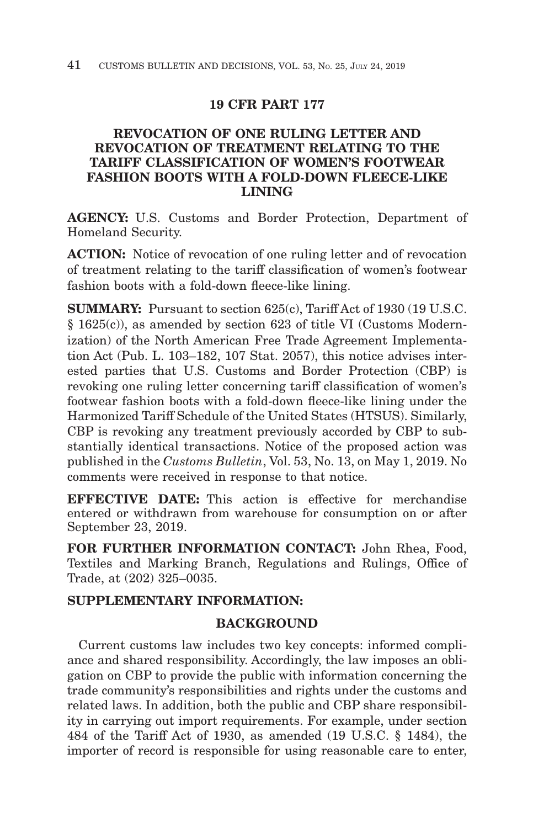# **19 CFR PART 177**

# **REVOCATION OF ONE RULING LETTER AND REVOCATION OF TREATMENT RELATING TO THE TARIFF CLASSIFICATION OF WOMEN'S FOOTWEAR FASHION BOOTS WITH A FOLD-DOWN FLEECE-LIKE LINING**

**AGENCY:** U.S. Customs and Border Protection, Department of Homeland Security.

**ACTION:** Notice of revocation of one ruling letter and of revocation of treatment relating to the tariff classification of women's footwear fashion boots with a fold-down fleece-like lining.

**SUMMARY:** Pursuant to section 625(c), Tariff Act of 1930 (19 U.S.C. § 1625(c)), as amended by section 623 of title VI (Customs Modernization) of the North American Free Trade Agreement Implementation Act (Pub. L. 103–182, 107 Stat. 2057), this notice advises interested parties that U.S. Customs and Border Protection (CBP) is revoking one ruling letter concerning tariff classification of women's footwear fashion boots with a fold-down fleece-like lining under the Harmonized Tariff Schedule of the United States (HTSUS). Similarly, CBP is revoking any treatment previously accorded by CBP to substantially identical transactions. Notice of the proposed action was published in the *Customs Bulletin*, Vol. 53, No. 13, on May 1, 2019. No comments were received in response to that notice.

**EFFECTIVE DATE:** This action is effective for merchandise entered or withdrawn from warehouse for consumption on or after September 23, 2019.

**FOR FURTHER INFORMATION CONTACT:** John Rhea, Food, Textiles and Marking Branch, Regulations and Rulings, Office of Trade, at (202) 325–0035.

# **SUPPLEMENTARY INFORMATION:**

# **BACKGROUND**

Current customs law includes two key concepts: informed compliance and shared responsibility. Accordingly, the law imposes an obligation on CBP to provide the public with information concerning the trade community's responsibilities and rights under the customs and related laws. In addition, both the public and CBP share responsibility in carrying out import requirements. For example, under section 484 of the Tariff Act of 1930, as amended (19 U.S.C. § 1484), the importer of record is responsible for using reasonable care to enter,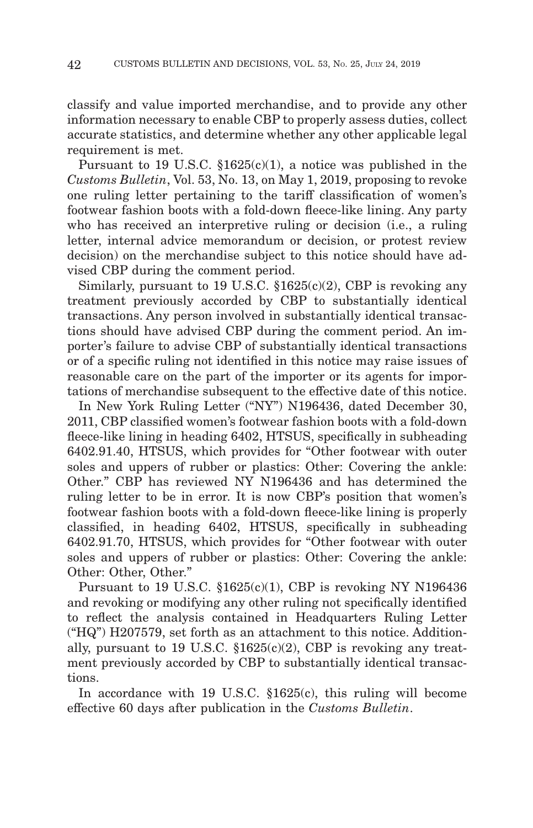classify and value imported merchandise, and to provide any other information necessary to enable CBP to properly assess duties, collect accurate statistics, and determine whether any other applicable legal requirement is met.

Pursuant to 19 U.S.C.  $$1625(c)(1)$ , a notice was published in the *Customs Bulletin*, Vol. 53, No. 13, on May 1, 2019, proposing to revoke one ruling letter pertaining to the tariff classification of women's footwear fashion boots with a fold-down fleece-like lining. Any party who has received an interpretive ruling or decision (i.e., a ruling letter, internal advice memorandum or decision, or protest review decision) on the merchandise subject to this notice should have advised CBP during the comment period.

Similarly, pursuant to 19 U.S.C. §1625(c)(2), CBP is revoking any treatment previously accorded by CBP to substantially identical transactions. Any person involved in substantially identical transactions should have advised CBP during the comment period. An importer's failure to advise CBP of substantially identical transactions or of a specific ruling not identified in this notice may raise issues of reasonable care on the part of the importer or its agents for importations of merchandise subsequent to the effective date of this notice.

In New York Ruling Letter ("NY") N196436, dated December 30, 2011, CBP classified women's footwear fashion boots with a fold-down fleece-like lining in heading 6402, HTSUS, specifically in subheading 6402.91.40, HTSUS, which provides for "Other footwear with outer soles and uppers of rubber or plastics: Other: Covering the ankle: Other." CBP has reviewed NY N196436 and has determined the ruling letter to be in error. It is now CBP's position that women's footwear fashion boots with a fold-down fleece-like lining is properly classified, in heading 6402, HTSUS, specifically in subheading 6402.91.70, HTSUS, which provides for "Other footwear with outer soles and uppers of rubber or plastics: Other: Covering the ankle: Other: Other, Other."

Pursuant to 19 U.S.C. §1625(c)(1), CBP is revoking NY N196436 and revoking or modifying any other ruling not specifically identified to reflect the analysis contained in Headquarters Ruling Letter ("HQ") H207579, set forth as an attachment to this notice. Additionally, pursuant to 19 U.S.C.  $$1625(c)(2)$ , CBP is revoking any treatment previously accorded by CBP to substantially identical transactions.

In accordance with 19 U.S.C. §1625(c), this ruling will become effective 60 days after publication in the *Customs Bulletin*.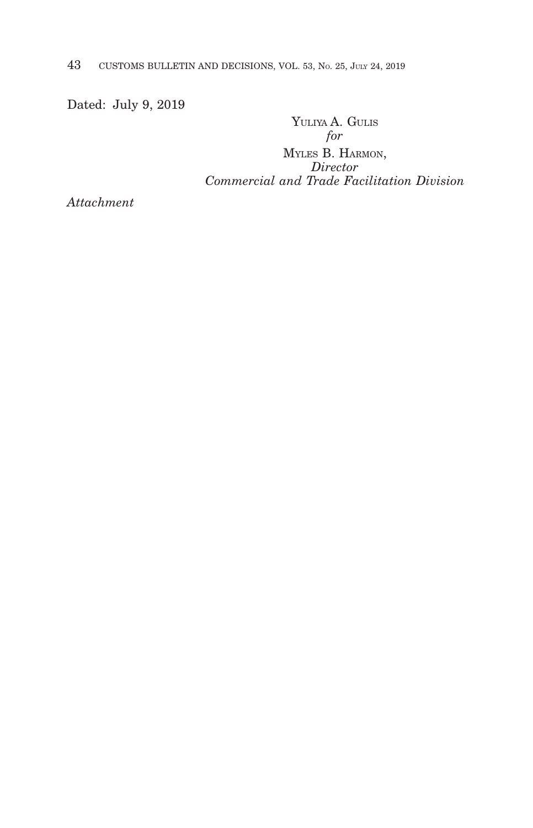Dated: July 9, 2019

YULIYA A. GULIS *for* MYLES B. HARMON, *Director*

*Commercial and Trade Facilitation Division*

*Attachment*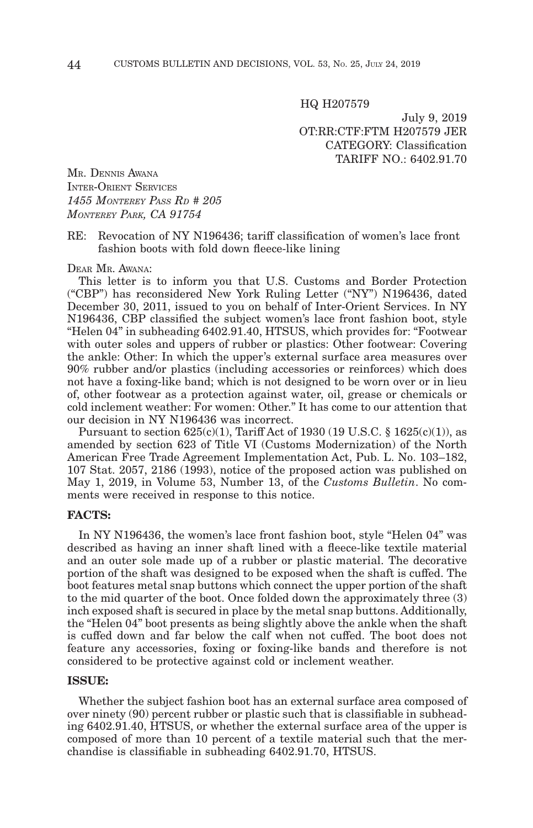HQ H207579

July 9, 2019 OT:RR:CTF:FTM H207579 JER CATEGORY: Classification TARIFF NO.: 6402.91.70

MR. DENNIS AWANA INTER-ORIENT SERVICES *1455 MONTEREY PASS RD # 205 MONTEREY PARK, CA 91754*

#### RE: Revocation of NY N196436; tariff classification of women's lace front fashion boots with fold down fleece-like lining

DEAR MR. AWANA:

This letter is to inform you that U.S. Customs and Border Protection ("CBP") has reconsidered New York Ruling Letter ("NY") N196436, dated December 30, 2011, issued to you on behalf of Inter-Orient Services. In NY N196436, CBP classified the subject women's lace front fashion boot, style "Helen 04" in subheading 6402.91.40, HTSUS, which provides for: "Footwear with outer soles and uppers of rubber or plastics: Other footwear: Covering the ankle: Other: In which the upper's external surface area measures over 90% rubber and/or plastics (including accessories or reinforces) which does not have a foxing-like band; which is not designed to be worn over or in lieu of, other footwear as a protection against water, oil, grease or chemicals or cold inclement weather: For women: Other." It has come to our attention that our decision in NY N196436 was incorrect.

Pursuant to section  $625(c)(1)$ , Tariff Act of 1930 (19 U.S.C. § 1625 $(c)(1)$ ), as amended by section 623 of Title VI (Customs Modernization) of the North American Free Trade Agreement Implementation Act, Pub. L. No. 103–182, 107 Stat. 2057, 2186 (1993), notice of the proposed action was published on May 1, 2019, in Volume 53, Number 13, of the *Customs Bulletin*. No comments were received in response to this notice.

## **FACTS:**

In NY N196436, the women's lace front fashion boot, style "Helen 04" was described as having an inner shaft lined with a fleece-like textile material and an outer sole made up of a rubber or plastic material. The decorative portion of the shaft was designed to be exposed when the shaft is cuffed. The boot features metal snap buttons which connect the upper portion of the shaft to the mid quarter of the boot. Once folded down the approximately three (3) inch exposed shaft is secured in place by the metal snap buttons. Additionally, the "Helen 04" boot presents as being slightly above the ankle when the shaft is cuffed down and far below the calf when not cuffed. The boot does not feature any accessories, foxing or foxing-like bands and therefore is not considered to be protective against cold or inclement weather.

#### **ISSUE:**

Whether the subject fashion boot has an external surface area composed of over ninety (90) percent rubber or plastic such that is classifiable in subheading 6402.91.40, HTSUS, or whether the external surface area of the upper is composed of more than 10 percent of a textile material such that the merchandise is classifiable in subheading 6402.91.70, HTSUS.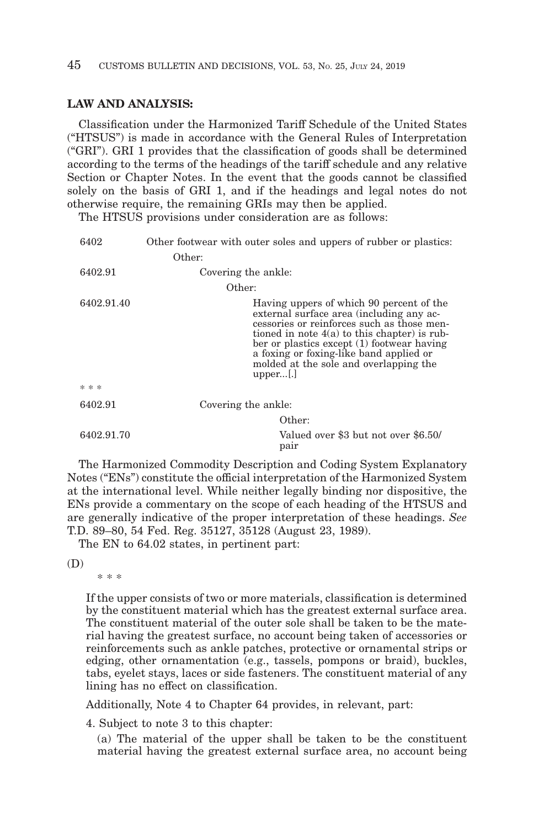## **LAW AND ANALYSIS:**

Classification under the Harmonized Tariff Schedule of the United States ("HTSUS") is made in accordance with the General Rules of Interpretation ("GRI"). GRI 1 provides that the classification of goods shall be determined according to the terms of the headings of the tariff schedule and any relative Section or Chapter Notes. In the event that the goods cannot be classified solely on the basis of GRI 1, and if the headings and legal notes do not otherwise require, the remaining GRIs may then be applied.

The HTSUS provisions under consideration are as follows:

| 6402       | Other footwear with outer soles and uppers of rubber or plastics:                                                                                                                                                                                                                                                                    |
|------------|--------------------------------------------------------------------------------------------------------------------------------------------------------------------------------------------------------------------------------------------------------------------------------------------------------------------------------------|
|            | Other:                                                                                                                                                                                                                                                                                                                               |
| 6402.91    | Covering the ankle:                                                                                                                                                                                                                                                                                                                  |
|            | Other:                                                                                                                                                                                                                                                                                                                               |
| 6402.91.40 | Having uppers of which 90 percent of the<br>external surface area (including any ac-<br>cessories or reinforces such as those men-<br>tioned in note $4(a)$ to this chapter) is rub-<br>ber or plastics except (1) footwear having<br>a foxing or foxing-like band applied or<br>molded at the sole and overlapping the<br>$upper$ . |
| * * *      |                                                                                                                                                                                                                                                                                                                                      |
| 6402.91    | Covering the ankle:                                                                                                                                                                                                                                                                                                                  |
|            | Other:                                                                                                                                                                                                                                                                                                                               |
| 6402.91.70 | Valued over \$3 but not over \$6.50/<br>pair                                                                                                                                                                                                                                                                                         |

The Harmonized Commodity Description and Coding System Explanatory Notes ("ENs") constitute the official interpretation of the Harmonized System at the international level. While neither legally binding nor dispositive, the ENs provide a commentary on the scope of each heading of the HTSUS and are generally indicative of the proper interpretation of these headings. *See* T.D. 89–80, 54 Fed. Reg. 35127, 35128 (August 23, 1989).

The EN to 64.02 states, in pertinent part:

(D)

\* \* \*

If the upper consists of two or more materials, classification is determined by the constituent material which has the greatest external surface area. The constituent material of the outer sole shall be taken to be the material having the greatest surface, no account being taken of accessories or reinforcements such as ankle patches, protective or ornamental strips or edging, other ornamentation (e.g., tassels, pompons or braid), buckles, tabs, eyelet stays, laces or side fasteners. The constituent material of any lining has no effect on classification.

Additionally, Note 4 to Chapter 64 provides, in relevant, part:

4. Subject to note 3 to this chapter:

(a) The material of the upper shall be taken to be the constituent material having the greatest external surface area, no account being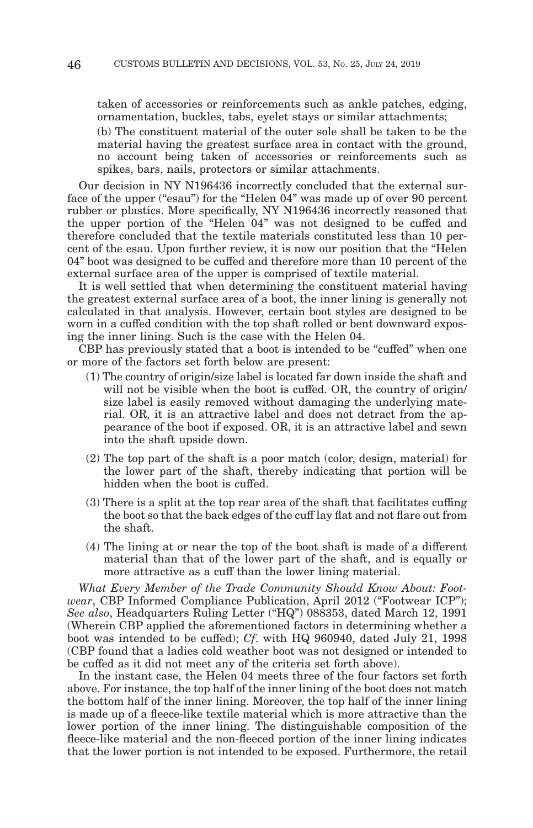taken of accessories or reinforcements such as ankle patches, edging, ornamentation, buckles, tabs, eyelet stays or similar attachments;

(b) The constituent material of the outer sole shall be taken to be the material having the greatest surface area in contact with the ground, no account being taken of accessories or reinforcements such as spikes, bars, nails, protectors or similar attachments.

Our decision in NY N196436 incorrectly concluded that the external surface of the upper ("esau") for the "Helen 04" was made up of over 90 percent rubber or plastics. More specifically, NY N196436 incorrectly reasoned that the upper portion of the "Helen 04" was not designed to be cuffed and therefore concluded that the textile materials constituted less than 10 percent of the esau. Upon further review, it is now our position that the "Helen 04" boot was designed to be cuffed and therefore more than 10 percent of the external surface area of the upper is comprised of textile material.

It is well settled that when determining the constituent material having the greatest external surface area of a boot, the inner lining is generally not calculated in that analysis. However, certain boot styles are designed to be worn in a cuffed condition with the top shaft rolled or bent downward exposing the inner lining. Such is the case with the Helen 04.

CBP has previously stated that a boot is intended to be "cuffed" when one or more of the factors set forth below are present:

- (1) The country of origin/size label is located far down inside the shaft and will not be visible when the boot is cuffed. OR, the country of origin/ size label is easily removed without damaging the underlying material. OR, it is an attractive label and does not detract from the appearance of the boot if exposed. OR, it is an attractive label and sewn into the shaft upside down.
- (2) The top part of the shaft is a poor match (color, design, material) for the lower part of the shaft, thereby indicating that portion will be hidden when the boot is cuffed.
- (3) There is a split at the top rear area of the shaft that facilitates cuffing the boot so that the back edges of the cuff lay flat and not flare out from the shaft.
- (4) The lining at or near the top of the boot shaft is made of a different material than that of the lower part of the shaft, and is equally or more attractive as a cuff than the lower lining material.

*What Every Member of the Trade Community Should Know About: Footwear*, CBP Informed Compliance Publication, April 2012 ("Footwear ICP"); *See also*, Headquarters Ruling Letter ("HQ") 088353, dated March 12, 1991 (Wherein CBP applied the aforementioned factors in determining whether a boot was intended to be cuffed); *Cf*. with HQ 960940, dated July 21, 1998 (CBP found that a ladies cold weather boot was not designed or intended to be cuffed as it did not meet any of the criteria set forth above).

In the instant case, the Helen 04 meets three of the four factors set forth above. For instance, the top half of the inner lining of the boot does not match the bottom half of the inner lining. Moreover, the top half of the inner lining is made up of a fleece-like textile material which is more attractive than the lower portion of the inner lining. The distinguishable composition of the fleece-like material and the non-fleeced portion of the inner lining indicates that the lower portion is not intended to be exposed. Furthermore, the retail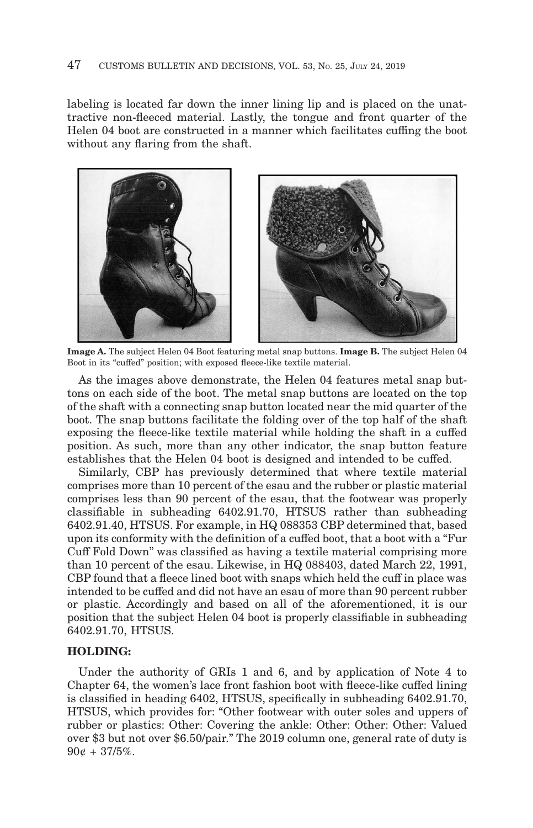labeling is located far down the inner lining lip and is placed on the unattractive non-fleeced material. Lastly, the tongue and front quarter of the Helen 04 boot are constructed in a manner which facilitates cuffing the boot without any flaring from the shaft.



**Image A.** The subject Helen 04 Boot featuring metal snap buttons. **Image B.** The subject Helen 04 Boot in its "cuffed" position; with exposed fleece-like textile material.

As the images above demonstrate, the Helen 04 features metal snap buttons on each side of the boot. The metal snap buttons are located on the top of the shaft with a connecting snap button located near the mid quarter of the boot. The snap buttons facilitate the folding over of the top half of the shaft exposing the fleece-like textile material while holding the shaft in a cuffed position. As such, more than any other indicator, the snap button feature establishes that the Helen 04 boot is designed and intended to be cuffed.

Similarly, CBP has previously determined that where textile material comprises more than 10 percent of the esau and the rubber or plastic material comprises less than 90 percent of the esau, that the footwear was properly classifiable in subheading 6402.91.70, HTSUS rather than subheading 6402.91.40, HTSUS. For example, in HQ 088353 CBP determined that, based upon its conformity with the definition of a cuffed boot, that a boot with a "Fur Cuff Fold Down" was classified as having a textile material comprising more than 10 percent of the esau. Likewise, in HQ 088403, dated March 22, 1991, CBP found that a fleece lined boot with snaps which held the cuff in place was intended to be cuffed and did not have an esau of more than 90 percent rubber or plastic. Accordingly and based on all of the aforementioned, it is our position that the subject Helen 04 boot is properly classifiable in subheading 6402.91.70, HTSUS.

## **HOLDING:**

Under the authority of GRIs 1 and 6, and by application of Note 4 to Chapter 64, the women's lace front fashion boot with fleece-like cuffed lining is classified in heading 6402, HTSUS, specifically in subheading 6402.91.70, HTSUS, which provides for: "Other footwear with outer soles and uppers of rubber or plastics: Other: Covering the ankle: Other: Other: Other: Valued over \$3 but not over \$6.50/pair." The 2019 column one, general rate of duty is  $90¢ + 37/5\%.$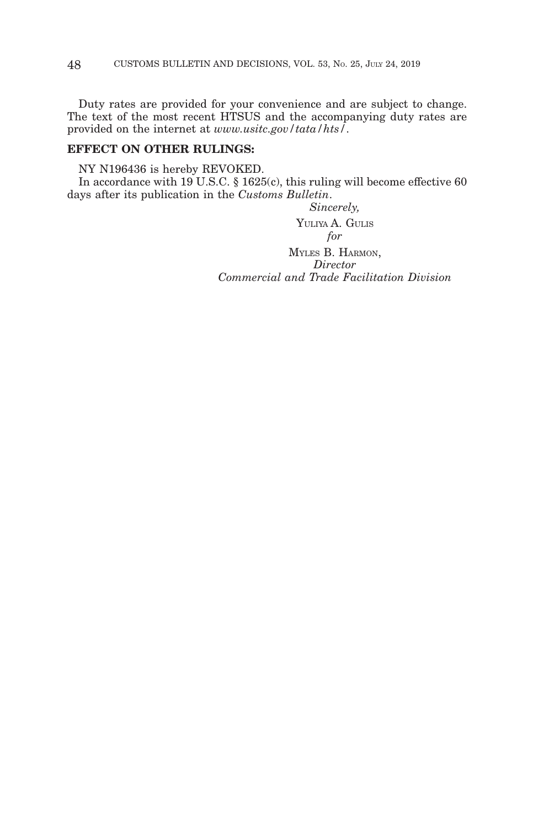Duty rates are provided for your convenience and are subject to change. The text of the most recent HTSUS and the accompanying duty rates are provided on the internet at *www.usitc.gov/tata/hts/*.

# **EFFECT ON OTHER RULINGS:**

NY N196436 is hereby REVOKED.

In accordance with  $19$  U.S.C. § 1625(c), this ruling will become effective 60 days after its publication in the *Customs Bulletin*.

# *Sincerely,*

YULIYA A. GULIS *for* MYLES B. HARMON, *Director Commercial and Trade Facilitation Division*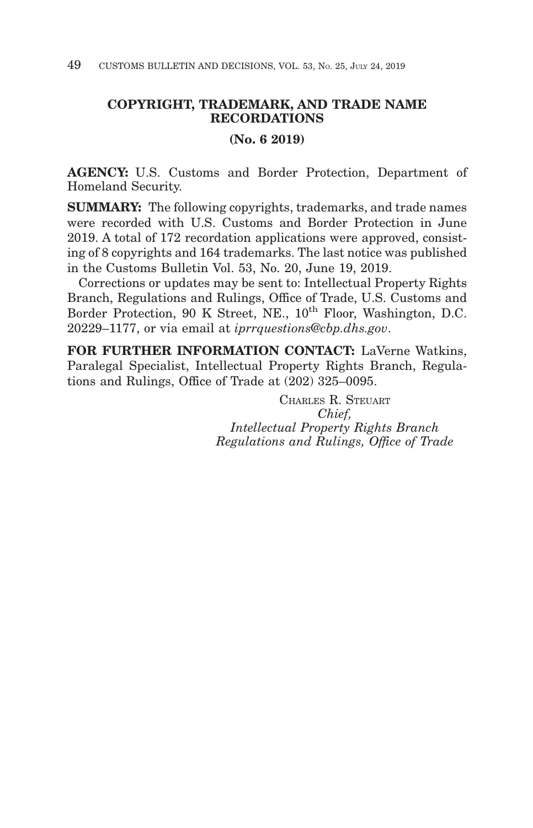# **COPYRIGHT, TRADEMARK, AND TRADE NAME RECORDATIONS**

# **(No. 6 2019)**

**AGENCY:** U.S. Customs and Border Protection, Department of Homeland Security.

**SUMMARY:** The following copyrights, trademarks, and trade names were recorded with U.S. Customs and Border Protection in June 2019. A total of 172 recordation applications were approved, consisting of 8 copyrights and 164 trademarks. The last notice was published in the Customs Bulletin Vol. 53, No. 20, June 19, 2019.

Corrections or updates may be sent to: Intellectual Property Rights Branch, Regulations and Rulings, Office of Trade, U.S. Customs and Border Protection, 90 K Street, NE., 10<sup>th</sup> Floor, Washington, D.C. 20229–1177, or via email at *iprrquestions@cbp.dhs.gov*.

**FOR FURTHER INFORMATION CONTACT:** LaVerne Watkins, Paralegal Specialist, Intellectual Property Rights Branch, Regulations and Rulings, Office of Trade at (202) 325–0095.

> CHARLES R. STEUART *Chief, Intellectual Property Rights Branch Regulations and Rulings, Office of Trade*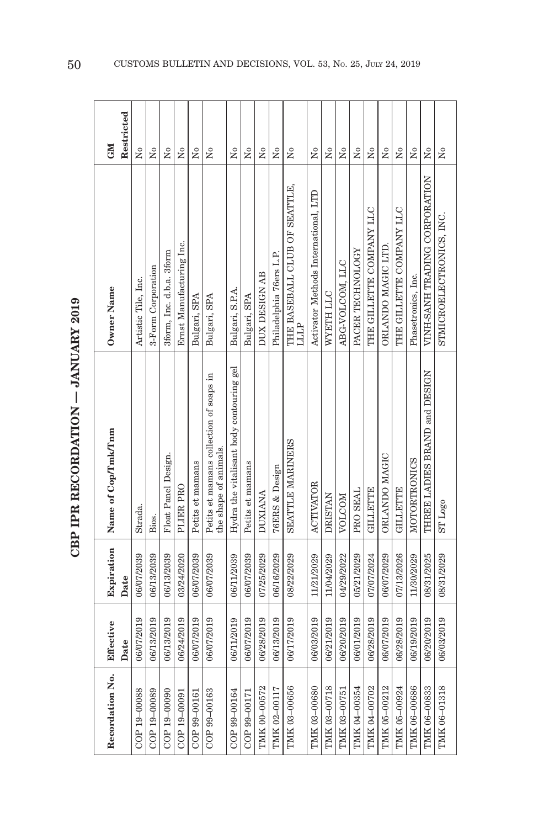| C<br>C<br>C<br>C |  |
|------------------|--|
|                  |  |
|                  |  |
|                  |  |
|                  |  |
| .                |  |
|                  |  |
|                  |  |
|                  |  |
|                  |  |
|                  |  |
|                  |  |
|                  |  |
|                  |  |
|                  |  |
|                  |  |
|                  |  |
|                  |  |
|                  |  |
| さくさい じじくてじじょ     |  |
|                  |  |
|                  |  |
|                  |  |
|                  |  |
|                  |  |
|                  |  |
|                  |  |
|                  |  |
|                  |  |
|                  |  |
| ן<br>ו           |  |
|                  |  |
|                  |  |
|                  |  |
|                  |  |
|                  |  |

| Recordation No. | Effective  | Expiration | Name of Cop/Tmk/Tnm                                              | Owner Name                                   | <b>CM</b>               |
|-----------------|------------|------------|------------------------------------------------------------------|----------------------------------------------|-------------------------|
|                 | Date       | Date       |                                                                  |                                              | Restricted              |
| COP 19-00088    | 06/07/2019 | 06/07/2039 | Strada.                                                          | Artistic Tile, Inc.                          | $\overline{M}$          |
| COP 19-00089    | 06/13/2019 | 06/13/2039 | Bios.                                                            | 3-Form Corporation                           | $\tilde{z}$             |
| COP 19-00090    | 06/13/2019 | 06/13/2039 | Float Panel Design.                                              | 3form, Inc. d.b.a. 3form                     | $\tilde{X}^{\circ}$     |
| COP 19-00091    | 06/24/2019 | 03/24/2020 | PLIER PRO                                                        | Ernst Manufacturing Inc.                     | Χo                      |
| COP 99-00161    | 06/07/2019 | 06/07/2039 | Petits et mamans                                                 | Bulgari, SPA                                 | Σò                      |
| COP 99-00163    | 06/07/2019 | 06/07/2039 | Petits et mamans collection of soaps in<br>the shape of animals. | Bulgari, SPA                                 | Σò                      |
| COP 99-00164    | 06/11/2019 | 06/11/2039 | Hydra the vitalisant body contouring gel                         | Bulgari, S.P.A.                              | $\overline{R}$          |
| COP 99-00171    | 06/07/2019 | 06/07/2039 | Petits et mamans                                                 | Bulgari, SPA                                 | $\tilde{z}$             |
| TMK 00-00572    | 06/28/2019 | 07/25/2029 | <b>DUXIANA</b>                                                   | DUX DESIGN AB                                | Σò                      |
| TMK 02-00117    | 06/13/2019 | 06/16/2029 | <b>76ERS &amp; Design</b>                                        | Philadelphia 76ers L.P.                      | $\tilde{Z}$             |
| TMK 03-00656    | 06/17/2019 | 08/22/2029 | SEATTLE MARINERS                                                 | THE BASEBALL CLUB OF SEATTLE,<br><b>LLLP</b> | Σó                      |
| TMK 03-00680    | 06/03/2019 | 11/21/2029 | <b>ACTIVATOR</b>                                                 | Activator Methods International, LTD         | å                       |
| TMK 03-00718    | 06/21/2019 | 11/04/2029 | <b>DRISTAN</b>                                                   | WYETH LLC                                    | $\tilde{\rm z}$         |
| TMK 03-00751    | 06/20/2019 | 04/29/2022 | NOLCOM                                                           | ABG-VOLCOM, LLC                              | ż                       |
| TMK 04-00354    | 06/01/2019 | 05/21/2029 | PRO SEAL                                                         | PACER TECHNOLOGY                             | $\tilde{\rm x}^{\rm o}$ |
| TMK 04-00702    | 06/28/2019 | 07/07/2024 | <b>GILLETTE</b>                                                  | THE GILLETTE COMPANY LLC                     | Χo                      |
| TMK 05-00212    | 06/07/2019 | 06/07/2029 | ORLANDO MAGIC                                                    | ORLANDO MAGIC LTD.                           | Χo                      |
| TMK 05-00924    | 06/28/2019 | 07/13/2026 | <b>GILLETTE</b>                                                  | THE GILLETTE COMPANY LLC                     | Χo                      |
| TMK 06-00686    | 06/19/2019 | 11/30/2029 | MOTORTRONICS                                                     | Phasetronics, Inc.                           | $\tilde{X}^{\circ}$     |
| TMK 06-00833    | 06/20/2019 | 08/31/2025 | THREE LADIES BRAND and DESIGN                                    | VINH-SANH TRADING CORPORATION                | Χo                      |
| TMK 06-01318    | 06/03/2019 | 08/31/2029 | ST <sub>Logo</sub>                                               | STMICROELECTRONICS, INC.                     | Χo                      |
|                 |            |            |                                                                  |                                              |                         |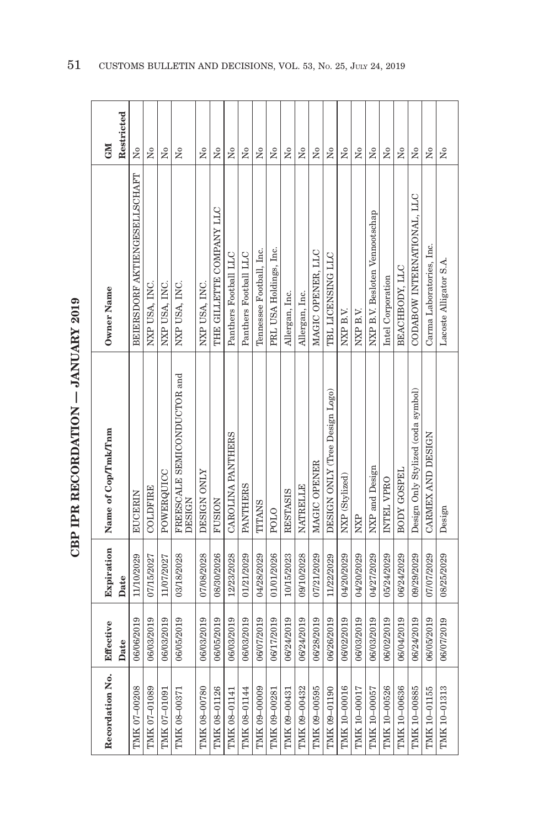| ć                |
|------------------|
|                  |
| -<br>-<br>-<br>- |
|                  |
| ・・くー             |
| $\frac{1}{2}$    |
| トくていし            |
| í                |
|                  |

| Recordation No. | Effective  | Expiration | Name of Cop/Tmk/Tnm                          | Owner Name                     | <b>GM</b>                            |
|-----------------|------------|------------|----------------------------------------------|--------------------------------|--------------------------------------|
|                 | Date       | Date       |                                              |                                | Restricted                           |
| TMK 07-00208    | 06/06/2019 | 11/10/2029 | <b>EUCERIN</b>                               | BEIERSDORF AKTIENGESELLSCHAFT  | $\tilde{\mathsf{z}}$                 |
| TMK 07-01089    | 06/03/2019 | 07/15/2027 | COLDFIRE                                     | NXP USA, INC.                  | Σó                                   |
| TMK 07-01091    | 06/03/2019 | 11/07/2027 | POWERQUICC                                   | NXP USA, INC.                  | ż                                    |
| TMK 08-00371    | 06/05/2019 | 03/18/2028 | FREESCALE SEMICONDUCTOR and<br><b>DESIGN</b> | NXP USA, INC.                  | $\tilde{\mathbf{X}}$                 |
| TMK 08-00780    | 06/03/2019 | 07/08/2028 | DESIGN ONLY                                  | NXP USA, INC.                  | Σó                                   |
| TMK 08-01126    | 06/05/2019 | 08/30/2026 | <b>FUSION</b>                                | THE GILLETTE COMPANY LLC       | Σó                                   |
| TMK 08-01141    | 06/03/2019 | 12/23/2028 | CAROLINA PANTHERS                            | Panthers Football LLC          | ż                                    |
| TMK 08-01144    | 06/03/2019 | 01/21/2029 | <b>PANTHERS</b>                              | Panthers Football LLC          | ż                                    |
| TMK 09-00009    | 06/07/2019 | 04/28/2029 | <b>TITANS</b>                                | Tennessee Football, Inc.       | Σò                                   |
| TMK 09-00281    | 06/17/2019 | 01/01/2026 | POLO                                         | PRL USA Holdings, Inc.         | Σò                                   |
| TMK 09-00431    | 06/24/2019 | 10/15/2023 | <b>RESTASIS</b>                              | Allergan, Inc.                 | Σò                                   |
| TMK 09-00432    | 06/24/2019 | 09/10/2028 | NATRELLE                                     | Allergan, Inc.                 | Σò                                   |
| TMK 09-00595    | 06/28/2019 | 07/21/2029 | MAGIC OPENER                                 | MAGIC OPENER, LLC              | Χo                                   |
| TMK 09-01190    | 06/26/2019 | 11/22/2029 | DESIGN ONLY (Tree Design Logo)               | TBL LICENSING LLC              | $_{\rm N_0}$                         |
| TMK 10-00016    | 06/02/2019 | 04/20/2029 | NXP (Stylized)                               | NXP B.V.                       | $\tilde{X}^{\circ}$                  |
| TMK 10-00017    | 06/03/2019 | 04/20/2029 | NXP                                          | NXP B.V.                       | $\tilde{\mathsf{x}}$                 |
| TMK 10-00057    | 06/03/2019 | 04/27/2029 | NXP and Design                               | NXP B.V. Besloten Vennootschap | $\tilde{X}^{\circ}$                  |
| TMK 10-00526    | 06/02/2019 | 05/24/2029 | INTEL VPRO                                   | Intel Corporation              | $\overline{\mathsf{X}}^{\mathsf{o}}$ |
| TMK 10-00636    | 06/04/2019 | 06/24/2029 | BODY GOSPEL                                  | BEACHBODY, LLC                 | $\overline{\mathsf{x}}$              |
| TMK 10-00885    | 06/24/2019 | 09/29/2029 | Design Only Stylized (coda symbol)           | CODABOW INTERNATIONAL, LLC     | $\tilde{X}^{\circ}$                  |
| TMK 10-01155    | 06/05/2019 | 07/07/2029 | CARMEX AND DESIGN                            | Carma Laboratories, Inc.       | $_{\rm N_0}$                         |
| TMK 10-01313    | 06/07/2019 | 08/25/2029 | Design                                       | Lacoste Alligator S.A.         | $\tilde{X}^{\circ}$                  |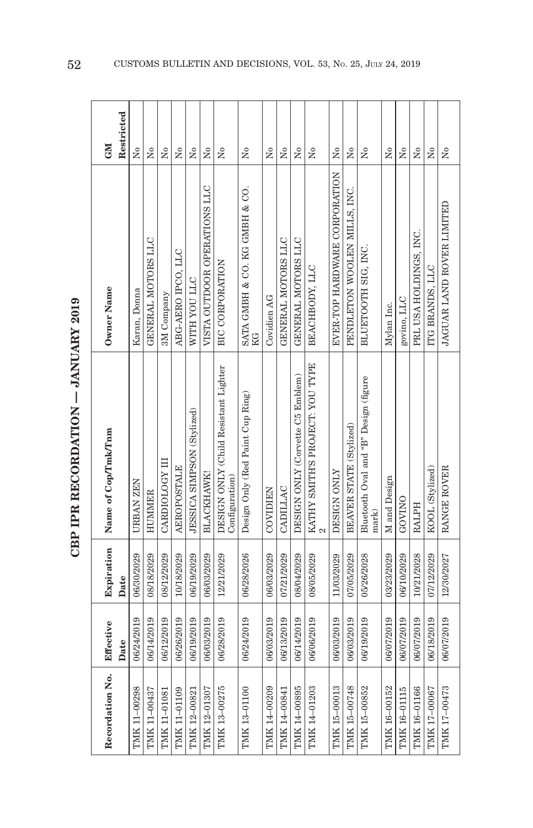| r<br>C                |
|-----------------------|
| ;<br>;<br>;<br>;<br>; |
|                       |
|                       |
| $\frac{1}{2}$         |
|                       |
| こしい こくていしょう           |
| Ē                     |
|                       |

| Recordation No. | Effective  | Expiration | Name of Cop/Tmk/Tnm                                    | Owner Name                          | <b>NEO</b>                           |
|-----------------|------------|------------|--------------------------------------------------------|-------------------------------------|--------------------------------------|
|                 | Date       | Date       |                                                        |                                     | Restricted                           |
| TMK 11-00298    | 06/24/2019 | 06/30/2029 | URBAN ZEN                                              | Karan, Donna                        | $\mathsf{X}^\circ$                   |
| TMK 11-00437    | 06/14/2019 | 08/18/2029 | <b>HUMMER</b>                                          | GENERAL MOTORS LLC                  | $\overline{N}$                       |
| TMK 11-01081    | 06/12/2019 | 08/12/2029 | CARDIOLOGY III                                         | 3M Company                          | Χo                                   |
| TMK 11-01109    | 06/26/2019 | 10/18/2029 | <b>AEROPOSTALE</b>                                     | ABG-AERO IPCO, LLC                  | $\overline{M}$                       |
| TMK 12-00821    | 06/19/2019 | 06/19/2029 | JESSICA SIMPSON (Stylized)                             | WITH YOU LLC                        | Χo                                   |
| TMK 12-01307    | 06/03/2019 | 06/03/2029 | <b>BLACKHAWK</b>                                       | VISTA OUTDOOR OPERATIONS LLC        | $\tilde{\mathbf{z}}$                 |
| TMK 13-00275    | 06/28/2019 | 12/21/2029 | DESIGN ONLY (Child Resistant Lighter<br>Configuration) | <b>BIC CORPORATION</b>              | $\overline{R}$                       |
| TMK 13-01100    | 06/24/2019 | 06/28/2026 | Design Only (Red Paint Cup Ring)                       | SATA GMBH & CO. KG GMBH & CO.<br>KG | $\tilde{X}^{\circ}$                  |
| TMK 14-00209    | 06/03/2019 | 06/03/2029 | <b>COVIDIEN</b>                                        | Covidien AG                         | Σó                                   |
| TMK 14-00841    | 06/13/2019 | 07/21/2029 | CADILLAC                                               | GENERAL MOTORS LLC                  | Χo                                   |
| TMK 14-00895    | 06/14/2019 | 08/04/2029 | DESIGN ONLY (Corvette C5 Emblem)                       | GENERAL MOTORS LLC                  | $\tilde{X}^{\circ}$                  |
| TMK 14-01203    | 06/06/2019 | 08/05/2029 | KATHY SMITH'S PROJECT: YOU TYPE                        | BEACHBODY, LLC                      | $\overline{N}$                       |
| TMK 15-00013    | 06/03/2019 | 11/03/2029 | DESIGN ONLY                                            | EVER-TOP HARDWARE CORPORATION       | $\overline{\mathsf{X}}^{\mathsf{o}}$ |
| TMK 15-00748    | 06/03/2019 | 07/05/2029 | BEAVER STATE (Stylized)                                | PENDLETON WOOLEN MILLS, INC.        | $\tilde{\rm x}^{\rm o}$              |
| TMK 15-00852    | 06/19/2019 | 05/26/2028 | Bluetooth Oval and "B" Design (figure<br>mark)         | BLUETOOTH SIG, INC.                 | Σo                                   |
| TMK 16-00152    | 06/07/2019 | 03/23/2029 | M and Design                                           | Mylan Inc.                          | $\overline{\mathsf{X}}^{\mathsf{o}}$ |
| TMK 16-01115    | 06/07/2019 | 06/10/2029 | GOVINO                                                 | govino, LLC                         | Σó                                   |
| TMK 16-01166    | 06/07/2019 | 10/21/2028 | <b>RALPH</b>                                           | PRL USA HOLDINGS, INC.              | $\overline{\mathsf{X}}^{\mathsf{o}}$ |
| TMK 17-00067    | 06/18/2019 | 07/12/2029 | KOOL (Stylized)                                        | ITG BRANDS, LLC                     | $\overline{N}^{\circ}$               |
| TMK 17-00473    | 06/07/2019 | 12/30/2027 | RANGE ROVER                                            | JAGUAR LAND ROVER LIMITED           | $\tilde{\mathsf{X}}^{\mathsf{o}}$    |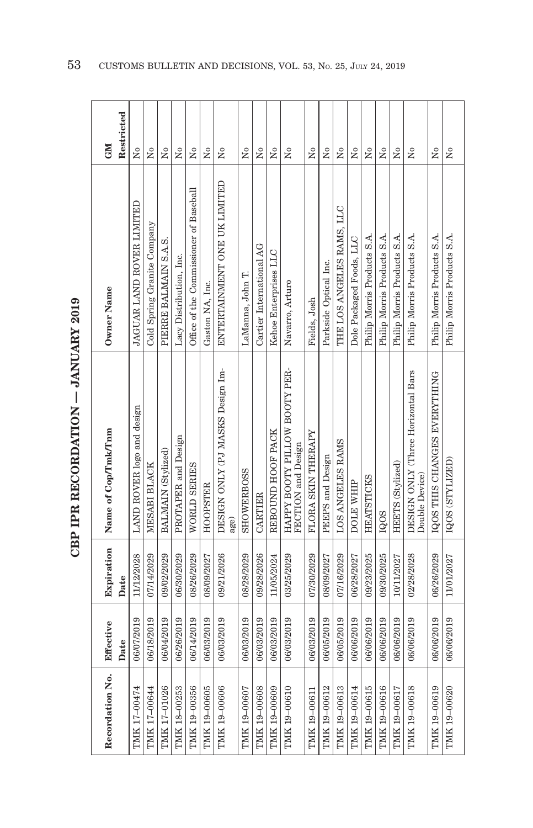| $5 - 7$                                   |
|-------------------------------------------|
|                                           |
|                                           |
|                                           |
| $\frac{1}{2}$                             |
|                                           |
|                                           |
|                                           |
| ŗ                                         |
| ï                                         |
|                                           |
|                                           |
|                                           |
|                                           |
|                                           |
|                                           |
| ֧֧֧֚֚֚֚֚֚֚֚֚֚֚֚֚֚֚֚֚֚֚֚֚֚֚֚֚֬֡֡֡֬֝֝֓֡֡֡֬֓ |
|                                           |
|                                           |
|                                           |
|                                           |
|                                           |
|                                           |
|                                           |
|                                           |
|                                           |
| さくさい イイクストイ                               |
|                                           |
|                                           |
|                                           |
|                                           |
|                                           |
|                                           |
| $\frac{1}{2}$                             |
|                                           |
|                                           |
|                                           |
|                                           |

| Recordation No. | Effective  | Expiration | Name of Cop/Tmk/Tnm                                  | Owner Name                             | <b>NE</b>                            |
|-----------------|------------|------------|------------------------------------------------------|----------------------------------------|--------------------------------------|
|                 | Date       | Date       |                                                      |                                        | Restricted                           |
| TMK 17-00474    | 06/07/2019 | 11/12/2028 | LAND ROVER logo and design                           | JAGUAR LAND ROVER LIMITED              | Σó                                   |
| TMK 17-00644    | 06/18/2019 | 07/14/2029 | MESABI BLACK                                         | Cold Spring Granite Company            | Χo                                   |
| TMK 17-01026    | 06/04/2019 | 09/02/2029 | BALMAIN (Stylized)                                   | PIERRE BALMAIN S.A.S.                  | Χo                                   |
| TMK 18-00253    | 06/26/2019 | 06/30/2029 | PROTAPER and Design                                  | Lacy Distribution, Inc.                | $\tilde{X}^{\circ}$                  |
| TMK 19-00356    | 06/14/2019 | 08/26/2029 | WORLD SERIES                                         | Office of the Commissioner of Baseball | ż                                    |
| TMK 19-00605    | 06/03/2019 | 08/09/2027 | <b>HOOPSTER</b>                                      | Gaston NA, Inc.                        | Σó                                   |
| TMK 19-00606    | 06/03/2019 | 09/21/2026 | DESIGN ONLY (PJ MASKS Design Im-<br>age)             | ENTERTAINMENT ONE UK LIMITED           | $\tilde{\mathbf{X}}$                 |
| TMK 19-00607    | 06/03/2019 | 08/28/2029 | <b>SHOWERDOSS</b>                                    | LaManna, John T.                       | Σó                                   |
| TMK 19-00608    | 06/03/2019 | 09/28/2026 | CARTIER                                              | Cartier International AG               | ż                                    |
| TMK 19-00609    | 06/03/2019 | 11/05/2024 | REBOUND HOOF PACK                                    | Kehoe Enterprises LLC                  | $\tilde{\mathbf{X}}$                 |
| TMK 19-00610    | 06/03/2019 | 03/25/2029 | HAPPY BOOTY PILLOW BOOTY PER-<br>FECTION and Design  | Navarro, Arturo                        | $\tilde{\mathbf{z}}$                 |
| TMK 19-00611    | 06/03/2019 | 07/30/2029 | FLORA SKIN THERAPY                                   | Fields, Josh                           | ż                                    |
| TMK 19-00612    | 06/05/2019 | 08/09/2027 | PEEPS and Design                                     | Parkside Optical Inc.                  | $\overline{N}$                       |
| TMK 19-00613    | 06/05/2019 | 07/16/2029 | LOS ANGELES RAMS                                     | THE LOS ANGELES RAMS, LLC              | $\overline{\mathsf{X}}^{\mathsf{o}}$ |
| TMK 19-00614    | 06/06/2019 | 06/28/2027 | DOLE WHIP                                            | Dole Packaged Foods, LLC               | $_{\rm N_0}$                         |
| TMK 19-00615    | 06/06/2019 | 09/23/2025 | <b>HEATSTICKS</b>                                    | Philip Morris Products S.A.            | $\tilde{\rm N}_0$                    |
| TMK 19-00616    | 06/06/2019 | 09/30/2025 | IQOS                                                 | Philip Morris Products S.A.            | $\tilde{\rm N}_0$                    |
| TMK 19-00617    | 06/06/2019 | 10/11/2027 | HEETS (Stylized)                                     | Philip Morris Products S.A.            | $\overline{N}^{\circ}$               |
| TMK 19-00618    | 06/06/2019 | 02/28/2028 | DESIGN ONLY (Three Horizontal Bars<br>Double Device) | Philip Morris Products S.A.            | Χo                                   |
| TMK 19-00619    | 06/06/2019 | 06/26/2029 | IQOS THIS CHANGES EVERYTHING                         | Philip Morris Products S.A.            | Σó                                   |
| TMK 19-00620    | 06/06/2019 | 11/01/2027 | IQOS (STYLIZED)                                      | Philip Morris Products S.A.            | $_{\rm N_o}$                         |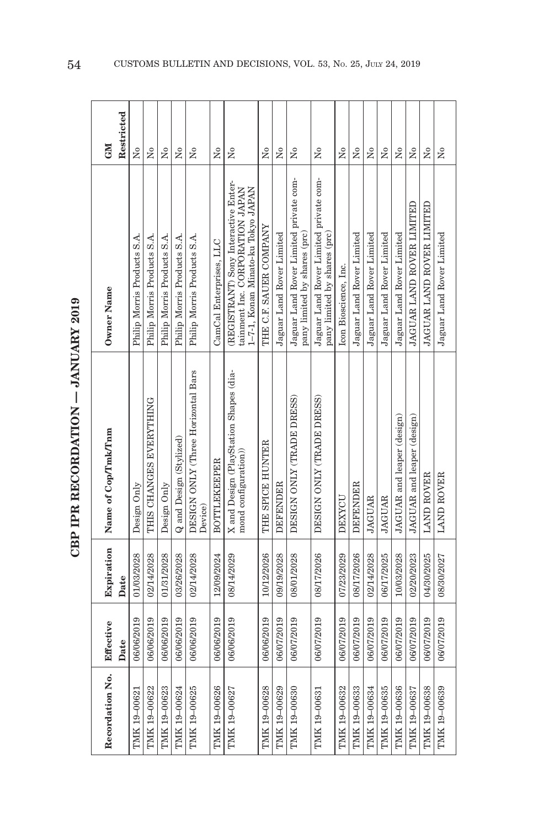| Î<br>トー・トー               |
|--------------------------|
| $\frac{1}{2}$<br>トロペスドロー |
| י<br>י                   |

| Recordation No. | Effective  | Expiration | Name of Cop/Tmk/Tnm                                            | Owner Name                                                                                                    | <b>CM</b>              |
|-----------------|------------|------------|----------------------------------------------------------------|---------------------------------------------------------------------------------------------------------------|------------------------|
|                 | Date       | Date       |                                                                |                                                                                                               | Restricted             |
| TMK 19-00621    | 06/06/2019 | 01/03/2028 | Design Only                                                    | Philip Morris Products S.A.                                                                                   | Σó                     |
| TMK 19-00622    | 06/06/2019 | 02/14/2028 | THIS CHANGES EVERYTHING                                        | Philip Morris Products S.A.                                                                                   | Σó                     |
| TMK 19-00623    | 06/06/2019 | 01/31/2028 | Design Only                                                    | Philip Morris Products S.A.                                                                                   | Σó                     |
| TMK 19-00624    | 06/06/2019 | 03/26/2028 | Q and Design (Stylized)                                        | Philip Morris Products S.A.                                                                                   | Σó                     |
| TMK 19-00625    | 06/06/2019 | 02/14/2028 | DESIGN ONLY (Three Horizontal Bars<br>Device)                  | Philip Morris Products S.A.                                                                                   | $\tilde{\mathbf{z}}$   |
| TMK 19-00626    | 06/06/2019 | 12/09/2024 | <b>BOTTLEKEEPER</b>                                            | CamCal Enterprises, LLC                                                                                       | $\overline{M}$         |
| TMK 19-00627    | 06/06/2019 | 08/14/2029 | X and Design (PlayStation Shapes (dia-<br>mond configuration)) | (REGISTRANT) Sony Interactive Enter-<br>1-7-1, Konan Minato-ku Tokyo JAPAN<br>tainment Inc. CORPORATION JAPAN | Σó                     |
| TMK 19-00628    | 06/06/2019 | 10/12/2026 | THE SPICE HUNTER                                               | THE C.F. SAUER COMPANY                                                                                        | ž                      |
| TMK 19-00629    | 06/07/2019 | 09/19/2028 | <b>DEFENDER</b>                                                | Jaguar Land Rover Limited                                                                                     | $\overline{X}^{\circ}$ |
| TMK 19-00630    | 06/07/2019 | 08/01/2028 | DESIGN ONLY (TRADE DRESS)                                      | Jaguar Land Rover Limited private com-<br>pany limited by shares (prc)                                        | $\tilde{R}$            |
| TMK 19-00631    | 06/07/2019 | 08/17/2026 | DESIGN ONLY (TRADE DRESS)                                      | Jaguar Land Rover Limited private com-<br>pany limited by shares (prc)                                        | Σó                     |
| TMK 19-00632    | 06/07/2019 | 07/23/2029 | DEXYCU                                                         | Icon Bioscience, Inc.                                                                                         | ż                      |
| TMK 19-00633    | 06/07/2019 | 08/17/2026 | <b>DEFENDER</b>                                                | Jaguar Land Rover Limited                                                                                     | Σò                     |
| TMK 19-00634    | 06/07/2019 | 02/14/2028 | <b>JAGUAR</b>                                                  | Jaguar Land Rover Limited                                                                                     | Σó                     |
| TMK 19-00635    | 06/07/2019 | 06/17/2025 | <b>JAGUAR</b>                                                  | Jaguar Land Rover Limited                                                                                     | Σó                     |
| TMK 19-00636    | 06/07/2019 | 10/03/2028 | JAGUAR and leaper (design)                                     | Jaguar Land Rover Limited                                                                                     | Σó                     |
| TMK 19-00637    | 06/07/2019 | 02/20/2023 | JAGUAR and leaper (design)                                     | JAGUAR LAND ROVER LIMITED                                                                                     | $\overline{N}$         |
| TMK 19-00638    | 06/07/2019 | 04/30/2025 | <b>LAND ROVER</b>                                              | JAGUAR LAND ROVER LIMITED                                                                                     | Σó                     |
| TMK 19-00639    | 06/07/2019 | 08/30/2027 | LAND ROVER                                                     | Jaguar Land Rover Limited                                                                                     | Σó                     |

54 CUSTOMS BULLETIN AND DECISIONS, VOL. 53, No. 25, July 24, 2019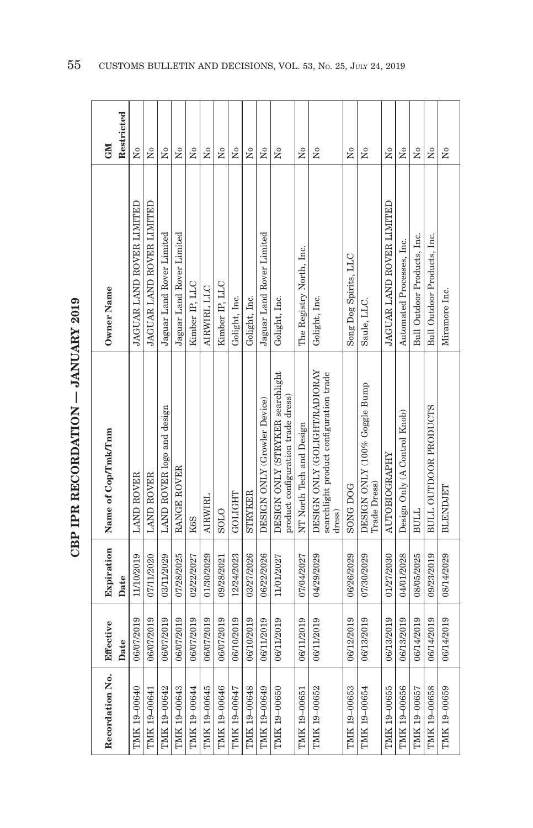| $\overline{5}$ |
|----------------|
|                |
|                |
|                |
|                |
|                |
| .<br>4         |
|                |
|                |
|                |
|                |
|                |
| $\sim$         |
|                |
|                |
|                |
|                |
| $\frac{1}{2}$  |
|                |
|                |
|                |
|                |
|                |
|                |
| さくりょう          |
|                |
|                |
|                |
| ľ              |
|                |
|                |
|                |

| Recordation No. | Effective  |            | Expiration Name of Cop/Tmk/Tnm                                                     | Owner Name                  | <b>NEO</b>          |
|-----------------|------------|------------|------------------------------------------------------------------------------------|-----------------------------|---------------------|
|                 | Date       | Date       |                                                                                    |                             | Restricted          |
| TMK 19-00640    | 06/07/2019 | 11/10/2019 | <b>LAND ROVER</b>                                                                  | JAGUAR LAND ROVER LIMITED   | $\tilde{z}$         |
| TMK 19-00641    | 06/07/2019 | 07/11/2020 | <b>LAND ROVER</b>                                                                  | JAGUAR LAND ROVER LIMITED   | Σó                  |
| TMK 19-00642    | 06/07/2019 | 03/11/2029 | LAND ROVER logo and design                                                         | Jaguar Land Rover Limited   | Σó                  |
| TMK 19-00643    | 06/07/2019 | 07/28/2025 | RANGE ROVER                                                                        | Jaguar Land Rover Limited   | Σó                  |
| TMK 19-00644    | 06/07/2019 | 02/22/2027 | K <sub>6</sub> S                                                                   | Kimber IP, LLC              | $\overline{N}$      |
| TMK 19-00645    | 06/07/2019 | 01/30/2029 | AIRWIRL                                                                            | AIRWIRL LLC                 | $\tilde{z}$         |
| TMK 19-00646    | 06/07/2019 | 09/28/2021 | <b>SOLO</b>                                                                        | Kimber IP, LLC              | $\tilde{Z}$         |
| TMK 19-00647    | 06/10/2019 | 12/24/2023 | GOLIGHT                                                                            | Golight, Inc.               | $\overline{R}$      |
| TMK 19-00648    | 06/10/2019 | 03/27/2026 | STRYKER                                                                            | Golight, Inc.               | Σ°                  |
| TMK 19-00649    | 06/11/2019 | 06/22/2026 | DESIGN ONLY (Growler Device)                                                       | Jaguar Land Rover Limited   | Σó                  |
| TMK 19-00650    | 06/11/2019 | 11/01/2027 | DESIGN ONLY (STRYKER searchlight<br>product configuration trade dress)             | Golight, Inc.               | Σó                  |
| TMK 19-00651    | 06/11/2019 | 07/04/2027 | NT North Tech and Design                                                           | The Registry North, Inc.    | $\overline{N}$      |
| TMK 19-00652    | 06/11/2019 | 04/29/2029 | DESIGN ONLY (GOLIGHT/RADIORAY<br>searchlight product configuration trade<br>dress) | Golight, Inc.               | $\tilde{X}^{\circ}$ |
| TMK 19-00653    | 06/12/2019 | 06/26/2029 | <b>SONG DOG</b>                                                                    | Song Dog Spirits, LLC       | $\tilde{X}^{\circ}$ |
| TMK 19-00654    | 06/13/2019 | 07/30/2029 | DESIGN ONLY (100% Goggle Bump<br>Trade Dress)                                      | Saule, LLC.                 | Σó                  |
| TMK 19-00655    | 06/13/2019 | 01/27/2030 | <b>AUTOBIOGRAPHY</b>                                                               | JAGUAR LAND ROVER LIMITED   | å                   |
| TMK 19-00656    | 06/13/2019 | 04/01/2028 | Design Only (A Control Knob)                                                       | Automated Processes, Inc.   | $\tilde{X}^{\circ}$ |
| TMK 19-00657    | 06/14/2019 | 08/05/2025 | <b>BULL</b>                                                                        | Bull Outdoor Products, Inc. | å                   |
| TMK 19-00658    | 06/14/2019 | 09/23/2019 | <b>BULL OUTDOOR PRODUCTS</b>                                                       | Bull Outdoor Products, Inc. | Σó                  |
| TMK 19-00659    | 06/14/2019 | 08/14/2029 | <b>BLENDJET</b>                                                                    | Miramore Inc.               | $\tilde{z}$         |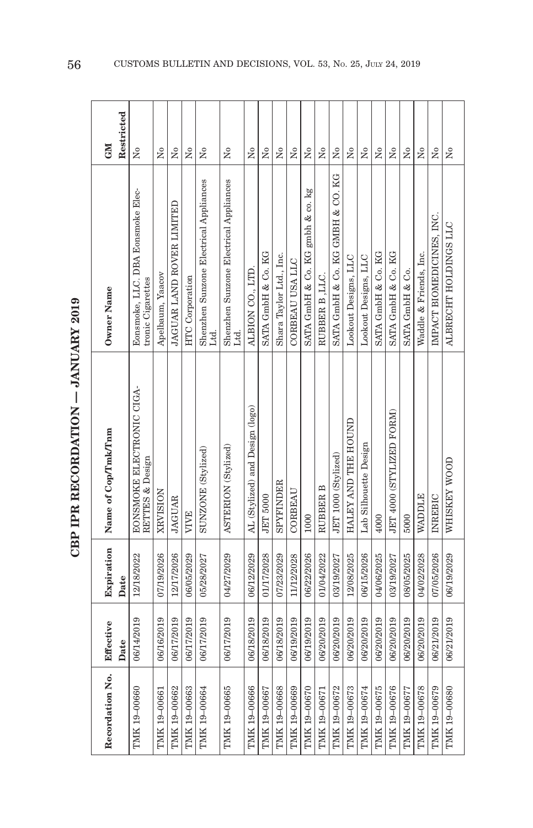| $\tilde{\zeta}$ |
|-----------------|
| ŗ<br>;<br>      |
|                 |
|                 |
|                 |
|                 |
|                 |
| トくてー            |
|                 |
|                 |

| Recordation No. | Effective  | Expiration | Name of Cop/Tmk/Tnm                                 | Owner Name                                             | <b>CNI</b>              |
|-----------------|------------|------------|-----------------------------------------------------|--------------------------------------------------------|-------------------------|
|                 | Date       | Date       |                                                     |                                                        | Restricted              |
| TMK 19-00660    | 06/14/2019 | 12/18/2022 | <b>EONSMOKE ELECTRONIC CIGA-</b><br>RETTES & Design | Eonsmoke, LLC. DBA Eonsmoke Elec-<br>tronic Cigarettes | Σó                      |
| TMK 19-00661    | 06/16/2019 | 07/19/2026 | XRVISION                                            | Apelbaum, Yaacov                                       | $\overline{X}^{\circ}$  |
| TMK 19-00662    | 06/17/2019 | 12/17/2026 | <b>JAGUAR</b>                                       | JAGUAR LAND ROVER LIMITED                              | Σó                      |
| TMK 19-00663    | 06/17/2019 | 06/05/2029 | <b>VIVE</b>                                         | <b>HTC</b> Corporation                                 | $\overline{X}^{\circ}$  |
| TMK 19-00664    | 06/17/2019 | 05/28/2027 | SUNZONE (Stylized)                                  | Shenzhen Sunzone Electrical Appliances<br>Ltd.         | ż                       |
| TMK 19-00665    | 06/17/2019 | 04/27/2029 | ASTERION (Stylized)                                 | Shenzhen Sunzone Electrical Appliances<br>Ltd.         | Σó                      |
| TMK 19-00666    | 06/18/2019 | 06/12/2029 | AL (Stylized) and Design (logo)                     | ALBION CO., LTD.                                       | Σó                      |
| TMK 19-00667    | 06/18/2019 | 01/17/2028 | <b>JET 5000</b>                                     | SATA GmbH & Co. KG                                     | $\overline{X}^{\circ}$  |
| TMK 19-00668    | 06/18/2019 | 07/23/2029 | SPYFINDER                                           | Shara Taylor Ltd., Inc.                                | $\overline{R}$          |
| TMK 19-00669    | 06/19/2019 | 11/12/2028 | CORBEAU                                             | CORBEAU USA LLC                                        | $\overline{R}$          |
| TMK 19-00670    | 06/19/2019 | 06/22/2026 | 1000                                                | SATA GmbH & Co. KG gmbh & co. kg                       | Σó                      |
| TMK 19-00671    | 06/20/2019 | 01/04/2022 | RUBBER B                                            | RUBBER B .LLC                                          | å                       |
| TMK 19-00672    | 06/20/2019 | 03/19/2027 | JET 1000 (Stylized)                                 | SATA GmbH & Co. KG GMBH & CO. KG                       | $\overline{N}^{\circ}$  |
| TMK 19-00673    | 06/20/2019 | 12/08/2025 | HALEY AND THE HOUND                                 | Lookout Designs, LLC                                   | $\frac{1}{2}$           |
| TMK 19-00674    | 06/20/2019 | 06/15/2026 | Lab Silhouette Design                               | Lookout Designs, LLC                                   | $\tilde{X}^{\circ}$     |
| TMK 19-00675    | 06/20/2019 | 04/06/2025 | 4000                                                | SATA GmbH & Co. KG                                     | $_{\rm N_0}$            |
| TMK 19-00676    | 06/20/2019 | 03/19/2027 | JET 4000 (STYLIZED FORM)                            | SATA GmbH & Co. KG                                     | $\tilde{\rm x}^{\rm o}$ |
| TMK 19-00677    | 06/20/2019 | 08/05/2025 | 5000                                                | SATA GmbH & Co.                                        | $\tilde{X}^{\circ}$     |
| TMK 19-00678    | 06/20/2019 | 04/02/2028 | <b>WADDLE</b>                                       | Waddle & Friends, Inc.                                 | $\tilde{\rm x}^{\rm o}$ |
| TMK 19-00679    | 06/21/2019 | 07/05/2026 | INREBIC                                             | IMPACT BIOMEDICINES, INC.                              | $\frac{1}{2}$           |
| TMK 19-00680    | 06/21/2019 | 06/19/2029 | WHISKEY WOOD                                        | ALBRECHT HOLDINGS LLC                                  | Σo                      |

56 CUSTOMS BULLETIN AND DECISIONS, VOL. 53, No. 25, July 24, 2019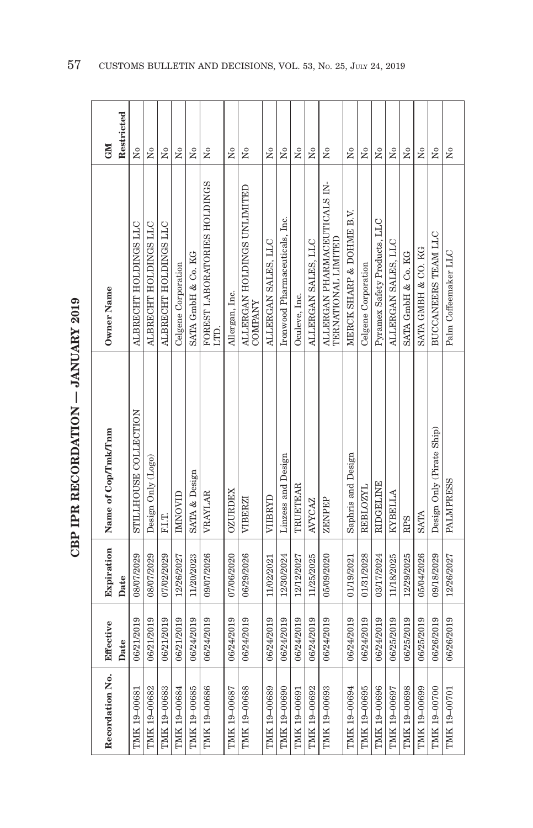| Recordation No. | Effective  | Expiration | Name of Cop/Tmk/Tnm       | Owner Name                                          | <b>NE</b>            |
|-----------------|------------|------------|---------------------------|-----------------------------------------------------|----------------------|
|                 | Date       | Date       |                           |                                                     | Restricted           |
| TMK 19-00681    | 06/21/2019 | 08/07/2029 | STILLHOUSE COLLECTION     | ALBRECHT HOLDINGS LLC                               | Χo                   |
| TMK 19-00682    | 06/21/2019 | 08/07/2029 | Design Only (Logo)        | ALBRECHT HOLDINGS LLC                               | Σó                   |
| TMK 19-00683    | 06/21/2019 | 07/02/2029 | F.I.T.                    | ALBRECHT HOLDINGS LLC                               | $\tilde{X}^{\circ}$  |
| TMK 19-00684    | 06/21/2019 | 12/26/2027 | IMNOVID                   | Celgene Corporation                                 | Σó                   |
| TMK 19-00685    | 06/24/2019 | 11/20/2023 | SATA & Design             | SATA GmbH & Co. KG                                  | $\tilde{\mathbf{z}}$ |
| TMK 19-00686    | 06/24/2019 | 09/07/2026 | <b>VRAYLAR</b>            | FOREST LABORATORIES HOLDINGS<br>LTD.                | Σò                   |
| TMK 19-00687    | 06/24/2019 | 07/06/2020 | <b>OZURDEX</b>            | Allergan, Inc.                                      | Σó                   |
| TMK 19-00688    | 06/24/2019 | 06/29/2026 | VIBERZI                   | ALLERGAN HOLDINGS UNLIMITED<br><b>COMPANY</b>       | Σò                   |
| TMK 19-00689    | 06/24/2019 | 11/02/2021 | VIIBRYD                   | ALLERGAN SALES, LLC                                 | $\tilde{X}^{\circ}$  |
| TMK 19-00690    | 06/24/2019 | 12/30/2024 | Linzess and Design        | Ironwood Pharmaceuticals, Inc.                      | Σó                   |
| TMK 19-00691    | 06/24/2019 | 12/12/2027 | TRUETEAR                  | Oculeve, Inc.                                       | Σó                   |
| TMK 19-00692    | 06/24/2019 | 11/25/2025 | <b>AVYCAZ</b>             | ALLERGAN SALES, LLC                                 | Σó                   |
| TMK 19-00693    | 06/24/2019 | 05/09/2020 | ZENPEP                    | ALLERGAN PHARMACEUTICALS IN-<br>TERNATIONAL LIMITED | Σó                   |
| TMK 19-00694    | 06/24/2019 | 01/19/2021 | Saphris and Design        | MERCK SHARP & DOHME B.V.                            | $\overline{R}$       |
| TMK 19-00695    | 06/24/2019 | 01/31/2028 | <b>REBLOZYL</b>           | Celgene Corporation                                 | $\overline{N}$       |
| TMK 19-00696    | 06/24/2019 | 03/17/2024 | <b>RIDGELINE</b>          | Pyramex Safety Products, LLC                        | Σó                   |
| TMK 19-00697    | 06/25/2019 | 11/18/2025 | KYBELLA                   | ALLERGAN SALES, LLC                                 | Σó                   |
| TMK 19-00698    | 06/25/2019 | 12/29/2025 | <b>RPS</b>                | SATA GmbH & Co. KG                                  | $\tilde{X}^{\circ}$  |
| TMK 19-00699    | 06/25/2019 | 05/04/2026 | <b>SATA</b>               | SATA GMBH & CO. KG                                  | Σó                   |
| TMK 19-00700    | 06/26/2019 | 09/18/2029 | Design Only (Pirate Ship) | BUCCANEERS TEAM LLC                                 | $\tilde{X}^{\circ}$  |
| TMK 19-00701    | 06/26/2019 | 12/26/2027 | <b>PALMPRESS</b>          | Palm Coffeemaker LLC                                | $\tilde{Z}$          |

57 CUSTOMS BULLETIN AND DECISIONS, VOL. 53, NO. 25, JULY 24, 2019